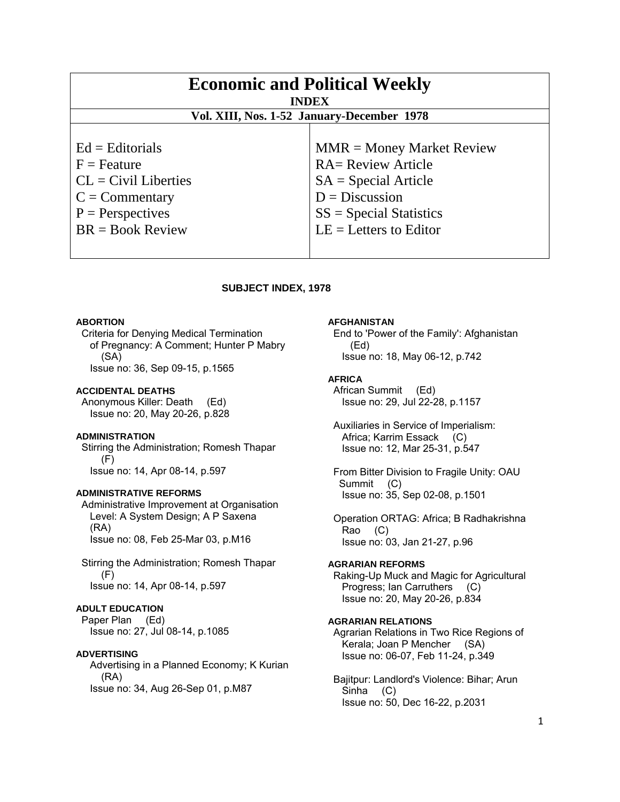| <b>Economic and Political Weekly</b><br><b>INDEX</b><br>Vol. XIII, Nos. 1-52 January-December 1978 |                             |
|----------------------------------------------------------------------------------------------------|-----------------------------|
|                                                                                                    |                             |
| $Ed =$ Editorials                                                                                  | $MMR = Money Market Review$ |
| $F =$ Feature                                                                                      | <b>RA= Review Article</b>   |
| $CL = Civil\:$                                                                                     | $SA = Special Article$      |
| $C = \text{Commentary}$                                                                            | $D = Discussion$            |
| $P =$ Perspectives                                                                                 | $SS = Special Statistics$   |
| $BR = Book Review$                                                                                 | $LE = Letters to Editor$    |
|                                                                                                    |                             |

## **SUBJECT INDEX, 1978**

#### **ABORTION**

 Criteria for Denying Medical Termination of Pregnancy: A Comment; Hunter P Mabry (SA) Issue no: 36, Sep 09-15, p.1565

### **ACCIDENTAL DEATHS**

 Anonymous Killer: Death (Ed) Issue no: 20, May 20-26, p.828

## **ADMINISTRATION**

 Stirring the Administration; Romesh Thapar (F) Issue no: 14, Apr 08-14, p.597

#### **ADMINISTRATIVE REFORMS**

 Administrative Improvement at Organisation Level: A System Design; A P Saxena (RA) Issue no: 08, Feb 25-Mar 03, p.M16

 Stirring the Administration; Romesh Thapar (F) Issue no: 14, Apr 08-14, p.597

## **ADULT EDUCATION**

 Paper Plan (Ed) Issue no: 27, Jul 08-14, p.1085

#### **ADVERTISING**

 Advertising in a Planned Economy; K Kurian (RA) Issue no: 34, Aug 26-Sep 01, p.M87

#### **AFGHANISTAN**

 End to 'Power of the Family': Afghanistan (Ed) Issue no: 18, May 06-12, p.742

### **AFRICA**

 African Summit (Ed) Issue no: 29, Jul 22-28, p.1157

 Auxiliaries in Service of Imperialism: Africa; Karrim Essack (C) Issue no: 12, Mar 25-31, p.547

 From Bitter Division to Fragile Unity: OAU Summit (C) Issue no: 35, Sep 02-08, p.1501

 Operation ORTAG: Africa; B Radhakrishna Rao (C) Issue no: 03, Jan 21-27, p.96

## **AGRARIAN REFORMS**

 Raking-Up Muck and Magic for Agricultural Progress; Ian Carruthers (C) Issue no: 20, May 20-26, p.834

#### **AGRARIAN RELATIONS**

 Agrarian Relations in Two Rice Regions of Kerala; Joan P Mencher (SA) Issue no: 06-07, Feb 11-24, p.349

 Bajitpur: Landlord's Violence: Bihar; Arun Sinha (C) Issue no: 50, Dec 16-22, p.2031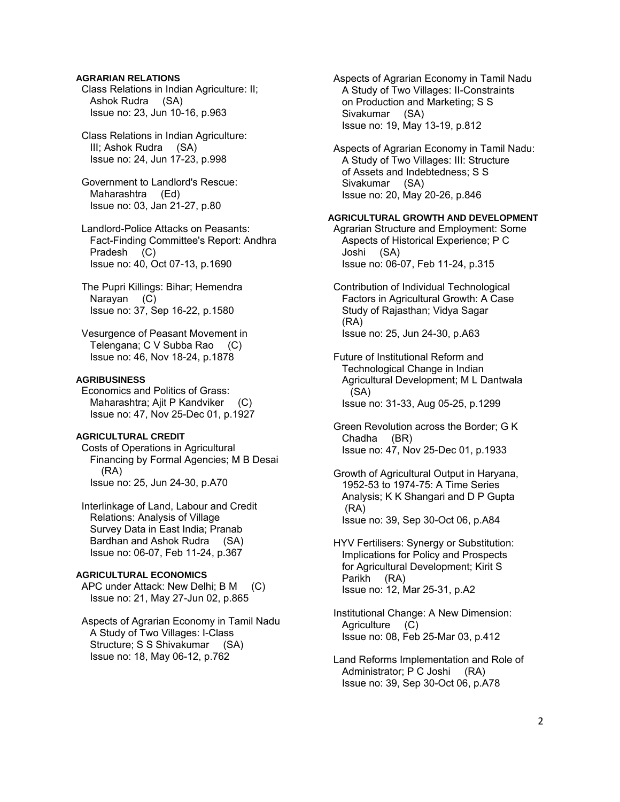## **AGRARIAN RELATIONS**

 Class Relations in Indian Agriculture: II; Ashok Rudra (SA) Issue no: 23, Jun 10-16, p.963

 Class Relations in Indian Agriculture: III; Ashok Rudra (SA) Issue no: 24, Jun 17-23, p.998

 Government to Landlord's Rescue: Maharashtra (Ed) Issue no: 03, Jan 21-27, p.80

 Landlord-Police Attacks on Peasants: Fact-Finding Committee's Report: Andhra Pradesh (C) Issue no: 40, Oct 07-13, p.1690

 The Pupri Killings: Bihar; Hemendra Narayan (C) Issue no: 37, Sep 16-22, p.1580

 Vesurgence of Peasant Movement in Telengana; C V Subba Rao (C) Issue no: 46, Nov 18-24, p.1878

### **AGRIBUSINESS**

 Economics and Politics of Grass: Maharashtra; Ajit P Kandviker (C) Issue no: 47, Nov 25-Dec 01, p.1927

### **AGRICULTURAL CREDIT**

 Costs of Operations in Agricultural Financing by Formal Agencies; M B Desai (RA) Issue no: 25, Jun 24-30, p.A70

 Interlinkage of Land, Labour and Credit Relations: Analysis of Village Survey Data in East India; Pranab Bardhan and Ashok Rudra (SA) Issue no: 06-07, Feb 11-24, p.367

### **AGRICULTURAL ECONOMICS**

 APC under Attack: New Delhi; B M (C) Issue no: 21, May 27-Jun 02, p.865

 Aspects of Agrarian Economy in Tamil Nadu A Study of Two Villages: I-Class Structure; S S Shivakumar (SA) Issue no: 18, May 06-12, p.762

 Aspects of Agrarian Economy in Tamil Nadu A Study of Two Villages: II-Constraints on Production and Marketing; S S Sivakumar (SA) Issue no: 19, May 13-19, p.812

 Aspects of Agrarian Economy in Tamil Nadu: A Study of Two Villages: III: Structure of Assets and Indebtedness; S S Sivakumar (SA) Issue no: 20, May 20-26, p.846

## **AGRICULTURAL GROWTH AND DEVELOPMENT**

 Agrarian Structure and Employment: Some Aspects of Historical Experience; P C Joshi (SA) Issue no: 06-07, Feb 11-24, p.315

 Contribution of Individual Technological Factors in Agricultural Growth: A Case Study of Rajasthan; Vidya Sagar (RA) Issue no: 25, Jun 24-30, p.A63

 Future of Institutional Reform and Technological Change in Indian Agricultural Development; M L Dantwala (SA) Issue no: 31-33, Aug 05-25, p.1299

 Green Revolution across the Border; G K Chadha (BR) Issue no: 47, Nov 25-Dec 01, p.1933

 Growth of Agricultural Output in Haryana, 1952-53 to 1974-75: A Time Series Analysis; K K Shangari and D P Gupta (RA) Issue no: 39, Sep 30-Oct 06, p.A84

 HYV Fertilisers: Synergy or Substitution: Implications for Policy and Prospects for Agricultural Development; Kirit S Parikh (RA) Issue no: 12, Mar 25-31, p.A2

 Institutional Change: A New Dimension: Agriculture (C) Issue no: 08, Feb 25-Mar 03, p.412

 Land Reforms Implementation and Role of Administrator; P C Joshi (RA) Issue no: 39, Sep 30-Oct 06, p.A78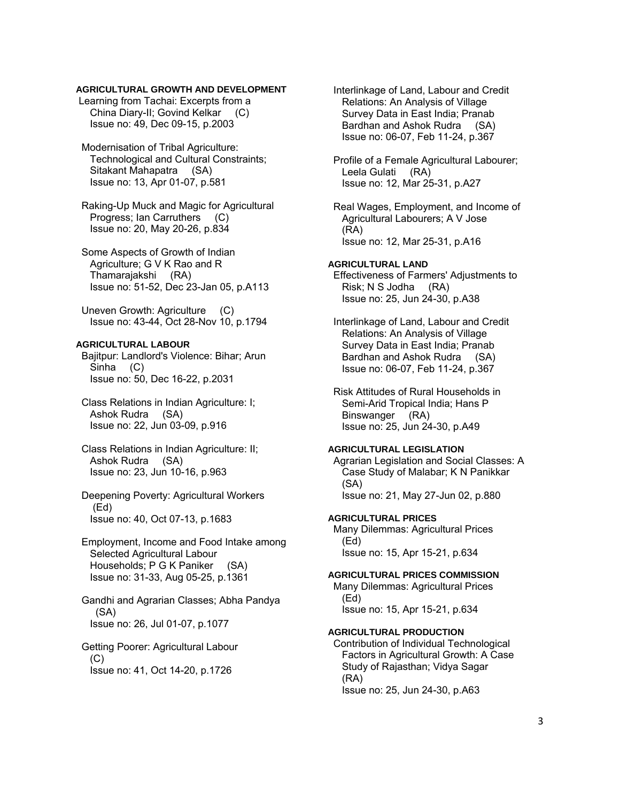## **AGRICULTURAL GROWTH AND DEVELOPMENT**

 Learning from Tachai: Excerpts from a China Diary-II; Govind Kelkar (C) Issue no: 49, Dec 09-15, p.2003

 Modernisation of Tribal Agriculture: Technological and Cultural Constraints; Sitakant Mahapatra (SA) Issue no: 13, Apr 01-07, p.581

 Raking-Up Muck and Magic for Agricultural Progress; Ian Carruthers (C) Issue no: 20, May 20-26, p.834

 Some Aspects of Growth of Indian Agriculture; G V K Rao and R Thamarajakshi (RA) Issue no: 51-52, Dec 23-Jan 05, p.A113

 Uneven Growth: Agriculture (C) Issue no: 43-44, Oct 28-Nov 10, p.1794

## **AGRICULTURAL LABOUR**

 Bajitpur: Landlord's Violence: Bihar; Arun Sinha (C) Issue no: 50, Dec 16-22, p.2031

- Class Relations in Indian Agriculture: I; Ashok Rudra (SA) Issue no: 22, Jun 03-09, p.916
- Class Relations in Indian Agriculture: II; Ashok Rudra (SA) Issue no: 23, Jun 10-16, p.963
- Deepening Poverty: Agricultural Workers (Ed) Issue no: 40, Oct 07-13, p.1683

 Employment, Income and Food Intake among Selected Agricultural Labour Households; P G K Paniker (SA) Issue no: 31-33, Aug 05-25, p.1361

 Gandhi and Agrarian Classes; Abha Pandya (SA) Issue no: 26, Jul 01-07, p.1077

 Getting Poorer: Agricultural Labour  $(C)$ Issue no: 41, Oct 14-20, p.1726

 Interlinkage of Land, Labour and Credit Relations: An Analysis of Village Survey Data in East India; Pranab Bardhan and Ashok Rudra (SA) Issue no: 06-07, Feb 11-24, p.367

 Profile of a Female Agricultural Labourer; Leela Gulati (RA) Issue no: 12, Mar 25-31, p.A27

 Real Wages, Employment, and Income of Agricultural Labourers; A V Jose (RA) Issue no: 12, Mar 25-31, p.A16

## **AGRICULTURAL LAND**

 Effectiveness of Farmers' Adjustments to Risk; N S Jodha (RA) Issue no: 25, Jun 24-30, p.A38

 Interlinkage of Land, Labour and Credit Relations: An Analysis of Village Survey Data in East India; Pranab Bardhan and Ashok Rudra (SA) Issue no: 06-07, Feb 11-24, p.367

 Risk Attitudes of Rural Households in Semi-Arid Tropical India; Hans P Binswanger (RA) Issue no: 25, Jun 24-30, p.A49

#### **AGRICULTURAL LEGISLATION**

 Agrarian Legislation and Social Classes: A Case Study of Malabar; K N Panikkar (SA) Issue no: 21, May 27-Jun 02, p.880

#### **AGRICULTURAL PRICES**

 Many Dilemmas: Agricultural Prices (Ed) Issue no: 15, Apr 15-21, p.634

## **AGRICULTURAL PRICES COMMISSION**

 Many Dilemmas: Agricultural Prices (Ed) Issue no: 15, Apr 15-21, p.634

#### **AGRICULTURAL PRODUCTION**

 Contribution of Individual Technological Factors in Agricultural Growth: A Case Study of Rajasthan; Vidya Sagar (RA) Issue no: 25, Jun 24-30, p.A63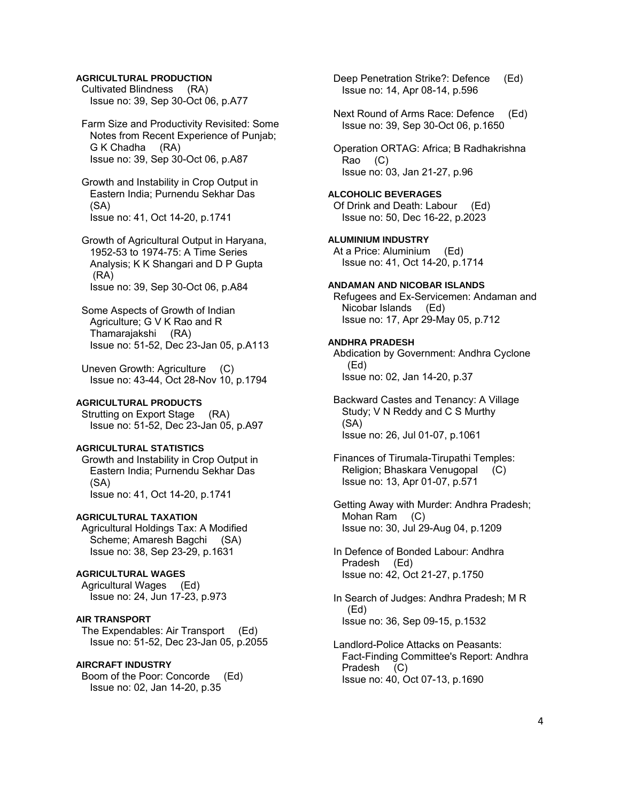## **AGRICULTURAL PRODUCTION**

 Cultivated Blindness (RA) Issue no: 39, Sep 30-Oct 06, p.A77

 Farm Size and Productivity Revisited: Some Notes from Recent Experience of Punjab; G K Chadha (RA) Issue no: 39, Sep 30-Oct 06, p.A87

 Growth and Instability in Crop Output in Eastern India; Purnendu Sekhar Das (SA) Issue no: 41, Oct 14-20, p.1741

 Growth of Agricultural Output in Haryana, 1952-53 to 1974-75: A Time Series Analysis; K K Shangari and D P Gupta (RA) Issue no: 39, Sep 30-Oct 06, p.A84

 Some Aspects of Growth of Indian Agriculture; G V K Rao and R Thamarajakshi (RA) Issue no: 51-52, Dec 23-Jan 05, p.A113

 Uneven Growth: Agriculture (C) Issue no: 43-44, Oct 28-Nov 10, p.1794

#### **AGRICULTURAL PRODUCTS**

Strutting on Export Stage (RA) Issue no: 51-52, Dec 23-Jan 05, p.A97

#### **AGRICULTURAL STATISTICS**

 Growth and Instability in Crop Output in Eastern India; Purnendu Sekhar Das (SA) Issue no: 41, Oct 14-20, p.1741

### **AGRICULTURAL TAXATION**

 Agricultural Holdings Tax: A Modified Scheme; Amaresh Bagchi (SA) Issue no: 38, Sep 23-29, p.1631

## **AGRICULTURAL WAGES**

 Agricultural Wages (Ed) Issue no: 24, Jun 17-23, p.973

### **AIR TRANSPORT**

 The Expendables: Air Transport (Ed) Issue no: 51-52, Dec 23-Jan 05, p.2055

## **AIRCRAFT INDUSTRY**

 Boom of the Poor: Concorde (Ed) Issue no: 02, Jan 14-20, p.35

 Deep Penetration Strike?: Defence (Ed) Issue no: 14, Apr 08-14, p.596

 Next Round of Arms Race: Defence (Ed) Issue no: 39, Sep 30-Oct 06, p.1650

 Operation ORTAG: Africa; B Radhakrishna Rao (C) Issue no: 03, Jan 21-27, p.96

#### **ALCOHOLIC BEVERAGES**

 Of Drink and Death: Labour (Ed) Issue no: 50, Dec 16-22, p.2023

**ALUMINIUM INDUSTRY**  At a Price: Aluminium (Ed) Issue no: 41, Oct 14-20, p.1714

## **ANDAMAN AND NICOBAR ISLANDS**

 Refugees and Ex-Servicemen: Andaman and Nicobar Islands (Ed) Issue no: 17, Apr 29-May 05, p.712

#### **ANDHRA PRADESH**

 Abdication by Government: Andhra Cyclone (Ed) Issue no: 02, Jan 14-20, p.37

 Backward Castes and Tenancy: A Village Study; V N Reddy and C S Murthy (SA) Issue no: 26, Jul 01-07, p.1061

 Finances of Tirumala-Tirupathi Temples: Religion; Bhaskara Venugopal (C) Issue no: 13, Apr 01-07, p.571

 Getting Away with Murder: Andhra Pradesh; Mohan Ram (C) Issue no: 30, Jul 29-Aug 04, p.1209

- In Defence of Bonded Labour: Andhra Pradesh (Ed) Issue no: 42, Oct 21-27, p.1750
- In Search of Judges: Andhra Pradesh; M R (Ed) Issue no: 36, Sep 09-15, p.1532
- Landlord-Police Attacks on Peasants: Fact-Finding Committee's Report: Andhra Pradesh (C) Issue no: 40, Oct 07-13, p.1690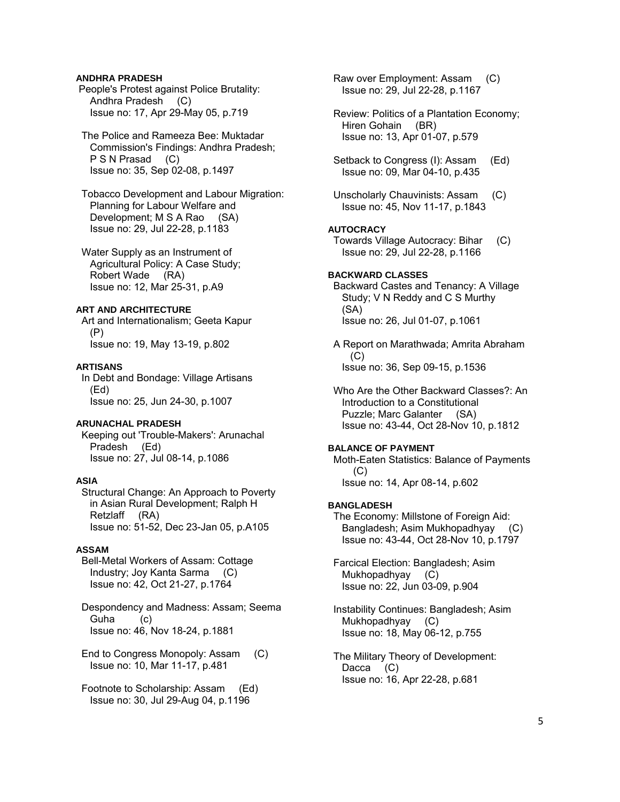## **ANDHRA PRADESH**

 People's Protest against Police Brutality: Andhra Pradesh (C) Issue no: 17, Apr 29-May 05, p.719

## The Police and Rameeza Bee: Muktadar Commission's Findings: Andhra Pradesh; P S N Prasad (C) Issue no: 35, Sep 02-08, p.1497

 Tobacco Development and Labour Migration: Planning for Labour Welfare and Development; M S A Rao (SA) Issue no: 29, Jul 22-28, p.1183

 Water Supply as an Instrument of Agricultural Policy: A Case Study; Robert Wade (RA) Issue no: 12, Mar 25-31, p.A9

## **ART AND ARCHITECTURE**

 Art and Internationalism; Geeta Kapur (P) Issue no: 19, May 13-19, p.802

#### **ARTISANS**

 In Debt and Bondage: Village Artisans (Ed) Issue no: 25, Jun 24-30, p.1007

## **ARUNACHAL PRADESH**

 Keeping out 'Trouble-Makers': Arunachal Pradesh (Ed) Issue no: 27, Jul 08-14, p.1086

#### **ASIA**

 Structural Change: An Approach to Poverty in Asian Rural Development; Ralph H Retzlaff (RA) Issue no: 51-52, Dec 23-Jan 05, p.A105

#### **ASSAM**

 Bell-Metal Workers of Assam: Cottage Industry; Joy Kanta Sarma (C) Issue no: 42, Oct 21-27, p.1764

 Despondency and Madness: Assam; Seema Guha (c) Issue no: 46, Nov 18-24, p.1881

 End to Congress Monopoly: Assam (C) Issue no: 10, Mar 11-17, p.481

 Footnote to Scholarship: Assam (Ed) Issue no: 30, Jul 29-Aug 04, p.1196

 Raw over Employment: Assam (C) Issue no: 29, Jul 22-28, p.1167

 Review: Politics of a Plantation Economy; Hiren Gohain (BR) Issue no: 13, Apr 01-07, p.579

Setback to Congress (I): Assam (Ed) Issue no: 09, Mar 04-10, p.435

 Unscholarly Chauvinists: Assam (C) Issue no: 45, Nov 11-17, p.1843

## **AUTOCRACY**

 Towards Village Autocracy: Bihar (C) Issue no: 29, Jul 22-28, p.1166

### **BACKWARD CLASSES**

 Backward Castes and Tenancy: A Village Study; V N Reddy and C S Murthy (SA) Issue no: 26, Jul 01-07, p.1061

 A Report on Marathwada; Amrita Abraham  $(C)$ Issue no: 36, Sep 09-15, p.1536

 Who Are the Other Backward Classes?: An Introduction to a Constitutional Puzzle; Marc Galanter (SA) Issue no: 43-44, Oct 28-Nov 10, p.1812

#### **BALANCE OF PAYMENT**

 Moth-Eaten Statistics: Balance of Payments (C) Issue no: 14, Apr 08-14, p.602

## **BANGLADESH**

 The Economy: Millstone of Foreign Aid: Bangladesh; Asim Mukhopadhyay (C) Issue no: 43-44, Oct 28-Nov 10, p.1797

 Farcical Election: Bangladesh; Asim Mukhopadhyay (C) Issue no: 22, Jun 03-09, p.904

 Instability Continues: Bangladesh; Asim Mukhopadhyay (C) Issue no: 18, May 06-12, p.755

 The Military Theory of Development: Dacca (C) Issue no: 16, Apr 22-28, p.681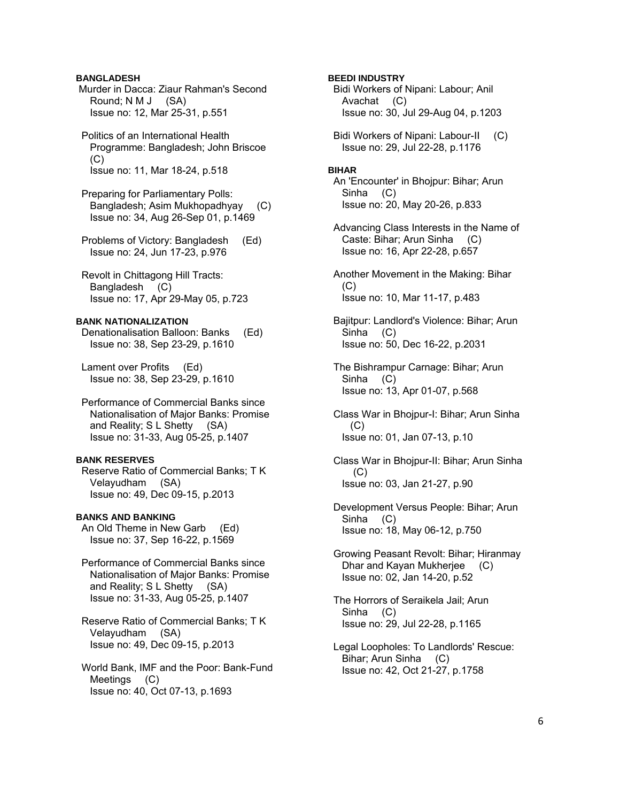## **BANGLADESH**

 Murder in Dacca: Ziaur Rahman's Second Round; N M J (SA) Issue no: 12, Mar 25-31, p.551

 Politics of an International Health Programme: Bangladesh; John Briscoe (C) Issue no: 11, Mar 18-24, p.518

 Preparing for Parliamentary Polls: Bangladesh; Asim Mukhopadhyay (C) Issue no: 34, Aug 26-Sep 01, p.1469

 Problems of Victory: Bangladesh (Ed) Issue no: 24, Jun 17-23, p.976

 Revolt in Chittagong Hill Tracts: Bangladesh (C) Issue no: 17, Apr 29-May 05, p.723

### **BANK NATIONALIZATION**

 Denationalisation Balloon: Banks (Ed) Issue no: 38, Sep 23-29, p.1610

 Lament over Profits (Ed) Issue no: 38, Sep 23-29, p.1610

 Performance of Commercial Banks since Nationalisation of Major Banks: Promise and Reality; S L Shetty (SA) Issue no: 31-33, Aug 05-25, p.1407

### **BANK RESERVES**

 Reserve Ratio of Commercial Banks; T K Velayudham (SA) Issue no: 49, Dec 09-15, p.2013

## **BANKS AND BANKING**

 An Old Theme in New Garb (Ed) Issue no: 37, Sep 16-22, p.1569

 Performance of Commercial Banks since Nationalisation of Major Banks: Promise and Reality; S L Shetty (SA) Issue no: 31-33, Aug 05-25, p.1407

 Reserve Ratio of Commercial Banks; T K Velayudham (SA) Issue no: 49, Dec 09-15, p.2013

 World Bank, IMF and the Poor: Bank-Fund Meetings (C) Issue no: 40, Oct 07-13, p.1693

## **BEEDI INDUSTRY**

 Bidi Workers of Nipani: Labour; Anil Avachat (C) Issue no: 30, Jul 29-Aug 04, p.1203

 Bidi Workers of Nipani: Labour-II (C) Issue no: 29, Jul 22-28, p.1176

### **BIHAR**

 An 'Encounter' in Bhojpur: Bihar; Arun Sinha (C) Issue no: 20, May 20-26, p.833

 Advancing Class Interests in the Name of Caste: Bihar; Arun Sinha (C) Issue no: 16, Apr 22-28, p.657

 Another Movement in the Making: Bihar  $(C)$ Issue no: 10, Mar 11-17, p.483

 Bajitpur: Landlord's Violence: Bihar; Arun Sinha (C) Issue no: 50, Dec 16-22, p.2031

 The Bishrampur Carnage: Bihar; Arun Sinha (C) Issue no: 13, Apr 01-07, p.568

 Class War in Bhojpur-I: Bihar; Arun Sinha (C) Issue no: 01, Jan 07-13, p.10

 Class War in Bhojpur-II: Bihar; Arun Sinha (C) Issue no: 03, Jan 21-27, p.90

 Development Versus People: Bihar; Arun Sinha (C) Issue no: 18, May 06-12, p.750

 Growing Peasant Revolt: Bihar; Hiranmay Dhar and Kayan Mukherjee (C) Issue no: 02, Jan 14-20, p.52

 The Horrors of Seraikela Jail; Arun Sinha (C) Issue no: 29, Jul 22-28, p.1165

 Legal Loopholes: To Landlords' Rescue: Bihar; Arun Sinha (C) Issue no: 42, Oct 21-27, p.1758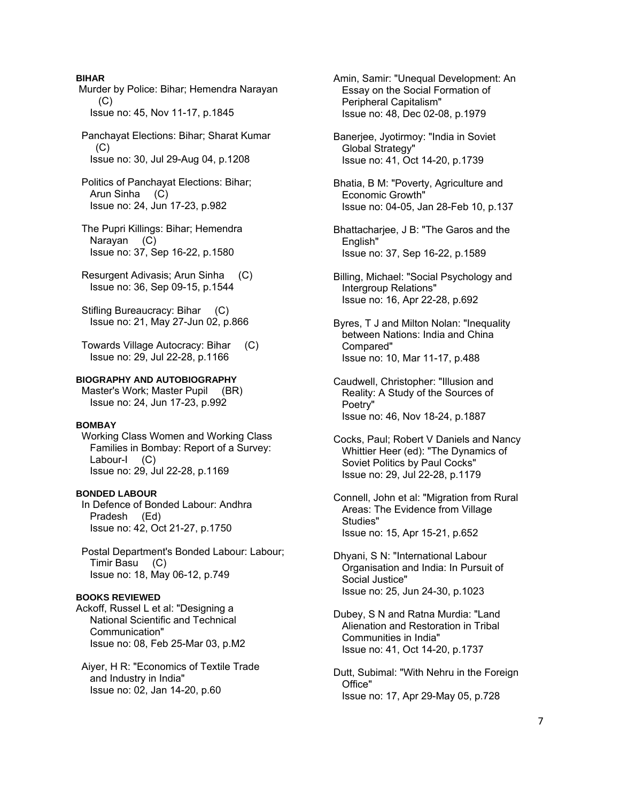## **BIHAR**

 Murder by Police: Bihar; Hemendra Narayan  $(C)$ Issue no: 45, Nov 11-17, p.1845

 Panchayat Elections: Bihar; Sharat Kumar  $(C)$ Issue no: 30, Jul 29-Aug 04, p.1208

 Politics of Panchayat Elections: Bihar; Arun Sinha (C) Issue no: 24, Jun 17-23, p.982

 The Pupri Killings: Bihar; Hemendra Narayan (C) Issue no: 37, Sep 16-22, p.1580

 Resurgent Adivasis; Arun Sinha (C) Issue no: 36, Sep 09-15, p.1544

Stifling Bureaucracy: Bihar (C) Issue no: 21, May 27-Jun 02, p.866

 Towards Village Autocracy: Bihar (C) Issue no: 29, Jul 22-28, p.1166

## **BIOGRAPHY AND AUTOBIOGRAPHY**

Master's Work; Master Pupil (BR) Issue no: 24, Jun 17-23, p.992

#### **BOMBAY**

 Working Class Women and Working Class Families in Bombay: Report of a Survey: Labour-I (C) Issue no: 29, Jul 22-28, p.1169

### **BONDED LABOUR**

 In Defence of Bonded Labour: Andhra Pradesh (Ed) Issue no: 42, Oct 21-27, p.1750

 Postal Department's Bonded Labour: Labour; Timir Basu (C) Issue no: 18, May 06-12, p.749

## **BOOKS REVIEWED**

Ackoff, Russel L et al: "Designing a National Scientific and Technical Communication" Issue no: 08, Feb 25-Mar 03, p.M2

 Aiyer, H R: "Economics of Textile Trade and Industry in India" Issue no: 02, Jan 14-20, p.60

 Amin, Samir: "Unequal Development: An Essay on the Social Formation of Peripheral Capitalism" Issue no: 48, Dec 02-08, p.1979

 Banerjee, Jyotirmoy: "India in Soviet Global Strategy" Issue no: 41, Oct 14-20, p.1739

 Bhatia, B M: "Poverty, Agriculture and Economic Growth" Issue no: 04-05, Jan 28-Feb 10, p.137

 Bhattacharjee, J B: "The Garos and the English" Issue no: 37, Sep 16-22, p.1589

 Billing, Michael: "Social Psychology and Intergroup Relations" Issue no: 16, Apr 22-28, p.692

 Byres, T J and Milton Nolan: "Inequality between Nations: India and China Compared" Issue no: 10, Mar 11-17, p.488

 Caudwell, Christopher: "Illusion and Reality: A Study of the Sources of Poetry" Issue no: 46, Nov 18-24, p.1887

 Cocks, Paul; Robert V Daniels and Nancy Whittier Heer (ed): "The Dynamics of Soviet Politics by Paul Cocks" Issue no: 29, Jul 22-28, p.1179

 Connell, John et al: "Migration from Rural Areas: The Evidence from Village Studies" Issue no: 15, Apr 15-21, p.652

 Dhyani, S N: "International Labour Organisation and India: In Pursuit of Social Justice" Issue no: 25, Jun 24-30, p.1023

 Dubey, S N and Ratna Murdia: "Land Alienation and Restoration in Tribal Communities in India" Issue no: 41, Oct 14-20, p.1737

 Dutt, Subimal: "With Nehru in the Foreign Office" Issue no: 17, Apr 29-May 05, p.728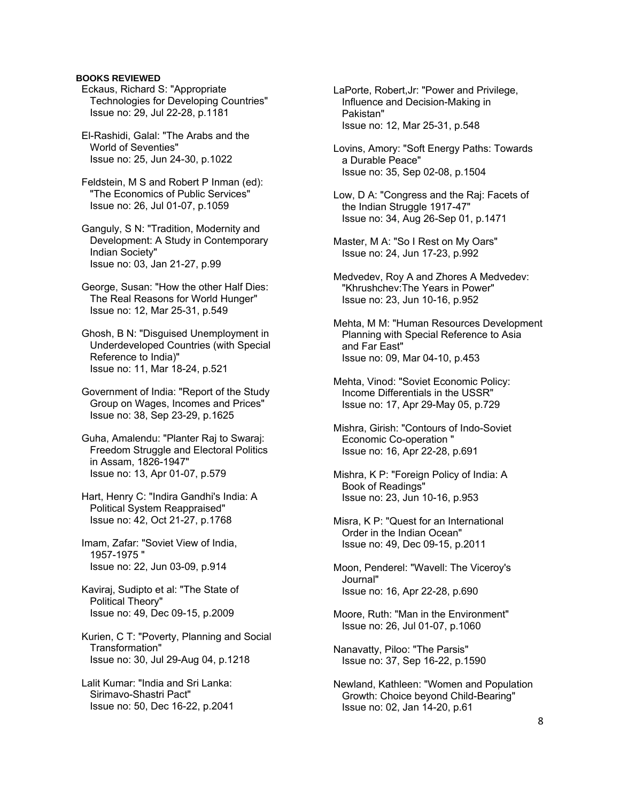## **BOOKS REVIEWED**

- Eckaus, Richard S: "Appropriate Technologies for Developing Countries" Issue no: 29, Jul 22-28, p.1181
- El-Rashidi, Galal: "The Arabs and the World of Seventies" Issue no: 25, Jun 24-30, p.1022

 Feldstein, M S and Robert P Inman (ed): "The Economics of Public Services" Issue no: 26, Jul 01-07, p.1059

 Ganguly, S N: "Tradition, Modernity and Development: A Study in Contemporary Indian Society" Issue no: 03, Jan 21-27, p.99

 George, Susan: "How the other Half Dies: The Real Reasons for World Hunger" Issue no: 12, Mar 25-31, p.549

 Ghosh, B N: "Disguised Unemployment in Underdeveloped Countries (with Special Reference to India)" Issue no: 11, Mar 18-24, p.521

 Government of India: "Report of the Study Group on Wages, Incomes and Prices" Issue no: 38, Sep 23-29, p.1625

- Guha, Amalendu: "Planter Raj to Swaraj: Freedom Struggle and Electoral Politics in Assam, 1826-1947" Issue no: 13, Apr 01-07, p.579
- Hart, Henry C: "Indira Gandhi's India: A Political System Reappraised" Issue no: 42, Oct 21-27, p.1768

 Imam, Zafar: "Soviet View of India, 1957-1975 " Issue no: 22, Jun 03-09, p.914

- Kaviraj, Sudipto et al: "The State of Political Theory" Issue no: 49, Dec 09-15, p.2009
- Kurien, C T: "Poverty, Planning and Social Transformation" Issue no: 30, Jul 29-Aug 04, p.1218
- Lalit Kumar: "India and Sri Lanka: Sirimavo-Shastri Pact" Issue no: 50, Dec 16-22, p.2041

 LaPorte, Robert,Jr: "Power and Privilege, Influence and Decision-Making in Pakistan" Issue no: 12, Mar 25-31, p.548

- Lovins, Amory: "Soft Energy Paths: Towards a Durable Peace" Issue no: 35, Sep 02-08, p.1504
- Low, D A: "Congress and the Raj: Facets of the Indian Struggle 1917-47" Issue no: 34, Aug 26-Sep 01, p.1471
- Master, M A: "So I Rest on My Oars" Issue no: 24, Jun 17-23, p.992
- Medvedev, Roy A and Zhores A Medvedev: "Khrushchev:The Years in Power" Issue no: 23, Jun 10-16, p.952

 Mehta, M M: "Human Resources Development Planning with Special Reference to Asia and Far East" Issue no: 09, Mar 04-10, p.453

- Mehta, Vinod: "Soviet Economic Policy: Income Differentials in the USSR" Issue no: 17, Apr 29-May 05, p.729
- Mishra, Girish: "Contours of Indo-Soviet Economic Co-operation " Issue no: 16, Apr 22-28, p.691
- Mishra, K P: "Foreign Policy of India: A Book of Readings" Issue no: 23, Jun 10-16, p.953
- Misra, K P: "Quest for an International Order in the Indian Ocean" Issue no: 49, Dec 09-15, p.2011
- Moon, Penderel: "Wavell: The Viceroy's Journal" Issue no: 16, Apr 22-28, p.690
- Moore, Ruth: "Man in the Environment" Issue no: 26, Jul 01-07, p.1060
- Nanavatty, Piloo: "The Parsis" Issue no: 37, Sep 16-22, p.1590
- Newland, Kathleen: "Women and Population Growth: Choice beyond Child-Bearing" Issue no: 02, Jan 14-20, p.61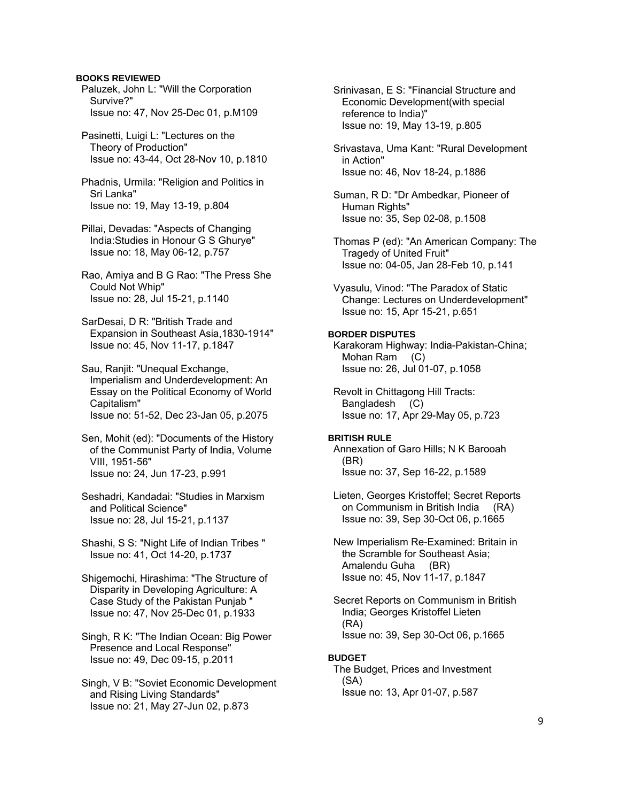### **BOOKS REVIEWED**

 Paluzek, John L: "Will the Corporation Survive?" Issue no: 47, Nov 25-Dec 01, p.M109

 Pasinetti, Luigi L: "Lectures on the Theory of Production" Issue no: 43-44, Oct 28-Nov 10, p.1810

 Phadnis, Urmila: "Religion and Politics in Sri Lanka" Issue no: 19, May 13-19, p.804

 Pillai, Devadas: "Aspects of Changing India:Studies in Honour G S Ghurye" Issue no: 18, May 06-12, p.757

 Rao, Amiya and B G Rao: "The Press She Could Not Whip" Issue no: 28, Jul 15-21, p.1140

 SarDesai, D R: "British Trade and Expansion in Southeast Asia,1830-1914" Issue no: 45, Nov 11-17, p.1847

 Sau, Ranjit: "Unequal Exchange, Imperialism and Underdevelopment: An Essay on the Political Economy of World Capitalism" Issue no: 51-52, Dec 23-Jan 05, p.2075

 Sen, Mohit (ed): "Documents of the History of the Communist Party of India, Volume VIII, 1951-56" Issue no: 24, Jun 17-23, p.991

 Seshadri, Kandadai: "Studies in Marxism and Political Science" Issue no: 28, Jul 15-21, p.1137

 Shashi, S S: "Night Life of Indian Tribes " Issue no: 41, Oct 14-20, p.1737

 Shigemochi, Hirashima: "The Structure of Disparity in Developing Agriculture: A Case Study of the Pakistan Punjab " Issue no: 47, Nov 25-Dec 01, p.1933

 Singh, R K: "The Indian Ocean: Big Power Presence and Local Response" Issue no: 49, Dec 09-15, p.2011

 Singh, V B: "Soviet Economic Development and Rising Living Standards" Issue no: 21, May 27-Jun 02, p.873

 Srinivasan, E S: "Financial Structure and Economic Development(with special reference to India)" Issue no: 19, May 13-19, p.805

 Srivastava, Uma Kant: "Rural Development in Action" Issue no: 46, Nov 18-24, p.1886

 Suman, R D: "Dr Ambedkar, Pioneer of Human Rights" Issue no: 35, Sep 02-08, p.1508

 Thomas P (ed): "An American Company: The Tragedy of United Fruit" Issue no: 04-05, Jan 28-Feb 10, p.141

 Vyasulu, Vinod: "The Paradox of Static Change: Lectures on Underdevelopment" Issue no: 15, Apr 15-21, p.651

## **BORDER DISPUTES**

 Karakoram Highway: India-Pakistan-China; Mohan Ram (C) Issue no: 26, Jul 01-07, p.1058

 Revolt in Chittagong Hill Tracts: Bangladesh (C) Issue no: 17, Apr 29-May 05, p.723

### **BRITISH RULE**

 Annexation of Garo Hills; N K Barooah (BR) Issue no: 37, Sep 16-22, p.1589

 Lieten, Georges Kristoffel; Secret Reports on Communism in British India (RA) Issue no: 39, Sep 30-Oct 06, p.1665

 New Imperialism Re-Examined: Britain in the Scramble for Southeast Asia; Amalendu Guha (BR) Issue no: 45, Nov 11-17, p.1847

 Secret Reports on Communism in British India; Georges Kristoffel Lieten (RA) Issue no: 39, Sep 30-Oct 06, p.1665

## **BUDGET**

 The Budget, Prices and Investment (SA) Issue no: 13, Apr 01-07, p.587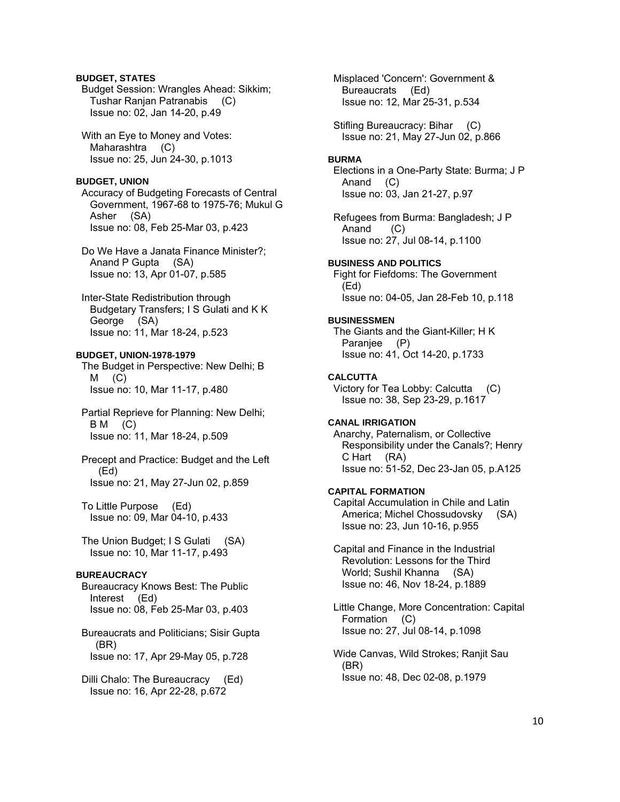## **BUDGET, STATES**

 Budget Session: Wrangles Ahead: Sikkim; Tushar Ranjan Patranabis (C) Issue no: 02, Jan 14-20, p.49

 With an Eye to Money and Votes: Maharashtra (C) Issue no: 25, Jun 24-30, p.1013

### **BUDGET, UNION**

 Accuracy of Budgeting Forecasts of Central Government, 1967-68 to 1975-76; Mukul G Asher (SA) Issue no: 08, Feb 25-Mar 03, p.423

 Do We Have a Janata Finance Minister?; Anand P Gupta (SA) Issue no: 13, Apr 01-07, p.585

 Inter-State Redistribution through Budgetary Transfers; I S Gulati and K K George (SA) Issue no: 11, Mar 18-24, p.523

## **BUDGET, UNION-1978-1979**

 The Budget in Perspective: New Delhi; B  $M$  (C) Issue no: 10, Mar 11-17, p.480

 Partial Reprieve for Planning: New Delhi; B M (C) Issue no: 11, Mar 18-24, p.509

 Precept and Practice: Budget and the Left (Ed) Issue no: 21, May 27-Jun 02, p.859

 To Little Purpose (Ed) Issue no: 09, Mar 04-10, p.433

 The Union Budget; I S Gulati (SA) Issue no: 10, Mar 11-17, p.493

### **BUREAUCRACY**

 Bureaucracy Knows Best: The Public Interest (Ed) Issue no: 08, Feb 25-Mar 03, p.403

 Bureaucrats and Politicians; Sisir Gupta (BR) Issue no: 17, Apr 29-May 05, p.728

 Dilli Chalo: The Bureaucracy (Ed) Issue no: 16, Apr 22-28, p.672

 Misplaced 'Concern': Government & Bureaucrats (Ed) Issue no: 12, Mar 25-31, p.534

 Stifling Bureaucracy: Bihar (C) Issue no: 21, May 27-Jun 02, p.866

### **BURMA**

 Elections in a One-Party State: Burma; J P Anand (C) Issue no: 03, Jan 21-27, p.97

 Refugees from Burma: Bangladesh; J P Anand (C) Issue no: 27, Jul 08-14, p.1100

**BUSINESS AND POLITICS** 

 Fight for Fiefdoms: The Government (Ed) Issue no: 04-05, Jan 28-Feb 10, p.118

#### **BUSINESSMEN**

 The Giants and the Giant-Killer; H K Paranjee (P) Issue no: 41, Oct 14-20, p.1733

#### **CALCUTTA**

 Victory for Tea Lobby: Calcutta (C) Issue no: 38, Sep 23-29, p.1617

### **CANAL IRRIGATION**

 Anarchy, Paternalism, or Collective Responsibility under the Canals?; Henry C Hart (RA) Issue no: 51-52, Dec 23-Jan 05, p.A125

## **CAPITAL FORMATION**

 Capital Accumulation in Chile and Latin America; Michel Chossudovsky (SA) Issue no: 23, Jun 10-16, p.955

 Capital and Finance in the Industrial Revolution: Lessons for the Third World; Sushil Khanna (SA) Issue no: 46, Nov 18-24, p.1889

 Little Change, More Concentration: Capital Formation (C) Issue no: 27, Jul 08-14, p.1098

 Wide Canvas, Wild Strokes; Ranjit Sau (BR) Issue no: 48, Dec 02-08, p.1979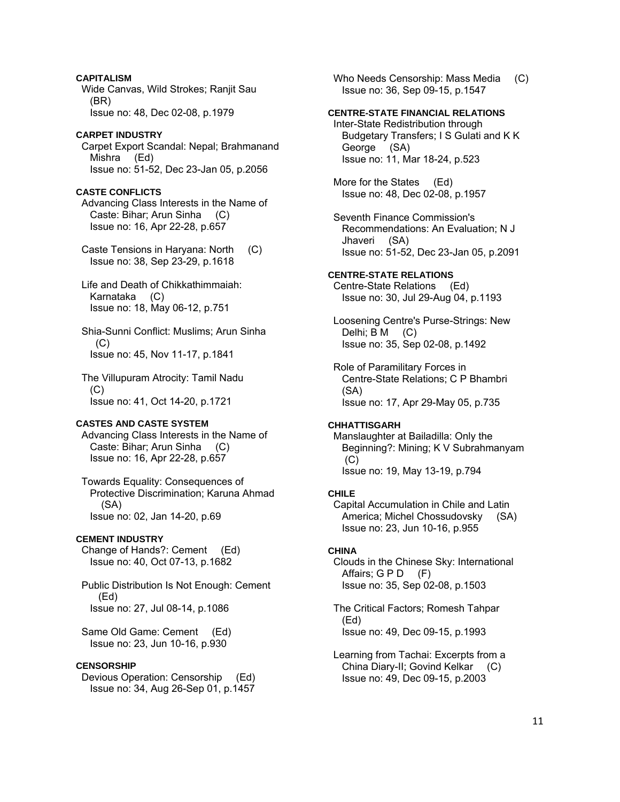**CAPITALISM**  Wide Canvas, Wild Strokes; Ranjit Sau (BR) Issue no: 48, Dec 02-08, p.1979

## **CARPET INDUSTRY**

 Carpet Export Scandal: Nepal; Brahmanand Mishra (Ed) Issue no: 51-52, Dec 23-Jan 05, p.2056

### **CASTE CONFLICTS**

 Advancing Class Interests in the Name of Caste: Bihar; Arun Sinha (C) Issue no: 16, Apr 22-28, p.657

 Caste Tensions in Haryana: North (C) Issue no: 38, Sep 23-29, p.1618

 Life and Death of Chikkathimmaiah: Karnataka (C) Issue no: 18, May 06-12, p.751

 Shia-Sunni Conflict: Muslims; Arun Sinha  $(C)$ Issue no: 45, Nov 11-17, p.1841

 The Villupuram Atrocity: Tamil Nadu (C) Issue no: 41, Oct 14-20, p.1721

## **CASTES AND CASTE SYSTEM**

 Advancing Class Interests in the Name of Caste: Bihar; Arun Sinha (C) Issue no: 16, Apr 22-28, p.657

 Towards Equality: Consequences of Protective Discrimination; Karuna Ahmad (SA) Issue no: 02, Jan 14-20, p.69

#### **CEMENT INDUSTRY**

 Change of Hands?: Cement (Ed) Issue no: 40, Oct 07-13, p.1682

 Public Distribution Is Not Enough: Cement (Ed) Issue no: 27, Jul 08-14, p.1086

 Same Old Game: Cement (Ed) Issue no: 23, Jun 10-16, p.930

### **CENSORSHIP**

 Devious Operation: Censorship (Ed) Issue no: 34, Aug 26-Sep 01, p.1457

Who Needs Censorship: Mass Media (C) Issue no: 36, Sep 09-15, p.1547

## **CENTRE-STATE FINANCIAL RELATIONS**

 Inter-State Redistribution through Budgetary Transfers; I S Gulati and K K George (SA) Issue no: 11, Mar 18-24, p.523

 More for the States (Ed) Issue no: 48, Dec 02-08, p.1957

 Seventh Finance Commission's Recommendations: An Evaluation; N J Jhaveri (SA) Issue no: 51-52, Dec 23-Jan 05, p.2091

### **CENTRE-STATE RELATIONS**

 Centre-State Relations (Ed) Issue no: 30, Jul 29-Aug 04, p.1193

 Loosening Centre's Purse-Strings: New Delhi; B M (C) Issue no: 35, Sep 02-08, p.1492

 Role of Paramilitary Forces in Centre-State Relations; C P Bhambri (SA) Issue no: 17, Apr 29-May 05, p.735

## **CHHATTISGARH**

 Manslaughter at Bailadilla: Only the Beginning?: Mining; K V Subrahmanyam  $(C)$ Issue no: 19, May 13-19, p.794

#### **CHILE**

 Capital Accumulation in Chile and Latin America; Michel Chossudovsky (SA) Issue no: 23, Jun 10-16, p.955

## **CHINA**

 Clouds in the Chinese Sky: International Affairs;  $G \, P \, D$  (F) Issue no: 35, Sep 02-08, p.1503

 The Critical Factors; Romesh Tahpar (Ed) Issue no: 49, Dec 09-15, p.1993

 Learning from Tachai: Excerpts from a China Diary-II; Govind Kelkar (C) Issue no: 49, Dec 09-15, p.2003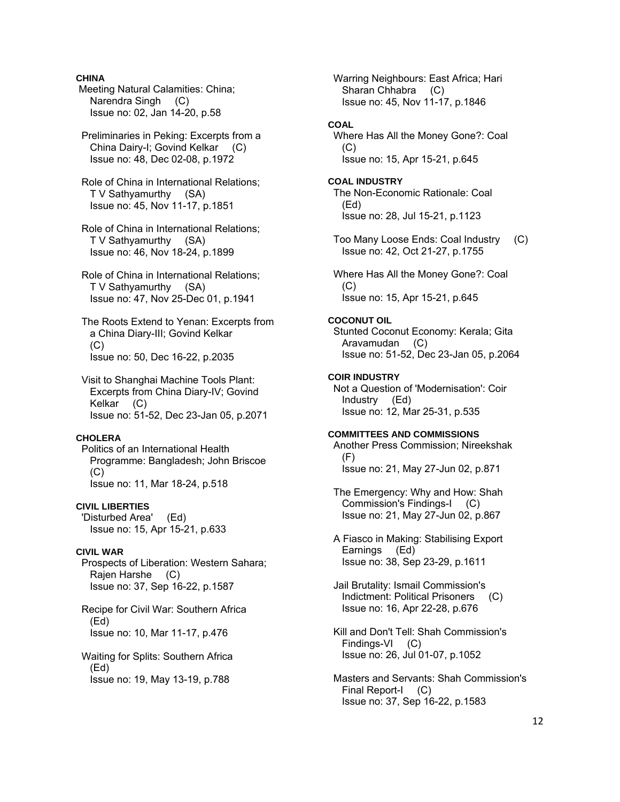## **CHINA**

 Meeting Natural Calamities: China; Narendra Singh (C) Issue no: 02, Jan 14-20, p.58

 Preliminaries in Peking: Excerpts from a China Dairy-I; Govind Kelkar (C) Issue no: 48, Dec 02-08, p.1972

 Role of China in International Relations; T V Sathyamurthy (SA) Issue no: 45, Nov 11-17, p.1851

 Role of China in International Relations; T V Sathyamurthy (SA) Issue no: 46, Nov 18-24, p.1899

 Role of China in International Relations; T V Sathyamurthy (SA) Issue no: 47, Nov 25-Dec 01, p.1941

 The Roots Extend to Yenan: Excerpts from a China Diary-III; Govind Kelkar  $(C)$ Issue no: 50, Dec 16-22, p.2035

 Visit to Shanghai Machine Tools Plant: Excerpts from China Diary-IV; Govind Kelkar (C) Issue no: 51-52, Dec 23-Jan 05, p.2071

## **CHOLERA**

 Politics of an International Health Programme: Bangladesh; John Briscoe (C) Issue no: 11, Mar 18-24, p.518

## **CIVIL LIBERTIES**

 'Disturbed Area' (Ed) Issue no: 15, Apr 15-21, p.633

## **CIVIL WAR**

 Prospects of Liberation: Western Sahara; Rajen Harshe (C) Issue no: 37, Sep 16-22, p.1587

 Recipe for Civil War: Southern Africa (Ed) Issue no: 10, Mar 11-17, p.476

 Waiting for Splits: Southern Africa (Ed) Issue no: 19, May 13-19, p.788

 Warring Neighbours: East Africa; Hari Sharan Chhabra (C) Issue no: 45, Nov 11-17, p.1846

## **COAL**

 Where Has All the Money Gone?: Coal  $(C)$ Issue no: 15, Apr 15-21, p.645

**COAL INDUSTRY**  The Non-Economic Rationale: Coal (Ed) Issue no: 28, Jul 15-21, p.1123

 Too Many Loose Ends: Coal Industry (C) Issue no: 42, Oct 21-27, p.1755

 Where Has All the Money Gone?: Coal  $(C)$ Issue no: 15, Apr 15-21, p.645

#### **COCONUT OIL**

 Stunted Coconut Economy: Kerala; Gita Aravamudan (C) Issue no: 51-52, Dec 23-Jan 05, p.2064

#### **COIR INDUSTRY**

 Not a Question of 'Modernisation': Coir Industry (Ed) Issue no: 12, Mar 25-31, p.535

### **COMMITTEES AND COMMISSIONS**

 Another Press Commission; Nireekshak (F) Issue no: 21, May 27-Jun 02, p.871

 The Emergency: Why and How: Shah Commission's Findings-I (C) Issue no: 21, May 27-Jun 02, p.867

 A Fiasco in Making: Stabilising Export Earnings (Ed) Issue no: 38, Sep 23-29, p.1611

 Jail Brutality: Ismail Commission's Indictment: Political Prisoners (C) Issue no: 16, Apr 22-28, p.676

 Kill and Don't Tell: Shah Commission's Findings-VI (C) Issue no: 26, Jul 01-07, p.1052

 Masters and Servants: Shah Commission's Final Report-I (C) Issue no: 37, Sep 16-22, p.1583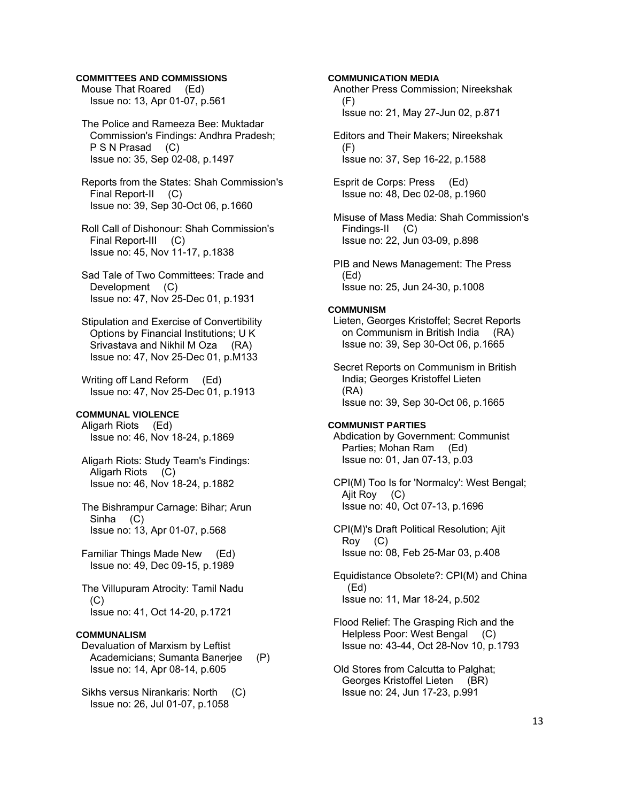## **COMMITTEES AND COMMISSIONS**

 Mouse That Roared (Ed) Issue no: 13, Apr 01-07, p.561

 The Police and Rameeza Bee: Muktadar Commission's Findings: Andhra Pradesh; P S N Prasad (C) Issue no: 35, Sep 02-08, p.1497

 Reports from the States: Shah Commission's Final Report-II (C) Issue no: 39, Sep 30-Oct 06, p.1660

 Roll Call of Dishonour: Shah Commission's Final Report-III (C) Issue no: 45, Nov 11-17, p.1838

 Sad Tale of Two Committees: Trade and Development (C) Issue no: 47, Nov 25-Dec 01, p.1931

 Stipulation and Exercise of Convertibility Options by Financial Institutions; U K Srivastava and Nikhil M Oza (RA) Issue no: 47, Nov 25-Dec 01, p.M133

 Writing off Land Reform (Ed) Issue no: 47, Nov 25-Dec 01, p.1913

### **COMMUNAL VIOLENCE**

 Aligarh Riots (Ed) Issue no: 46, Nov 18-24, p.1869

 Aligarh Riots: Study Team's Findings: Aligarh Riots (C) Issue no: 46, Nov 18-24, p.1882

 The Bishrampur Carnage: Bihar; Arun Sinha (C) Issue no: 13, Apr 01-07, p.568

 Familiar Things Made New (Ed) Issue no: 49, Dec 09-15, p.1989

 The Villupuram Atrocity: Tamil Nadu (C) Issue no: 41, Oct 14-20, p.1721

### **COMMUNALISM**

 Devaluation of Marxism by Leftist Academicians; Sumanta Banerjee (P) Issue no: 14, Apr 08-14, p.605

 Sikhs versus Nirankaris: North (C) Issue no: 26, Jul 01-07, p.1058

**COMMUNICATION MEDIA** 

 Another Press Commission; Nireekshak (F)

Issue no: 21, May 27-Jun 02, p.871

 Editors and Their Makers; Nireekshak (F) Issue no: 37, Sep 16-22, p.1588

 Esprit de Corps: Press (Ed) Issue no: 48, Dec 02-08, p.1960

 Misuse of Mass Media: Shah Commission's Findings-II (C) Issue no: 22, Jun 03-09, p.898

 PIB and News Management: The Press (Ed) Issue no: 25, Jun 24-30, p.1008

### **COMMUNISM**

 Lieten, Georges Kristoffel; Secret Reports on Communism in British India (RA) Issue no: 39, Sep 30-Oct 06, p.1665

 Secret Reports on Communism in British India; Georges Kristoffel Lieten (RA) Issue no: 39, Sep 30-Oct 06, p.1665

#### **COMMUNIST PARTIES**

 Abdication by Government: Communist Parties; Mohan Ram (Ed) Issue no: 01, Jan 07-13, p.03

 CPI(M)'s Draft Political Resolution; Ajit Roy (C) Issue no: 08, Feb 25-Mar 03, p.408

 Equidistance Obsolete?: CPI(M) and China (Ed) Issue no: 11, Mar 18-24, p.502

 Flood Relief: The Grasping Rich and the Helpless Poor: West Bengal (C) Issue no: 43-44, Oct 28-Nov 10, p.1793

 Old Stores from Calcutta to Palghat; Georges Kristoffel Lieten (BR) Issue no: 24, Jun 17-23, p.991

CPI(M) Too Is for 'Normalcy': West Bengal; Ajit Roy (C) Issue no: 40, Oct 07-13, p.1696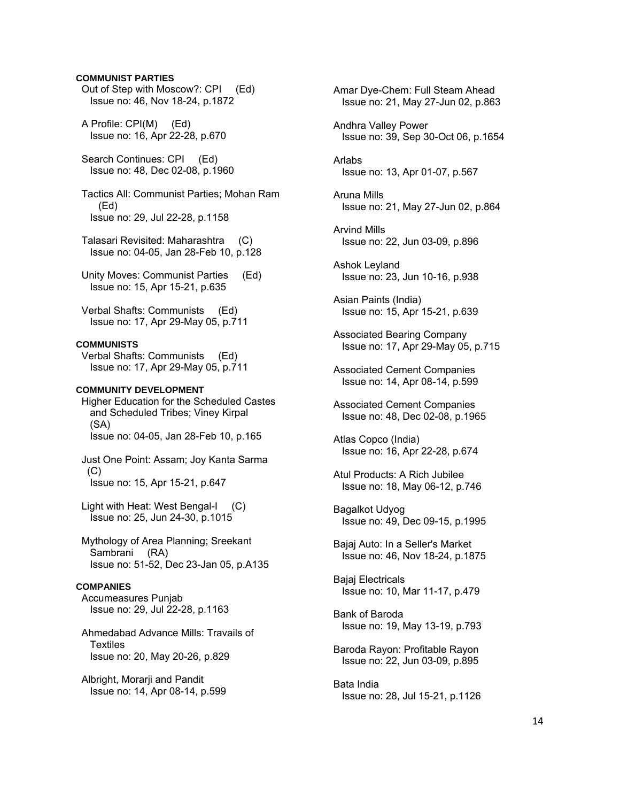## **COMMUNIST PARTIES**

 Out of Step with Moscow?: CPI (Ed) Issue no: 46, Nov 18-24, p.1872

 A Profile: CPI(M) (Ed) Issue no: 16, Apr 22-28, p.670

 Search Continues: CPI (Ed) Issue no: 48, Dec 02-08, p.1960

 Tactics All: Communist Parties; Mohan Ram (Ed) Issue no: 29, Jul 22-28, p.1158

 Talasari Revisited: Maharashtra (C) Issue no: 04-05, Jan 28-Feb 10, p.128

 Unity Moves: Communist Parties (Ed) Issue no: 15, Apr 15-21, p.635

 Verbal Shafts: Communists (Ed) Issue no: 17, Apr 29-May 05, p.711

## **COMMUNISTS**

 Verbal Shafts: Communists (Ed) Issue no: 17, Apr 29-May 05, p.711

## **COMMUNITY DEVELOPMENT**

 Higher Education for the Scheduled Castes and Scheduled Tribes; Viney Kirpal (SA) Issue no: 04-05, Jan 28-Feb 10, p.165

 Just One Point: Assam; Joy Kanta Sarma (C) Issue no: 15, Apr 15-21, p.647

 Light with Heat: West Bengal-I (C) Issue no: 25, Jun 24-30, p.1015

 Mythology of Area Planning; Sreekant Sambrani (RA) Issue no: 51-52, Dec 23-Jan 05, p.A135

#### **COMPANIES**

 Accumeasures Punjab Issue no: 29, Jul 22-28, p.1163

 Ahmedabad Advance Mills: Travails of Textiles Issue no: 20, May 20-26, p.829

 Albright, Morarji and Pandit Issue no: 14, Apr 08-14, p.599  Amar Dye-Chem: Full Steam Ahead Issue no: 21, May 27-Jun 02, p.863

 Andhra Valley Power Issue no: 39, Sep 30-Oct 06, p.1654

 Arlabs Issue no: 13, Apr 01-07, p.567

 Aruna Mills Issue no: 21, May 27-Jun 02, p.864

 Arvind Mills Issue no: 22, Jun 03-09, p.896

 Ashok Leyland Issue no: 23, Jun 10-16, p.938

 Asian Paints (India) Issue no: 15, Apr 15-21, p.639

 Associated Bearing Company Issue no: 17, Apr 29-May 05, p.715

 Associated Cement Companies Issue no: 14, Apr 08-14, p.599

 Associated Cement Companies Issue no: 48, Dec 02-08, p.1965

 Atlas Copco (India) Issue no: 16, Apr 22-28, p.674

 Atul Products: A Rich Jubilee Issue no: 18, May 06-12, p.746

 Bagalkot Udyog Issue no: 49, Dec 09-15, p.1995

 Bajaj Auto: In a Seller's Market Issue no: 46, Nov 18-24, p.1875

 Bajaj Electricals Issue no: 10, Mar 11-17, p.479

 Bank of Baroda Issue no: 19, May 13-19, p.793

 Baroda Rayon: Profitable Rayon Issue no: 22, Jun 03-09, p.895

 Bata India Issue no: 28, Jul 15-21, p.1126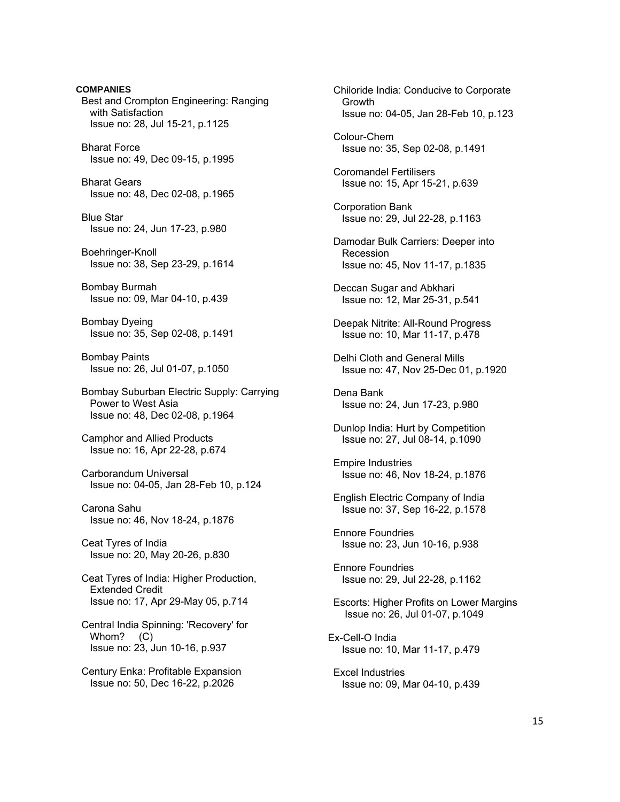**COMPANIES**  Best and Crompton Engineering: Ranging with Satisfaction Issue no: 28, Jul 15-21, p.1125 Bharat Force Issue no: 49, Dec 09-15, p.1995 Bharat Gears Issue no: 48, Dec 02-08, p.1965 Blue Star Issue no: 24, Jun 17-23, p.980 Boehringer-Knoll Issue no: 38, Sep 23-29, p.1614 Bombay Burmah Issue no: 09, Mar 04-10, p.439 Bombay Dyeing Issue no: 35, Sep 02-08, p.1491 Bombay Paints Issue no: 26, Jul 01-07, p.1050 Bombay Suburban Electric Supply: Carrying Power to West Asia Issue no: 48, Dec 02-08, p.1964 Camphor and Allied Products Issue no: 16, Apr 22-28, p.674 Carborandum Universal Issue no: 04-05, Jan 28-Feb 10, p.124 Carona Sahu Issue no: 46, Nov 18-24, p.1876 Ceat Tyres of India Issue no: 20, May 20-26, p.830 Ceat Tyres of India: Higher Production, Extended Credit Issue no: 17, Apr 29-May 05, p.714 Central India Spinning: 'Recovery' for Whom? (C) Issue no: 23, Jun 10-16, p.937 Century Enka: Profitable Expansion Issue no: 50, Dec 16-22, p.2026

 Chiloride India: Conducive to Corporate Growth Issue no: 04-05, Jan 28-Feb 10, p.123 Colour-Chem Issue no: 35, Sep 02-08, p.1491 Coromandel Fertilisers Issue no: 15, Apr 15-21, p.639

 Corporation Bank Issue no: 29, Jul 22-28, p.1163

 Damodar Bulk Carriers: Deeper into Recession Issue no: 45, Nov 11-17, p.1835

 Deccan Sugar and Abkhari Issue no: 12, Mar 25-31, p.541

 Deepak Nitrite: All-Round Progress Issue no: 10, Mar 11-17, p.478

 Delhi Cloth and General Mills Issue no: 47, Nov 25-Dec 01, p.1920

 Dena Bank Issue no: 24, Jun 17-23, p.980

 Dunlop India: Hurt by Competition Issue no: 27, Jul 08-14, p.1090

 Empire Industries Issue no: 46, Nov 18-24, p.1876

 English Electric Company of India Issue no: 37, Sep 16-22, p.1578

 Ennore Foundries Issue no: 23, Jun 10-16, p.938

 Ennore Foundries Issue no: 29, Jul 22-28, p.1162

 Escorts: Higher Profits on Lower Margins Issue no: 26, Jul 01-07, p.1049

Ex-Cell-O India Issue no: 10, Mar 11-17, p.479

 Excel Industries Issue no: 09, Mar 04-10, p.439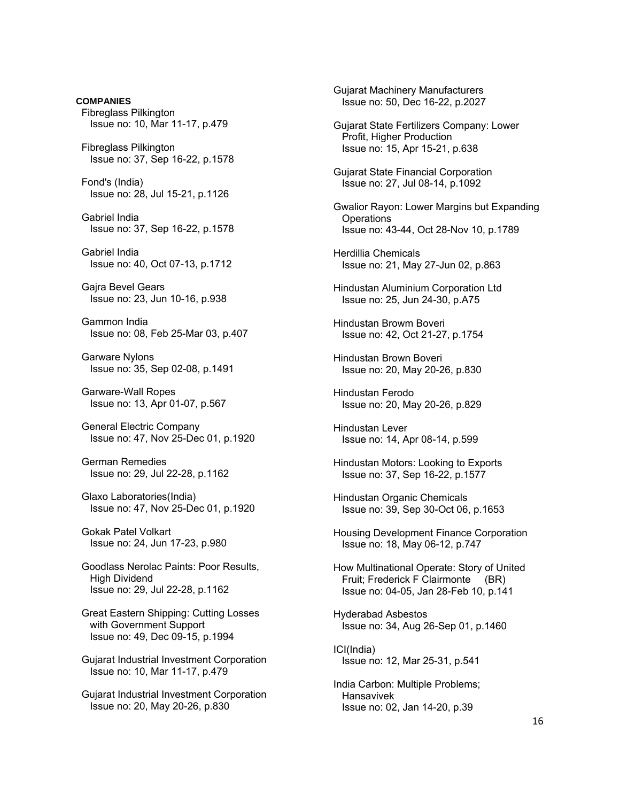**COMPANIES**  Fibreglass Pilkington Issue no: 10, Mar 11-17, p.479 Fibreglass Pilkington Issue no: 37, Sep 16-22, p.1578 Fond's (India) Issue no: 28, Jul 15-21, p.1126 Gabriel India Issue no: 37, Sep 16-22, p.1578 Gabriel India Issue no: 40, Oct 07-13, p.1712 Gajra Bevel Gears Issue no: 23, Jun 10-16, p.938 Gammon India Issue no: 08, Feb 25-Mar 03, p.407 Garware Nylons Issue no: 35, Sep 02-08, p.1491 Garware-Wall Ropes Issue no: 13, Apr 01-07, p.567 General Electric Company Issue no: 47, Nov 25-Dec 01, p.1920 German Remedies Issue no: 29, Jul 22-28, p.1162 Glaxo Laboratories(India) Issue no: 47, Nov 25-Dec 01, p.1920 Gokak Patel Volkart Issue no: 24, Jun 17-23, p.980 Goodlass Nerolac Paints: Poor Results, High Dividend Issue no: 29, Jul 22-28, p.1162 Great Eastern Shipping: Cutting Losses with Government Support Issue no: 49, Dec 09-15, p.1994 Gujarat Industrial Investment Corporation Issue no: 10, Mar 11-17, p.479 Gujarat Industrial Investment Corporation

Issue no: 20, May 20-26, p.830

 Gujarat Machinery Manufacturers Issue no: 50, Dec 16-22, p.2027

 Gujarat State Fertilizers Company: Lower Profit, Higher Production Issue no: 15, Apr 15-21, p.638

 Gujarat State Financial Corporation Issue no: 27, Jul 08-14, p.1092

 Gwalior Rayon: Lower Margins but Expanding **Operations** Issue no: 43-44, Oct 28-Nov 10, p.1789

 Herdillia Chemicals Issue no: 21, May 27-Jun 02, p.863

 Hindustan Aluminium Corporation Ltd Issue no: 25, Jun 24-30, p.A75

 Hindustan Browm Boveri Issue no: 42, Oct 21-27, p.1754

 Hindustan Brown Boveri Issue no: 20, May 20-26, p.830

 Hindustan Ferodo Issue no: 20, May 20-26, p.829

 Hindustan Lever Issue no: 14, Apr 08-14, p.599

 Hindustan Motors: Looking to Exports Issue no: 37, Sep 16-22, p.1577

 Hindustan Organic Chemicals Issue no: 39, Sep 30-Oct 06, p.1653

 Housing Development Finance Corporation Issue no: 18, May 06-12, p.747

 How Multinational Operate: Story of United Fruit; Frederick F Clairmonte (BR) Issue no: 04-05, Jan 28-Feb 10, p.141

 Hyderabad Asbestos Issue no: 34, Aug 26-Sep 01, p.1460

 ICI(India) Issue no: 12, Mar 25-31, p.541

 India Carbon: Multiple Problems; Hansavivek Issue no: 02, Jan 14-20, p.39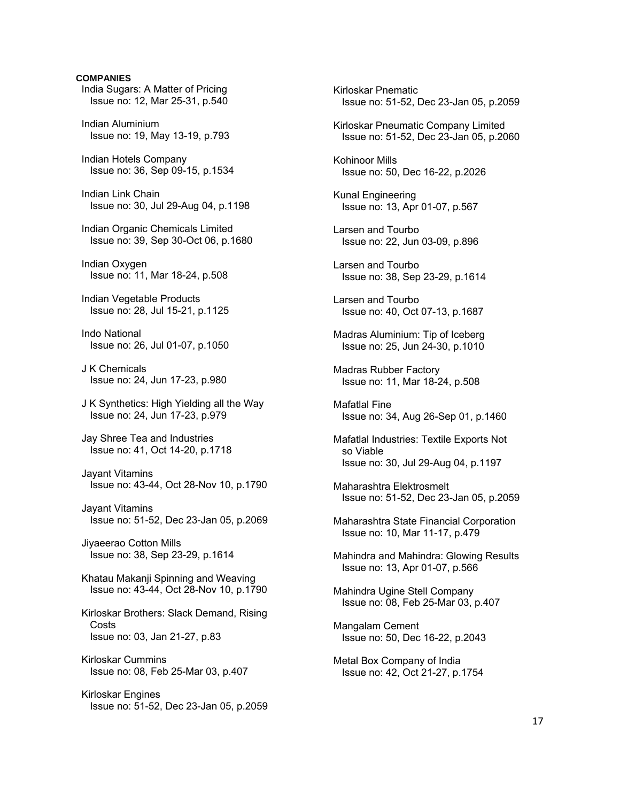# **COMPANIES**  India Sugars: A Matter of Pricing Issue no: 12, Mar 25-31, p.540 Indian Aluminium Issue no: 19, May 13-19, p.793 Indian Hotels Company Issue no: 36, Sep 09-15, p.1534 Indian Link Chain Issue no: 30, Jul 29-Aug 04, p.1198 Indian Organic Chemicals Limited Issue no: 39, Sep 30-Oct 06, p.1680 Indian Oxygen Issue no: 11, Mar 18-24, p.508 Indian Vegetable Products Issue no: 28, Jul 15-21, p.1125 Indo National Issue no: 26, Jul 01-07, p.1050 J K Chemicals Issue no: 24, Jun 17-23, p.980 J K Synthetics: High Yielding all the Way Issue no: 24, Jun 17-23, p.979 Jay Shree Tea and Industries Issue no: 41, Oct 14-20, p.1718 Jayant Vitamins Issue no: 43-44, Oct 28-Nov 10, p.1790 Jayant Vitamins Issue no: 51-52, Dec 23-Jan 05, p.2069 Jiyaeerao Cotton Mills Issue no: 38, Sep 23-29, p.1614 Khatau Makanji Spinning and Weaving Issue no: 43-44, Oct 28-Nov 10, p.1790 Kirloskar Brothers: Slack Demand, Rising **Costs**  Issue no: 03, Jan 21-27, p.83 Kirloskar Cummins Issue no: 08, Feb 25-Mar 03, p.407 Kirloskar Engines Issue no: 51-52, Dec 23-Jan 05, p.2059

 Kirloskar Pnematic Issue no: 51-52, Dec 23-Jan 05, p.2059 Kirloskar Pneumatic Company Limited Issue no: 51-52, Dec 23-Jan 05, p.2060 Kohinoor Mills Issue no: 50, Dec 16-22, p.2026 Kunal Engineering Issue no: 13, Apr 01-07, p.567 Larsen and Tourbo Issue no: 22, Jun 03-09, p.896 Larsen and Tourbo Issue no: 38, Sep 23-29, p.1614 Larsen and Tourbo Issue no: 40, Oct 07-13, p.1687 Madras Aluminium: Tip of Iceberg Issue no: 25, Jun 24-30, p.1010 Madras Rubber Factory Issue no: 11, Mar 18-24, p.508 Mafatlal Fine Issue no: 34, Aug 26-Sep 01, p.1460 Mafatlal Industries: Textile Exports Not so Viable Issue no: 30, Jul 29-Aug 04, p.1197 Maharashtra Elektrosmelt Issue no: 51-52, Dec 23-Jan 05, p.2059 Maharashtra State Financial Corporation Issue no: 10, Mar 11-17, p.479 Mahindra and Mahindra: Glowing Results Issue no: 13, Apr 01-07, p.566 Mahindra Ugine Stell Company Issue no: 08, Feb 25-Mar 03, p.407 Mangalam Cement Issue no: 50, Dec 16-22, p.2043 Metal Box Company of India Issue no: 42, Oct 21-27, p.1754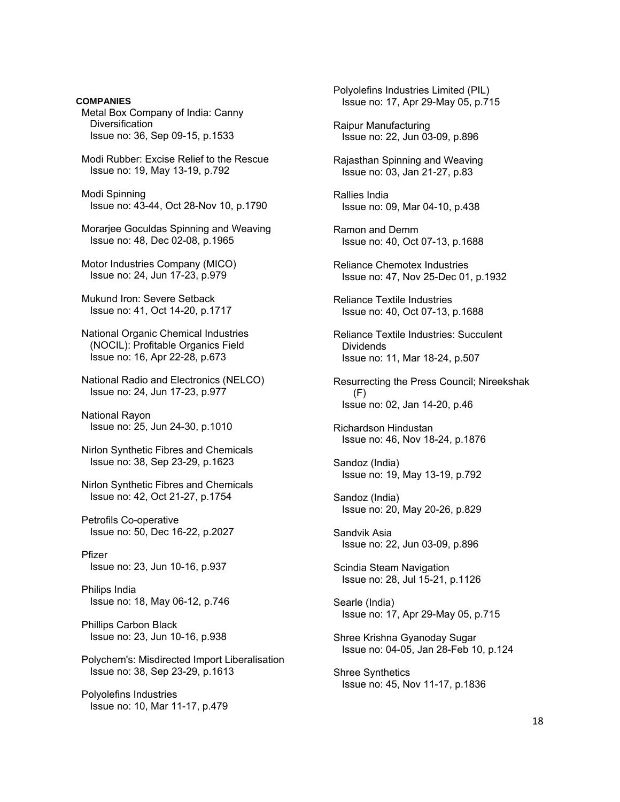**COMPANIES**  Metal Box Company of India: Canny **Diversification**  Issue no: 36, Sep 09-15, p.1533 Modi Rubber: Excise Relief to the Rescue Issue no: 19, May 13-19, p.792 Modi Spinning Issue no: 43-44, Oct 28-Nov 10, p.1790 Morarjee Goculdas Spinning and Weaving Issue no: 48, Dec 02-08, p.1965 Motor Industries Company (MICO) Issue no: 24, Jun 17-23, p.979 Mukund Iron: Severe Setback Issue no: 41, Oct 14-20, p.1717 National Organic Chemical Industries (NOCIL): Profitable Organics Field Issue no: 16, Apr 22-28, p.673 National Radio and Electronics (NELCO) Issue no: 24, Jun 17-23, p.977 National Rayon Issue no: 25, Jun 24-30, p.1010 Nirlon Synthetic Fibres and Chemicals Issue no: 38, Sep 23-29, p.1623 Nirlon Synthetic Fibres and Chemicals Issue no: 42, Oct 21-27, p.1754 Petrofils Co-operative Issue no: 50, Dec 16-22, p.2027 Pfizer Issue no: 23, Jun 10-16, p.937 Philips India Issue no: 18, May 06-12, p.746 Phillips Carbon Black Issue no: 23, Jun 10-16, p.938 Polychem's: Misdirected Import Liberalisation Issue no: 38, Sep 23-29, p.1613 Polyolefins Industries Issue no: 10, Mar 11-17, p.479

 Polyolefins Industries Limited (PIL) Issue no: 17, Apr 29-May 05, p.715 Raipur Manufacturing Issue no: 22, Jun 03-09, p.896 Rajasthan Spinning and Weaving Issue no: 03, Jan 21-27, p.83 Rallies India Issue no: 09, Mar 04-10, p.438 Ramon and Demm Issue no: 40, Oct 07-13, p.1688 Reliance Chemotex Industries Issue no: 47, Nov 25-Dec 01, p.1932 Reliance Textile Industries Issue no: 40, Oct 07-13, p.1688 Reliance Textile Industries: Succulent **Dividends**  Issue no: 11, Mar 18-24, p.507 Resurrecting the Press Council; Nireekshak (F) Issue no: 02, Jan 14-20, p.46 Richardson Hindustan Issue no: 46, Nov 18-24, p.1876 Sandoz (India) Issue no: 19, May 13-19, p.792 Sandoz (India) Issue no: 20, May 20-26, p.829 Sandvik Asia Issue no: 22, Jun 03-09, p.896 Scindia Steam Navigation Issue no: 28, Jul 15-21, p.1126 Searle (India) Issue no: 17, Apr 29-May 05, p.715 Shree Krishna Gyanoday Sugar Issue no: 04-05, Jan 28-Feb 10, p.124 Shree Synthetics Issue no: 45, Nov 11-17, p.1836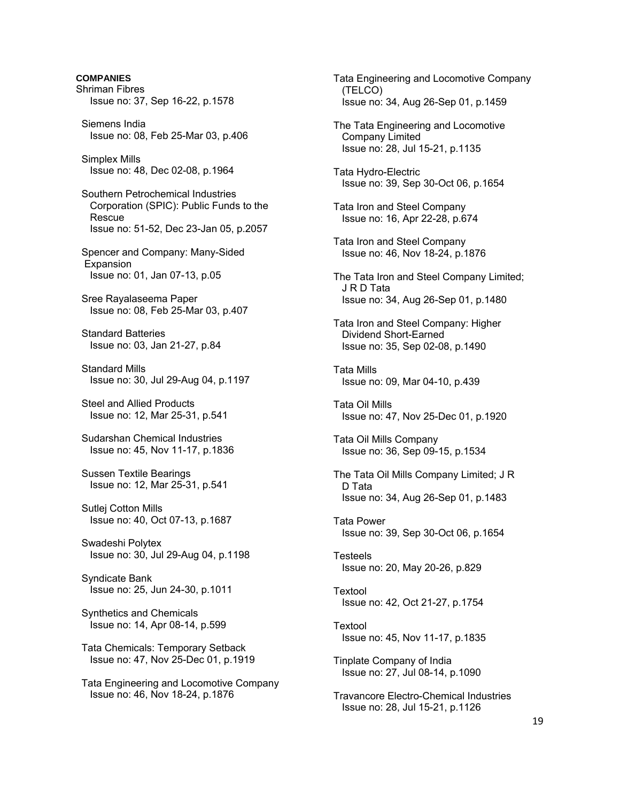**COMPANIES**  Shriman Fibres Issue no: 37, Sep 16-22, p.1578 Siemens India Issue no: 08, Feb 25-Mar 03, p.406 Simplex Mills Issue no: 48, Dec 02-08, p.1964 Southern Petrochemical Industries Corporation (SPIC): Public Funds to the Rescue Issue no: 51-52, Dec 23-Jan 05, p.2057 Spencer and Company: Many-Sided **Expansion**  Issue no: 01, Jan 07-13, p.05 Sree Rayalaseema Paper Issue no: 08, Feb 25-Mar 03, p.407 Standard Batteries Issue no: 03, Jan 21-27, p.84 Standard Mills Issue no: 30, Jul 29-Aug 04, p.1197 Steel and Allied Products Issue no: 12, Mar 25-31, p.541 Sudarshan Chemical Industries Issue no: 45, Nov 11-17, p.1836 Sussen Textile Bearings Issue no: 12, Mar 25-31, p.541 Sutlej Cotton Mills Issue no: 40, Oct 07-13, p.1687 Swadeshi Polytex Issue no: 30, Jul 29-Aug 04, p.1198 Syndicate Bank Issue no: 25, Jun 24-30, p.1011 Synthetics and Chemicals Issue no: 14, Apr 08-14, p.599 Tata Chemicals: Temporary Setback Issue no: 47, Nov 25-Dec 01, p.1919 Tata Engineering and Locomotive Company Issue no: 46, Nov 18-24, p.1876

 Tata Engineering and Locomotive Company (TELCO) Issue no: 34, Aug 26-Sep 01, p.1459 The Tata Engineering and Locomotive Company Limited Issue no: 28, Jul 15-21, p.1135 Tata Hydro-Electric Issue no: 39, Sep 30-Oct 06, p.1654 Tata Iron and Steel Company Issue no: 16, Apr 22-28, p.674 Tata Iron and Steel Company Issue no: 46, Nov 18-24, p.1876 The Tata Iron and Steel Company Limited; J R D Tata Issue no: 34, Aug 26-Sep 01, p.1480 Tata Iron and Steel Company: Higher Dividend Short-Earned Issue no: 35, Sep 02-08, p.1490 Tata Mills Issue no: 09, Mar 04-10, p.439 Tata Oil Mills Issue no: 47, Nov 25-Dec 01, p.1920 Tata Oil Mills Company Issue no: 36, Sep 09-15, p.1534 The Tata Oil Mills Company Limited; J R D Tata Issue no: 34, Aug 26-Sep 01, p.1483 Tata Power Issue no: 39, Sep 30-Oct 06, p.1654 Testeels Issue no: 20, May 20-26, p.829 Textool Issue no: 42, Oct 21-27, p.1754 Textool Issue no: 45, Nov 11-17, p.1835 Tinplate Company of India Issue no: 27, Jul 08-14, p.1090 Travancore Electro-Chemical Industries Issue no: 28, Jul 15-21, p.1126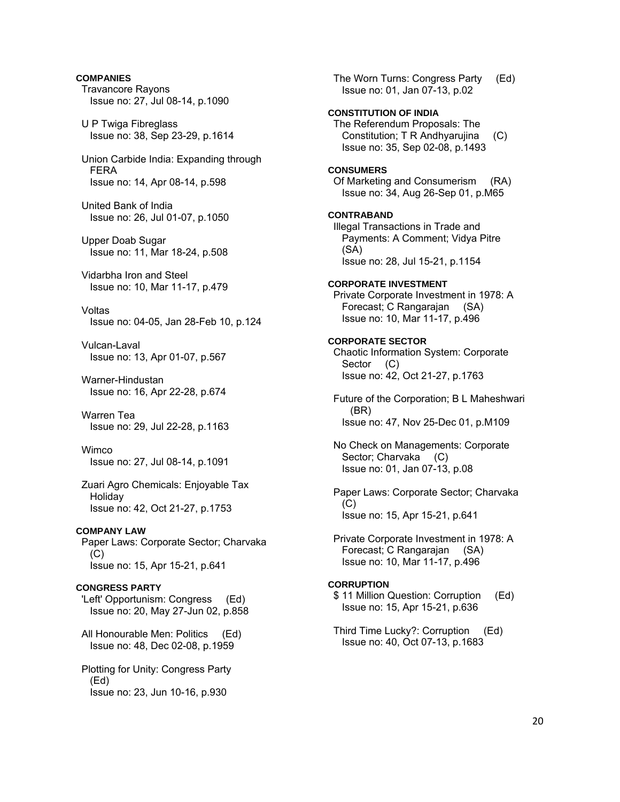## **COMPANIES**

- Travancore Rayons Issue no: 27, Jul 08-14, p.1090
- U P Twiga Fibreglass Issue no: 38, Sep 23-29, p.1614
- Union Carbide India: Expanding through FERA Issue no: 14, Apr 08-14, p.598
- United Bank of India Issue no: 26, Jul 01-07, p.1050
- Upper Doab Sugar Issue no: 11, Mar 18-24, p.508
- Vidarbha Iron and Steel Issue no: 10, Mar 11-17, p.479
- Voltas Issue no: 04-05, Jan 28-Feb 10, p.124
- Vulcan-Laval Issue no: 13, Apr 01-07, p.567
- Warner-Hindustan Issue no: 16, Apr 22-28, p.674
- Warren Tea Issue no: 29, Jul 22-28, p.1163
- **Wimco** Issue no: 27, Jul 08-14, p.1091
- Zuari Agro Chemicals: Enjoyable Tax Holiday Issue no: 42, Oct 21-27, p.1753
- **COMPANY LAW**
- Paper Laws: Corporate Sector; Charvaka  $(C)$ Issue no: 15, Apr 15-21, p.641

## **CONGRESS PARTY**

- 'Left' Opportunism: Congress (Ed) Issue no: 20, May 27-Jun 02, p.858
- All Honourable Men: Politics (Ed) Issue no: 48, Dec 02-08, p.1959
- Plotting for Unity: Congress Party (Ed) Issue no: 23, Jun 10-16, p.930

 The Worn Turns: Congress Party (Ed) Issue no: 01, Jan 07-13, p.02 **CONSTITUTION OF INDIA**  The Referendum Proposals: The Constitution; T R Andhyarujina (C) Issue no: 35, Sep 02-08, p.1493 **CONSUMERS**  Of Marketing and Consumerism (RA) Issue no: 34, Aug 26-Sep 01, p.M65 **CONTRABAND**  Illegal Transactions in Trade and Payments: A Comment; Vidya Pitre (SA) Issue no: 28, Jul 15-21, p.1154 **CORPORATE INVESTMENT**  Private Corporate Investment in 1978: A Forecast; C Rangarajan (SA) Issue no: 10, Mar 11-17, p.496 **CORPORATE SECTOR**  Chaotic Information System: Corporate Sector (C) Issue no: 42, Oct 21-27, p.1763 Future of the Corporation; B L Maheshwari (BR) Issue no: 47, Nov 25-Dec 01, p.M109 No Check on Managements: Corporate Sector; Charvaka (C) Issue no: 01, Jan 07-13, p.08 Paper Laws: Corporate Sector; Charvaka (C) Issue no: 15, Apr 15-21, p.641 Private Corporate Investment in 1978: A Forecast; C Rangarajan (SA) Issue no: 10, Mar 11-17, p.496 **CORRUPTION** 

- \$ 11 Million Question: Corruption (Ed) Issue no: 15, Apr 15-21, p.636
- Third Time Lucky?: Corruption (Ed) Issue no: 40, Oct 07-13, p.1683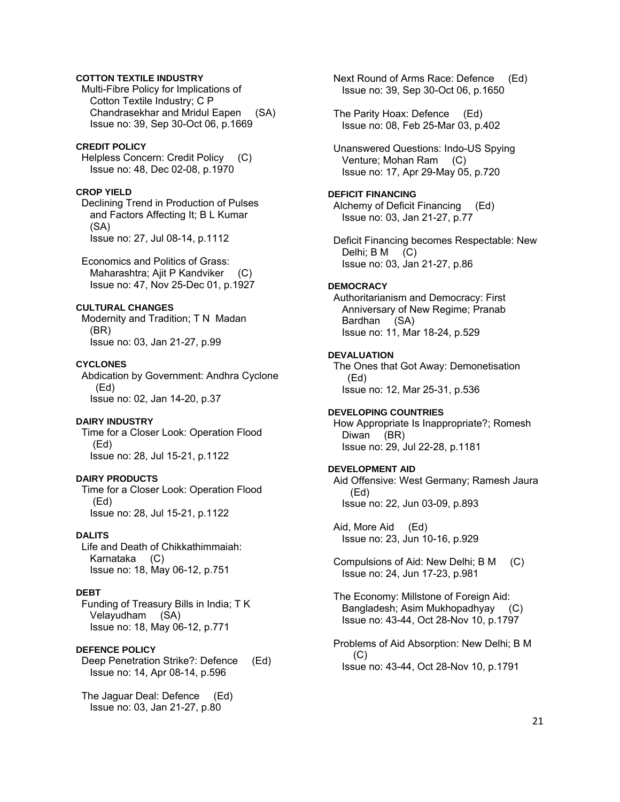## **COTTON TEXTILE INDUSTRY**

 Multi-Fibre Policy for Implications of Cotton Textile Industry; C P Chandrasekhar and Mridul Eapen (SA) Issue no: 39, Sep 30-Oct 06, p.1669

### **CREDIT POLICY**

 Helpless Concern: Credit Policy (C) Issue no: 48, Dec 02-08, p.1970

### **CROP YIELD**

 Declining Trend in Production of Pulses and Factors Affecting It; B L Kumar (SA) Issue no: 27, Jul 08-14, p.1112

 Economics and Politics of Grass: Maharashtra; Ajit P Kandviker (C) Issue no: 47, Nov 25-Dec 01, p.1927

## **CULTURAL CHANGES**

 Modernity and Tradition; T N Madan (BR) Issue no: 03, Jan 21-27, p.99

#### **CYCLONES**

 Abdication by Government: Andhra Cyclone (Ed) Issue no: 02, Jan 14-20, p.37

#### **DAIRY INDUSTRY**

 Time for a Closer Look: Operation Flood (Ed) Issue no: 28, Jul 15-21, p.1122

## **DAIRY PRODUCTS**

 Time for a Closer Look: Operation Flood (Ed) Issue no: 28, Jul 15-21, p.1122

## **DALITS**

 Life and Death of Chikkathimmaiah: Karnataka (C) Issue no: 18, May 06-12, p.751

### **DEBT**

 Funding of Treasury Bills in India; T K Velayudham (SA) Issue no: 18, May 06-12, p.771

#### **DEFENCE POLICY**

 Deep Penetration Strike?: Defence (Ed) Issue no: 14, Apr 08-14, p.596

 The Jaguar Deal: Defence (Ed) Issue no: 03, Jan 21-27, p.80

 Next Round of Arms Race: Defence (Ed) Issue no: 39, Sep 30-Oct 06, p.1650

 The Parity Hoax: Defence (Ed) Issue no: 08, Feb 25-Mar 03, p.402

 Unanswered Questions: Indo-US Spying Venture; Mohan Ram (C) Issue no: 17, Apr 29-May 05, p.720

### **DEFICIT FINANCING**

 Alchemy of Deficit Financing (Ed) Issue no: 03, Jan 21-27, p.77

 Deficit Financing becomes Respectable: New Delhi; B M (C) Issue no: 03, Jan 21-27, p.86

### **DEMOCRACY**

 Authoritarianism and Democracy: First Anniversary of New Regime; Pranab Bardhan (SA) Issue no: 11, Mar 18-24, p.529

#### **DEVALUATION**

 The Ones that Got Away: Demonetisation (Ed) Issue no: 12, Mar 25-31, p.536

#### **DEVELOPING COUNTRIES**

 How Appropriate Is Inappropriate?; Romesh Diwan (BR) Issue no: 29, Jul 22-28, p.1181

### **DEVELOPMENT AID**

 Aid Offensive: West Germany; Ramesh Jaura (Ed) Issue no: 22, Jun 03-09, p.893

 Aid, More Aid (Ed) Issue no: 23, Jun 10-16, p.929

 Compulsions of Aid: New Delhi; B M (C) Issue no: 24, Jun 17-23, p.981

 The Economy: Millstone of Foreign Aid: Bangladesh; Asim Mukhopadhyay (C) Issue no: 43-44, Oct 28-Nov 10, p.1797

 Problems of Aid Absorption: New Delhi; B M  $(C)$ Issue no: 43-44, Oct 28-Nov 10, p.1791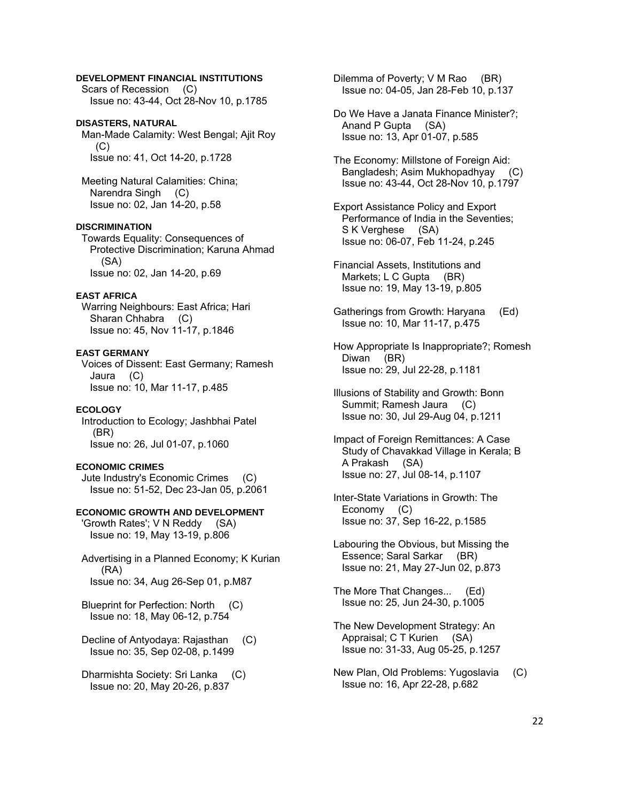## **DEVELOPMENT FINANCIAL INSTITUTIONS**

 Scars of Recession (C) Issue no: 43-44, Oct 28-Nov 10, p.1785

# **DISASTERS, NATURAL**

 Man-Made Calamity: West Bengal; Ajit Roy  $(C)$ Issue no: 41, Oct 14-20, p.1728

 Meeting Natural Calamities: China; Narendra Singh (C) Issue no: 02, Jan 14-20, p.58

#### **DISCRIMINATION**

 Towards Equality: Consequences of Protective Discrimination; Karuna Ahmad (SA) Issue no: 02, Jan 14-20, p.69

### **EAST AFRICA**

 Warring Neighbours: East Africa; Hari Sharan Chhabra (C) Issue no: 45, Nov 11-17, p.1846

#### **EAST GERMANY**

 Voices of Dissent: East Germany; Ramesh Jaura (C) Issue no: 10, Mar 11-17, p.485

### **ECOLOGY**

 Introduction to Ecology; Jashbhai Patel (BR) Issue no: 26, Jul 01-07, p.1060

#### **ECONOMIC CRIMES**

 Jute Industry's Economic Crimes (C) Issue no: 51-52, Dec 23-Jan 05, p.2061

#### **ECONOMIC GROWTH AND DEVELOPMENT**

 'Growth Rates'; V N Reddy (SA) Issue no: 19, May 13-19, p.806

 Advertising in a Planned Economy; K Kurian (RA) Issue no: 34, Aug 26-Sep 01, p.M87

 Blueprint for Perfection: North (C) Issue no: 18, May 06-12, p.754

 Decline of Antyodaya: Rajasthan (C) Issue no: 35, Sep 02-08, p.1499

 Dharmishta Society: Sri Lanka (C) Issue no: 20, May 20-26, p.837

Dilemma of Poverty; V M Rao (BR) Issue no: 04-05, Jan 28-Feb 10, p.137

 Do We Have a Janata Finance Minister?; Anand P Gupta (SA) Issue no: 13, Apr 01-07, p.585

 The Economy: Millstone of Foreign Aid: Bangladesh; Asim Mukhopadhyay (C) Issue no: 43-44, Oct 28-Nov 10, p.1797

- Export Assistance Policy and Export Performance of India in the Seventies; S K Verghese (SA) Issue no: 06-07, Feb 11-24, p.245
- Financial Assets, Institutions and Markets; L C Gupta (BR) Issue no: 19, May 13-19, p.805
- Gatherings from Growth: Haryana (Ed) Issue no: 10, Mar 11-17, p.475
- How Appropriate Is Inappropriate?; Romesh Diwan (BR) Issue no: 29, Jul 22-28, p.1181
- Illusions of Stability and Growth: Bonn Summit; Ramesh Jaura (C) Issue no: 30, Jul 29-Aug 04, p.1211
- Impact of Foreign Remittances: A Case Study of Chavakkad Village in Kerala; B A Prakash (SA) Issue no: 27, Jul 08-14, p.1107
- Inter-State Variations in Growth: The Economy (C) Issue no: 37, Sep 16-22, p.1585
- Labouring the Obvious, but Missing the Essence; Saral Sarkar (BR) Issue no: 21, May 27-Jun 02, p.873

 The More That Changes... (Ed) Issue no: 25, Jun 24-30, p.1005

- The New Development Strategy: An Appraisal; C T Kurien (SA) Issue no: 31-33, Aug 05-25, p.1257
- New Plan, Old Problems: Yugoslavia (C) Issue no: 16, Apr 22-28, p.682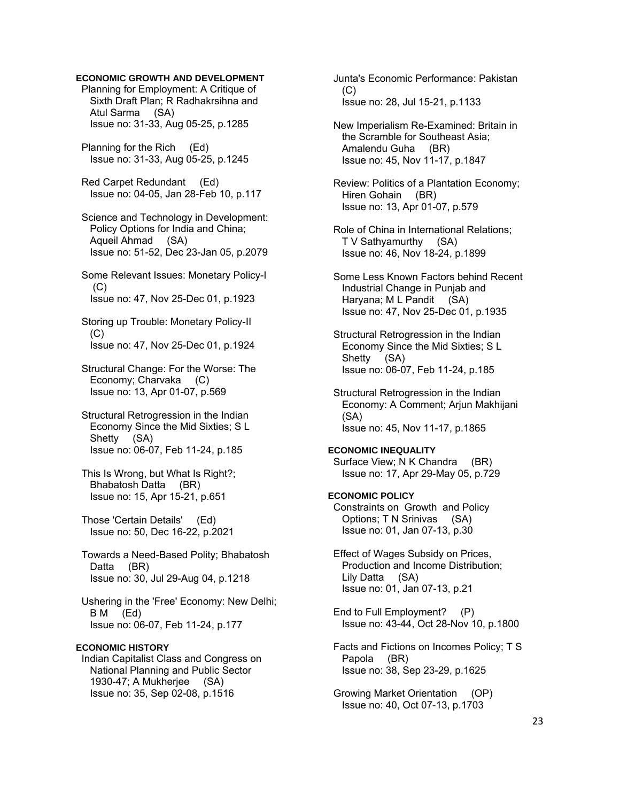## **ECONOMIC GROWTH AND DEVELOPMENT**

 Planning for Employment: A Critique of Sixth Draft Plan; R Radhakrsihna and Atul Sarma (SA) Issue no: 31-33, Aug 05-25, p.1285

 Planning for the Rich (Ed) Issue no: 31-33, Aug 05-25, p.1245

 Red Carpet Redundant (Ed) Issue no: 04-05, Jan 28-Feb 10, p.117

 Science and Technology in Development: Policy Options for India and China; Aqueil Ahmad (SA) Issue no: 51-52, Dec 23-Jan 05, p.2079

- Some Relevant Issues: Monetary Policy-I (C) Issue no: 47, Nov 25-Dec 01, p.1923
- Storing up Trouble: Monetary Policy-II (C) Issue no: 47, Nov 25-Dec 01, p.1924
- Structural Change: For the Worse: The Economy; Charvaka (C) Issue no: 13, Apr 01-07, p.569
- Structural Retrogression in the Indian Economy Since the Mid Sixties; S L Shetty (SA) Issue no: 06-07, Feb 11-24, p.185
- This Is Wrong, but What Is Right?; Bhabatosh Datta (BR) Issue no: 15, Apr 15-21, p.651
- Those 'Certain Details' (Ed) Issue no: 50, Dec 16-22, p.2021
- Towards a Need-Based Polity; Bhabatosh Datta (BR) Issue no: 30, Jul 29-Aug 04, p.1218
- Ushering in the 'Free' Economy: New Delhi; B M (Ed) Issue no: 06-07, Feb 11-24, p.177

## **ECONOMIC HISTORY**

 Indian Capitalist Class and Congress on National Planning and Public Sector 1930-47; A Mukherjee (SA) Issue no: 35, Sep 02-08, p.1516

 Junta's Economic Performance: Pakistan  $(C)$ Issue no: 28, Jul 15-21, p.1133

 New Imperialism Re-Examined: Britain in the Scramble for Southeast Asia; Amalendu Guha (BR) Issue no: 45, Nov 11-17, p.1847

 Review: Politics of a Plantation Economy; Hiren Gohain (BR) Issue no: 13, Apr 01-07, p.579

- Role of China in International Relations; T V Sathyamurthy (SA) Issue no: 46, Nov 18-24, p.1899
- Some Less Known Factors behind Recent Industrial Change in Punjab and Haryana; M L Pandit (SA) Issue no: 47, Nov 25-Dec 01, p.1935
- Structural Retrogression in the Indian Economy Since the Mid Sixties; S L Shetty (SA) Issue no: 06-07, Feb 11-24, p.185
- Structural Retrogression in the Indian Economy: A Comment; Arjun Makhijani (SA) Issue no: 45, Nov 11-17, p.1865

## **ECONOMIC INEQUALITY**

 Surface View; N K Chandra (BR) Issue no: 17, Apr 29-May 05, p.729

## **ECONOMIC POLICY**

 Constraints on Growth and Policy Options; T N Srinivas (SA) Issue no: 01, Jan 07-13, p.30

- Effect of Wages Subsidy on Prices, Production and Income Distribution; Lily Datta (SA) Issue no: 01, Jan 07-13, p.21
- End to Full Employment? (P) Issue no: 43-44, Oct 28-Nov 10, p.1800
- Facts and Fictions on Incomes Policy; T S Papola (BR) Issue no: 38, Sep 23-29, p.1625

 Growing Market Orientation (OP) Issue no: 40, Oct 07-13, p.1703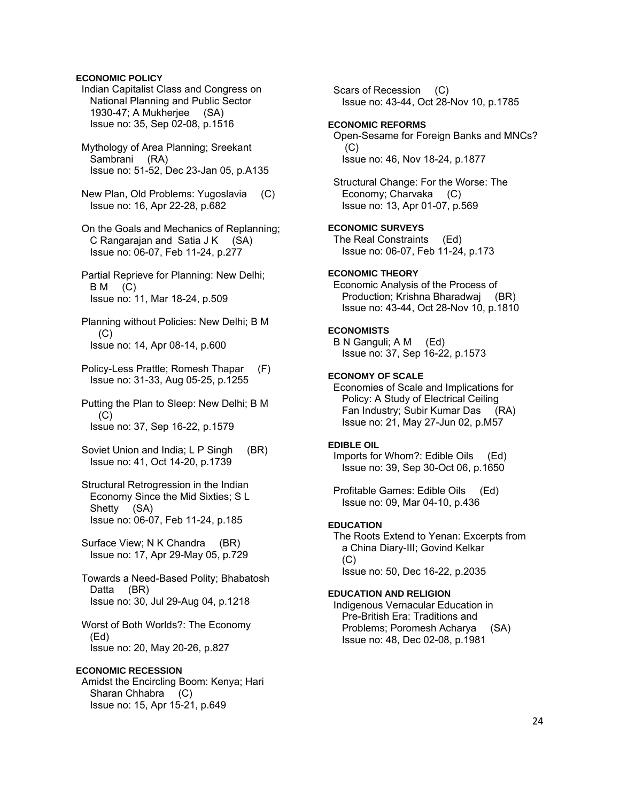## **ECONOMIC POLICY**

- Indian Capitalist Class and Congress on National Planning and Public Sector 1930-47; A Mukherjee (SA) Issue no: 35, Sep 02-08, p.1516
- Mythology of Area Planning; Sreekant Sambrani (RA) Issue no: 51-52, Dec 23-Jan 05, p.A135
- New Plan, Old Problems: Yugoslavia (C) Issue no: 16, Apr 22-28, p.682
- On the Goals and Mechanics of Replanning; C Rangarajan and Satia J K (SA) Issue no: 06-07, Feb 11-24, p.277
- Partial Reprieve for Planning: New Delhi;  $BM$  (C) Issue no: 11, Mar 18-24, p.509
- Planning without Policies: New Delhi; B M (C) Issue no: 14, Apr 08-14, p.600
- Policy-Less Prattle; Romesh Thapar (F) Issue no: 31-33, Aug 05-25, p.1255
- Putting the Plan to Sleep: New Delhi; B M  $(C)$ Issue no: 37, Sep 16-22, p.1579
- Soviet Union and India; L P Singh (BR) Issue no: 41, Oct 14-20, p.1739
- Structural Retrogression in the Indian Economy Since the Mid Sixties; S L Shetty (SA) Issue no: 06-07, Feb 11-24, p.185
- Surface View; N K Chandra (BR) Issue no: 17, Apr 29-May 05, p.729
- Towards a Need-Based Polity; Bhabatosh Datta (BR) Issue no: 30, Jul 29-Aug 04, p.1218
- Worst of Both Worlds?: The Economy (Ed) Issue no: 20, May 20-26, p.827

## **ECONOMIC RECESSION**

 Amidst the Encircling Boom: Kenya; Hari Sharan Chhabra (C) Issue no: 15, Apr 15-21, p.649

 Scars of Recession (C) Issue no: 43-44, Oct 28-Nov 10, p.1785 **ECONOMIC REFORMS**  Open-Sesame for Foreign Banks and MNCs?  $(C)$  Issue no: 46, Nov 18-24, p.1877 Structural Change: For the Worse: The Economy; Charvaka (C) Issue no: 13, Apr 01-07, p.569 **ECONOMIC SURVEYS**  The Real Constraints (Ed) Issue no: 06-07, Feb 11-24, p.173 **ECONOMIC THEORY**  Economic Analysis of the Process of Production; Krishna Bharadwaj (BR) Issue no: 43-44, Oct 28-Nov 10, p.1810 **ECONOMISTS**  B N Ganguli; A M (Ed) Issue no: 37, Sep 16-22, p.1573 **ECONOMY OF SCALE**  Economies of Scale and Implications for Policy: A Study of Electrical Ceiling Fan Industry; Subir Kumar Das (RA) Issue no: 21, May 27-Jun 02, p.M57 **EDIBLE OIL**  Imports for Whom?: Edible Oils (Ed) Issue no: 39, Sep 30-Oct 06, p.1650 Profitable Games: Edible Oils (Ed) Issue no: 09, Mar 04-10, p.436 **EDUCATION**  The Roots Extend to Yenan: Excerpts from a China Diary-III; Govind Kelkar (C) Issue no: 50, Dec 16-22, p.2035 **EDUCATION AND RELIGION**  Indigenous Vernacular Education in Pre-British Era: Traditions and Problems; Poromesh Acharya (SA) Issue no: 48, Dec 02-08, p.1981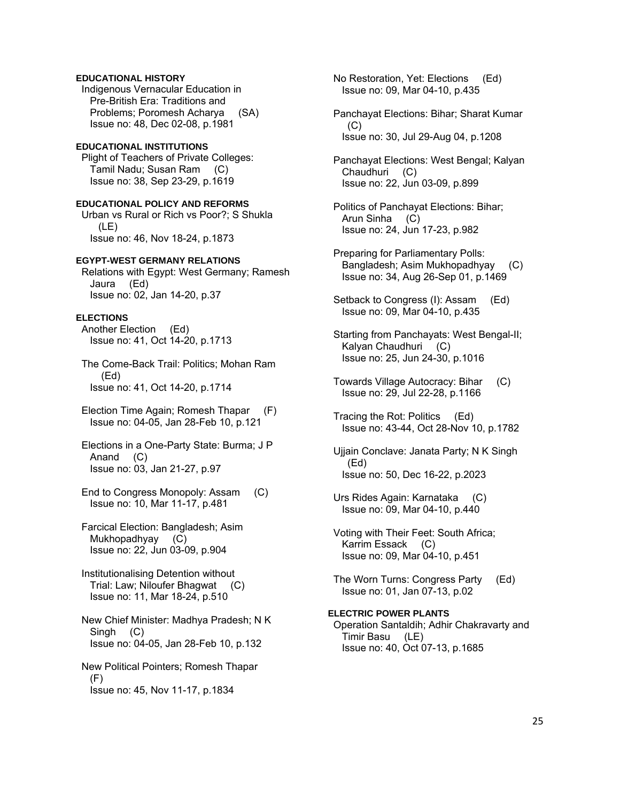## **EDUCATIONAL HISTORY**

 Indigenous Vernacular Education in Pre-British Era: Traditions and Problems; Poromesh Acharya (SA) Issue no: 48, Dec 02-08, p.1981

#### **EDUCATIONAL INSTITUTIONS**

 Plight of Teachers of Private Colleges: Tamil Nadu; Susan Ram (C) Issue no: 38, Sep 23-29, p.1619

# **EDUCATIONAL POLICY AND REFORMS**

 Urban vs Rural or Rich vs Poor?; S Shukla (LE) Issue no: 46, Nov 18-24, p.1873

#### **EGYPT-WEST GERMANY RELATIONS**

 Relations with Egypt: West Germany; Ramesh Jaura (Ed) Issue no: 02, Jan 14-20, p.37

#### **ELECTIONS**

 Another Election (Ed) Issue no: 41, Oct 14-20, p.1713

 The Come-Back Trail: Politics; Mohan Ram (Ed) Issue no: 41, Oct 14-20, p.1714

- Election Time Again; Romesh Thapar (F) Issue no: 04-05, Jan 28-Feb 10, p.121
- Elections in a One-Party State: Burma; J P Anand (C) Issue no: 03, Jan 21-27, p.97
- End to Congress Monopoly: Assam (C) Issue no: 10, Mar 11-17, p.481

 Farcical Election: Bangladesh; Asim Mukhopadhyay (C) Issue no: 22, Jun 03-09, p.904

- Institutionalising Detention without Trial: Law; Niloufer Bhagwat (C) Issue no: 11, Mar 18-24, p.510
- New Chief Minister: Madhya Pradesh; N K Singh (C) Issue no: 04-05, Jan 28-Feb 10, p.132
- New Political Pointers; Romesh Thapar (F) Issue no: 45, Nov 11-17, p.1834

 No Restoration, Yet: Elections (Ed) Issue no: 09, Mar 04-10, p.435

- Panchayat Elections: Bihar; Sharat Kumar (C) Issue no: 30, Jul 29-Aug 04, p.1208
- Panchayat Elections: West Bengal; Kalyan Chaudhuri (C) Issue no: 22, Jun 03-09, p.899
- Politics of Panchayat Elections: Bihar; Arun Sinha (C) Issue no: 24, Jun 17-23, p.982
- Preparing for Parliamentary Polls: Bangladesh; Asim Mukhopadhyay (C) Issue no: 34, Aug 26-Sep 01, p.1469
- Setback to Congress (I): Assam (Ed) Issue no: 09, Mar 04-10, p.435
- Starting from Panchayats: West Bengal-II; Kalyan Chaudhuri (C) Issue no: 25, Jun 24-30, p.1016
- Towards Village Autocracy: Bihar (C) Issue no: 29, Jul 22-28, p.1166
- Tracing the Rot: Politics (Ed) Issue no: 43-44, Oct 28-Nov 10, p.1782
- Ujjain Conclave: Janata Party; N K Singh (Ed) Issue no: 50, Dec 16-22, p.2023
- Urs Rides Again: Karnataka (C) Issue no: 09, Mar 04-10, p.440
- Voting with Their Feet: South Africa; Karrim Essack (C) Issue no: 09, Mar 04-10, p.451
- The Worn Turns: Congress Party (Ed) Issue no: 01, Jan 07-13, p.02

## **ELECTRIC POWER PLANTS**  Operation Santaldih; Adhir Chakravarty and Timir Basu (LE) Issue no: 40, Oct 07-13, p.1685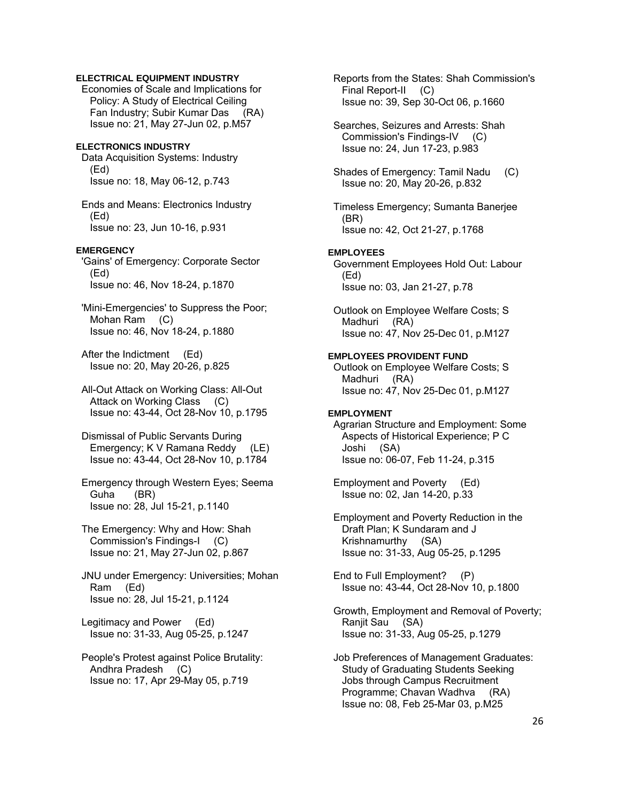## **ELECTRICAL EQUIPMENT INDUSTRY**

 Economies of Scale and Implications for Policy: A Study of Electrical Ceiling Fan Industry; Subir Kumar Das (RA) Issue no: 21, May 27-Jun 02, p.M57

## **ELECTRONICS INDUSTRY**

 Data Acquisition Systems: Industry (Ed) Issue no: 18, May 06-12, p.743

 Ends and Means: Electronics Industry (Ed) Issue no: 23, Jun 10-16, p.931

## **EMERGENCY**

 'Gains' of Emergency: Corporate Sector (Ed) Issue no: 46, Nov 18-24, p.1870

 'Mini-Emergencies' to Suppress the Poor; Mohan Ram (C) Issue no: 46, Nov 18-24, p.1880

 After the Indictment (Ed) Issue no: 20, May 20-26, p.825

 All-Out Attack on Working Class: All-Out Attack on Working Class (C) Issue no: 43-44, Oct 28-Nov 10, p.1795

 Dismissal of Public Servants During Emergency; K V Ramana Reddy (LE) Issue no: 43-44, Oct 28-Nov 10, p.1784

 Emergency through Western Eyes; Seema Guha (BR) Issue no: 28, Jul 15-21, p.1140

 The Emergency: Why and How: Shah Commission's Findings-I (C) Issue no: 21, May 27-Jun 02, p.867

 JNU under Emergency: Universities; Mohan Ram (Ed) Issue no: 28, Jul 15-21, p.1124

 Legitimacy and Power (Ed) Issue no: 31-33, Aug 05-25, p.1247

 People's Protest against Police Brutality: Andhra Pradesh (C) Issue no: 17, Apr 29-May 05, p.719

 Reports from the States: Shah Commission's Final Report-II (C) Issue no: 39, Sep 30-Oct 06, p.1660

 Searches, Seizures and Arrests: Shah Commission's Findings-IV (C) Issue no: 24, Jun 17-23, p.983

 Shades of Emergency: Tamil Nadu (C) Issue no: 20, May 20-26, p.832

 Timeless Emergency; Sumanta Banerjee (BR) Issue no: 42, Oct 21-27, p.1768

#### **EMPLOYEES**

 Government Employees Hold Out: Labour (Ed) Issue no: 03, Jan 21-27, p.78

 Outlook on Employee Welfare Costs; S Madhuri (RA) Issue no: 47, Nov 25-Dec 01, p.M127

## **EMPLOYEES PROVIDENT FUND**

 Outlook on Employee Welfare Costs; S Madhuri (RA) Issue no: 47, Nov 25-Dec 01, p.M127

### **EMPLOYMENT**

 Agrarian Structure and Employment: Some Aspects of Historical Experience; P C Joshi (SA) Issue no: 06-07, Feb 11-24, p.315

 Employment and Poverty (Ed) Issue no: 02, Jan 14-20, p.33

 Employment and Poverty Reduction in the Draft Plan; K Sundaram and J Krishnamurthy (SA) Issue no: 31-33, Aug 05-25, p.1295

 End to Full Employment? (P) Issue no: 43-44, Oct 28-Nov 10, p.1800

 Growth, Employment and Removal of Poverty; Ranjit Sau (SA) Issue no: 31-33, Aug 05-25, p.1279

 Job Preferences of Management Graduates: Study of Graduating Students Seeking Jobs through Campus Recruitment Programme; Chavan Wadhva (RA) Issue no: 08, Feb 25-Mar 03, p.M25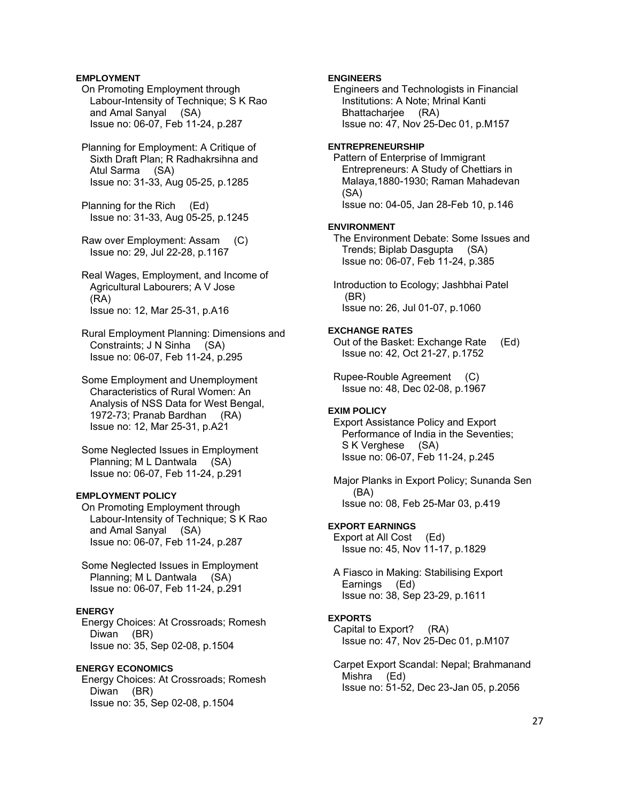## **EMPLOYMENT**

 On Promoting Employment through Labour-Intensity of Technique; S K Rao and Amal Sanyal (SA) Issue no: 06-07, Feb 11-24, p.287

 Planning for Employment: A Critique of Sixth Draft Plan; R Radhakrsihna and Atul Sarma (SA) Issue no: 31-33, Aug 05-25, p.1285

 Planning for the Rich (Ed) Issue no: 31-33, Aug 05-25, p.1245

 Raw over Employment: Assam (C) Issue no: 29, Jul 22-28, p.1167

 Real Wages, Employment, and Income of Agricultural Labourers; A V Jose (RA) Issue no: 12, Mar 25-31, p.A16

 Rural Employment Planning: Dimensions and Constraints; J N Sinha (SA) Issue no: 06-07, Feb 11-24, p.295

 Some Employment and Unemployment Characteristics of Rural Women: An Analysis of NSS Data for West Bengal, 1972-73; Pranab Bardhan (RA) Issue no: 12, Mar 25-31, p.A21

 Some Neglected Issues in Employment Planning; M L Dantwala (SA) Issue no: 06-07, Feb 11-24, p.291

## **EMPLOYMENT POLICY**

 On Promoting Employment through Labour-Intensity of Technique; S K Rao and Amal Sanyal (SA) Issue no: 06-07, Feb 11-24, p.287

 Some Neglected Issues in Employment Planning; M L Dantwala (SA) Issue no: 06-07, Feb 11-24, p.291

#### **ENERGY**

 Energy Choices: At Crossroads; Romesh Diwan (BR) Issue no: 35, Sep 02-08, p.1504

## **ENERGY ECONOMICS**

 Energy Choices: At Crossroads; Romesh Diwan (BR) Issue no: 35, Sep 02-08, p.1504

## **ENGINEERS**

 Engineers and Technologists in Financial Institutions: A Note; Mrinal Kanti Bhattacharjee (RA) Issue no: 47, Nov 25-Dec 01, p.M157

#### **ENTREPRENEURSHIP**

 Pattern of Enterprise of Immigrant Entrepreneurs: A Study of Chettiars in Malaya,1880-1930; Raman Mahadevan (SA) Issue no: 04-05, Jan 28-Feb 10, p.146

#### **ENVIRONMENT**

 The Environment Debate: Some Issues and Trends; Biplab Dasgupta (SA) Issue no: 06-07, Feb 11-24, p.385

 Introduction to Ecology; Jashbhai Patel (BR) Issue no: 26, Jul 01-07, p.1060

## **EXCHANGE RATES**

 Out of the Basket: Exchange Rate (Ed) Issue no: 42, Oct 21-27, p.1752

 Rupee-Rouble Agreement (C) Issue no: 48, Dec 02-08, p.1967

### **EXIM POLICY**

 Export Assistance Policy and Export Performance of India in the Seventies; S K Verghese (SA) Issue no: 06-07, Feb 11-24, p.245

 Major Planks in Export Policy; Sunanda Sen (BA) Issue no: 08, Feb 25-Mar 03, p.419

### **EXPORT EARNINGS**

 Export at All Cost (Ed) Issue no: 45, Nov 11-17, p.1829

 A Fiasco in Making: Stabilising Export Earnings (Ed) Issue no: 38, Sep 23-29, p.1611

## **EXPORTS**

 Capital to Export? (RA) Issue no: 47, Nov 25-Dec 01, p.M107

 Carpet Export Scandal: Nepal; Brahmanand Mishra (Ed) Issue no: 51-52, Dec 23-Jan 05, p.2056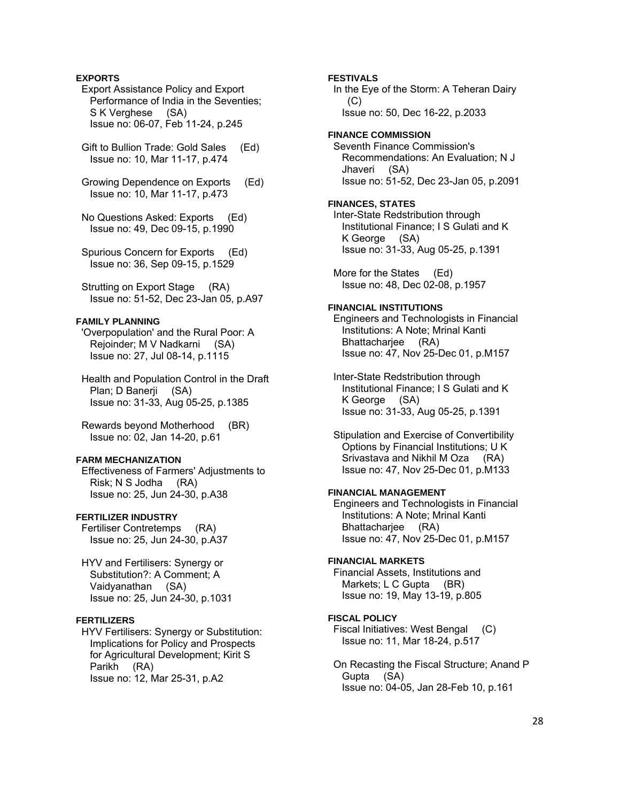## **EXPORTS**

 Export Assistance Policy and Export Performance of India in the Seventies; S K Verghese (SA) Issue no: 06-07, Feb 11-24, p.245

 Gift to Bullion Trade: Gold Sales (Ed) Issue no: 10, Mar 11-17, p.474

 Growing Dependence on Exports (Ed) Issue no: 10, Mar 11-17, p.473

 No Questions Asked: Exports (Ed) Issue no: 49, Dec 09-15, p.1990

 Spurious Concern for Exports (Ed) Issue no: 36, Sep 09-15, p.1529

 Strutting on Export Stage (RA) Issue no: 51-52, Dec 23-Jan 05, p.A97

## **FAMILY PLANNING**

 'Overpopulation' and the Rural Poor: A Rejoinder; M V Nadkarni (SA) Issue no: 27, Jul 08-14, p.1115

 Health and Population Control in the Draft Plan; D Banerji (SA) Issue no: 31-33, Aug 05-25, p.1385

 Rewards beyond Motherhood (BR) Issue no: 02, Jan 14-20, p.61

### **FARM MECHANIZATION**

 Effectiveness of Farmers' Adjustments to Risk; N S Jodha (RA) Issue no: 25, Jun 24-30, p.A38

## **FERTILIZER INDUSTRY**

 Fertiliser Contretemps (RA) Issue no: 25, Jun 24-30, p.A37

 HYV and Fertilisers: Synergy or Substitution?: A Comment; A Vaidyanathan (SA) Issue no: 25, Jun 24-30, p.1031

### **FERTILIZERS**

 HYV Fertilisers: Synergy or Substitution: Implications for Policy and Prospects for Agricultural Development; Kirit S Parikh (RA) Issue no: 12, Mar 25-31, p.A2

 In the Eye of the Storm: A Teheran Dairy  $(C)$  Issue no: 50, Dec 16-22, p.2033 **FINANCE COMMISSION** 

 Seventh Finance Commission's Recommendations: An Evaluation; N J Jhaveri (SA) Issue no: 51-52, Dec 23-Jan 05, p.2091

#### **FINANCES, STATES**

**FESTIVALS** 

 Inter-State Redstribution through Institutional Finance; I S Gulati and K K George (SA) Issue no: 31-33, Aug 05-25, p.1391

 More for the States (Ed) Issue no: 48, Dec 02-08, p.1957

## **FINANCIAL INSTITUTIONS**

 Engineers and Technologists in Financial Institutions: A Note; Mrinal Kanti Bhattachariee (RA) Issue no: 47, Nov 25-Dec 01, p.M157

 Inter-State Redstribution through Institutional Finance; I S Gulati and K K George (SA) Issue no: 31-33, Aug 05-25, p.1391

 Stipulation and Exercise of Convertibility Options by Financial Institutions; U K Srivastava and Nikhil M Oza (RA) Issue no: 47, Nov 25-Dec 01, p.M133

### **FINANCIAL MANAGEMENT**

 Engineers and Technologists in Financial Institutions: A Note; Mrinal Kanti Bhattacharjee (RA) Issue no: 47, Nov 25-Dec 01, p.M157

#### **FINANCIAL MARKETS**

 Financial Assets, Institutions and Markets; L C Gupta (BR) Issue no: 19, May 13-19, p.805

## **FISCAL POLICY**

 Fiscal Initiatives: West Bengal (C) Issue no: 11, Mar 18-24, p.517

 On Recasting the Fiscal Structure; Anand P Gupta (SA) Issue no: 04-05, Jan 28-Feb 10, p.161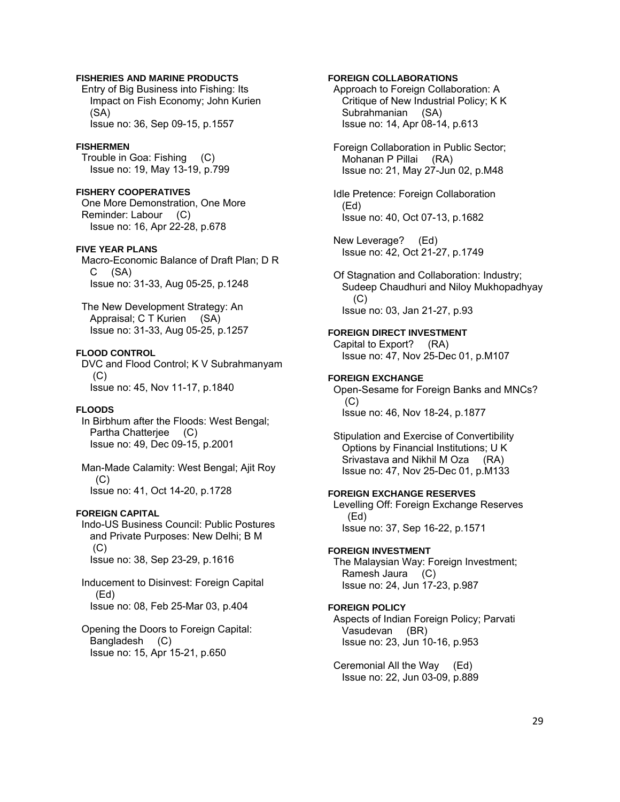## **FISHERIES AND MARINE PRODUCTS**

 Entry of Big Business into Fishing: Its Impact on Fish Economy; John Kurien (SA) Issue no: 36, Sep 09-15, p.1557

#### **FISHERMEN**

 Trouble in Goa: Fishing (C) Issue no: 19, May 13-19, p.799

## **FISHERY COOPERATIVES**

 One More Demonstration, One More Reminder: Labour (C) Issue no: 16, Apr 22-28, p.678

#### **FIVE YEAR PLANS**

 Macro-Economic Balance of Draft Plan; D R C (SA) Issue no: 31-33, Aug 05-25, p.1248

 The New Development Strategy: An Appraisal; C T Kurien (SA) Issue no: 31-33, Aug 05-25, p.1257

#### **FLOOD CONTROL**

 DVC and Flood Control; K V Subrahmanyam  $(C)$ Issue no: 45, Nov 11-17, p.1840

### **FLOODS**

 In Birbhum after the Floods: West Bengal; Partha Chatteriee (C) Issue no: 49, Dec 09-15, p.2001

 Man-Made Calamity: West Bengal; Ajit Roy (C) Issue no: 41, Oct 14-20, p.1728

## **FOREIGN CAPITAL**

 Indo-US Business Council: Public Postures and Private Purposes: New Delhi; B M  $(C)$ Issue no: 38, Sep 23-29, p.1616

 Inducement to Disinvest: Foreign Capital (Ed) Issue no: 08, Feb 25-Mar 03, p.404

 Opening the Doors to Foreign Capital: Bangladesh (C) Issue no: 15, Apr 15-21, p.650

## **FOREIGN COLLABORATIONS**

 Approach to Foreign Collaboration: A Critique of New Industrial Policy; K K Subrahmanian (SA) Issue no: 14, Apr 08-14, p.613

 Foreign Collaboration in Public Sector; Mohanan P Pillai (RA) Issue no: 21, May 27-Jun 02, p.M48

 Idle Pretence: Foreign Collaboration (Ed) Issue no: 40, Oct 07-13, p.1682

 New Leverage? (Ed) Issue no: 42, Oct 21-27, p.1749

 Of Stagnation and Collaboration: Industry; Sudeep Chaudhuri and Niloy Mukhopadhyay (C) Issue no: 03, Jan 21-27, p.93

**FOREIGN DIRECT INVESTMENT**  Capital to Export? (RA) Issue no: 47, Nov 25-Dec 01, p.M107

### **FOREIGN EXCHANGE**

 Open-Sesame for Foreign Banks and MNCs?  $(C)$ Issue no: 46, Nov 18-24, p.1877

 Stipulation and Exercise of Convertibility Options by Financial Institutions; U K Srivastava and Nikhil M Oza (RA) Issue no: 47, Nov 25-Dec 01, p.M133

## **FOREIGN EXCHANGE RESERVES**

 Levelling Off: Foreign Exchange Reserves (Ed) Issue no: 37, Sep 16-22, p.1571

#### **FOREIGN INVESTMENT**

 The Malaysian Way: Foreign Investment; Ramesh Jaura (C) Issue no: 24, Jun 17-23, p.987

## **FOREIGN POLICY**

 Aspects of Indian Foreign Policy; Parvati Vasudevan (BR) Issue no: 23, Jun 10-16, p.953

 Ceremonial All the Way (Ed) Issue no: 22, Jun 03-09, p.889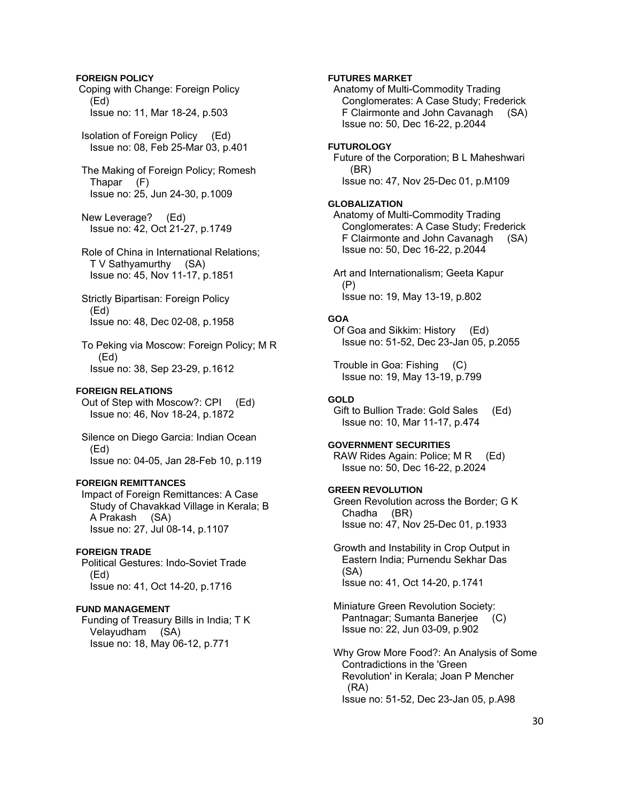### **FOREIGN POLICY**

 Coping with Change: Foreign Policy (Ed) Issue no: 11, Mar 18-24, p.503

 Isolation of Foreign Policy (Ed) Issue no: 08, Feb 25-Mar 03, p.401

 The Making of Foreign Policy; Romesh Thapar (F) Issue no: 25, Jun 24-30, p.1009

 New Leverage? (Ed) Issue no: 42, Oct 21-27, p.1749

 Role of China in International Relations; T V Sathyamurthy (SA) Issue no: 45, Nov 11-17, p.1851

 Strictly Bipartisan: Foreign Policy (Ed) Issue no: 48, Dec 02-08, p.1958

 To Peking via Moscow: Foreign Policy; M R (Ed) Issue no: 38, Sep 23-29, p.1612

## **FOREIGN RELATIONS**

 Out of Step with Moscow?: CPI (Ed) Issue no: 46, Nov 18-24, p.1872

 Silence on Diego Garcia: Indian Ocean (Ed) Issue no: 04-05, Jan 28-Feb 10, p.119

## **FOREIGN REMITTANCES**

 Impact of Foreign Remittances: A Case Study of Chavakkad Village in Kerala; B A Prakash (SA) Issue no: 27, Jul 08-14, p.1107

### **FOREIGN TRADE**

 Political Gestures: Indo-Soviet Trade (Ed) Issue no: 41, Oct 14-20, p.1716

## **FUND MANAGEMENT**

 Funding of Treasury Bills in India; T K Velayudham (SA) Issue no: 18, May 06-12, p.771

## **FUTURES MARKET**

 Anatomy of Multi-Commodity Trading Conglomerates: A Case Study; Frederick F Clairmonte and John Cavanagh (SA) Issue no: 50, Dec 16-22, p.2044

#### **FUTUROLOGY**

 Future of the Corporation; B L Maheshwari (BR) Issue no: 47, Nov 25-Dec 01, p.M109

## **GLOBALIZATION**

 Anatomy of Multi-Commodity Trading Conglomerates: A Case Study; Frederick F Clairmonte and John Cavanagh (SA) Issue no: 50, Dec 16-22, p.2044

 Art and Internationalism; Geeta Kapur (P) Issue no: 19, May 13-19, p.802

## **GOA**

 Of Goa and Sikkim: History (Ed) Issue no: 51-52, Dec 23-Jan 05, p.2055

 Trouble in Goa: Fishing (C) Issue no: 19, May 13-19, p.799

### **GOLD**

 Gift to Bullion Trade: Gold Sales (Ed) Issue no: 10, Mar 11-17, p.474

## **GOVERNMENT SECURITIES**

 RAW Rides Again: Police; M R (Ed) Issue no: 50, Dec 16-22, p.2024

## **GREEN REVOLUTION**

 Green Revolution across the Border; G K Chadha (BR) Issue no: 47, Nov 25-Dec 01, p.1933

 Growth and Instability in Crop Output in Eastern India; Purnendu Sekhar Das (SA) Issue no: 41, Oct 14-20, p.1741

 Miniature Green Revolution Society: Pantnagar; Sumanta Banerjee (C) Issue no: 22, Jun 03-09, p.902

 Why Grow More Food?: An Analysis of Some Contradictions in the 'Green Revolution' in Kerala; Joan P Mencher (RA) Issue no: 51-52, Dec 23-Jan 05, p.A98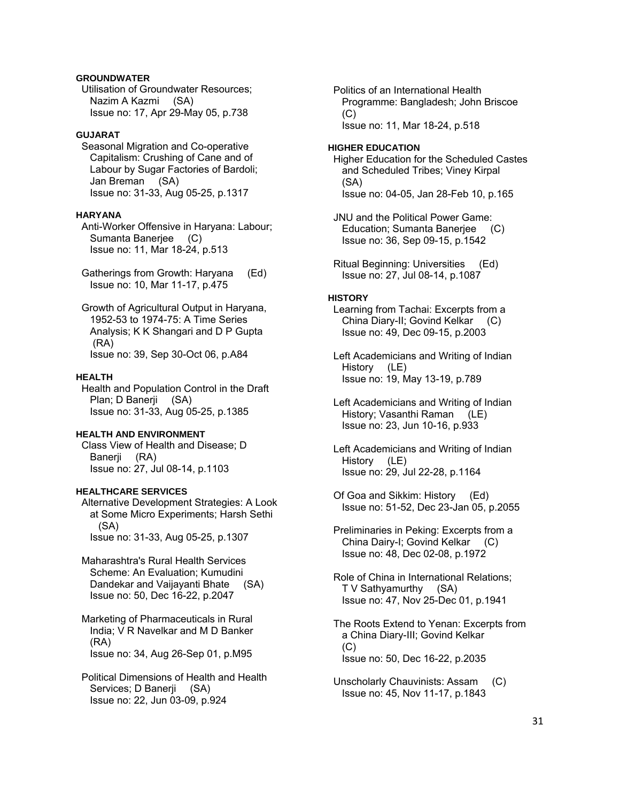## **GROUNDWATER**

 Utilisation of Groundwater Resources; Nazim A Kazmi (SA) Issue no: 17, Apr 29-May 05, p.738

## **GUJARAT**

 Seasonal Migration and Co-operative Capitalism: Crushing of Cane and of Labour by Sugar Factories of Bardoli; Jan Breman (SA) Issue no: 31-33, Aug 05-25, p.1317

### **HARYANA**

 Anti-Worker Offensive in Haryana: Labour; Sumanta Banerjee (C) Issue no: 11, Mar 18-24, p.513

 Gatherings from Growth: Haryana (Ed) Issue no: 10, Mar 11-17, p.475

 Growth of Agricultural Output in Haryana, 1952-53 to 1974-75: A Time Series Analysis; K K Shangari and D P Gupta (RA) Issue no: 39, Sep 30-Oct 06, p.A84

#### **HEALTH**

 Health and Population Control in the Draft Plan; D Banerji (SA) Issue no: 31-33, Aug 05-25, p.1385

## **HEALTH AND ENVIRONMENT**

 Class View of Health and Disease; D Banerji (RA) Issue no: 27, Jul 08-14, p.1103

## **HEALTHCARE SERVICES**

 Alternative Development Strategies: A Look at Some Micro Experiments; Harsh Sethi (SA) Issue no: 31-33, Aug 05-25, p.1307

 Maharashtra's Rural Health Services Scheme: An Evaluation; Kumudini Dandekar and Vaijayanti Bhate (SA) Issue no: 50, Dec 16-22, p.2047

 Marketing of Pharmaceuticals in Rural India; V R Navelkar and M D Banker (RA) Issue no: 34, Aug 26-Sep 01, p.M95

 Political Dimensions of Health and Health Services; D Banerji (SA) Issue no: 22, Jun 03-09, p.924

 Politics of an International Health Programme: Bangladesh; John Briscoe  $(C)$ Issue no: 11, Mar 18-24, p.518

#### **HIGHER EDUCATION**

 Higher Education for the Scheduled Castes and Scheduled Tribes; Viney Kirpal (SA) Issue no: 04-05, Jan 28-Feb 10, p.165

 JNU and the Political Power Game: Education; Sumanta Banerjee (C) Issue no: 36, Sep 09-15, p.1542

 Ritual Beginning: Universities (Ed) Issue no: 27, Jul 08-14, p.1087

#### **HISTORY**

 Learning from Tachai: Excerpts from a China Diary-II; Govind Kelkar (C) Issue no: 49, Dec 09-15, p.2003

 Left Academicians and Writing of Indian History (LE) Issue no: 19, May 13-19, p.789

 Left Academicians and Writing of Indian History; Vasanthi Raman (LE) Issue no: 23, Jun 10-16, p.933

 Left Academicians and Writing of Indian History (LE) Issue no: 29, Jul 22-28, p.1164

 Of Goa and Sikkim: History (Ed) Issue no: 51-52, Dec 23-Jan 05, p.2055

 Preliminaries in Peking: Excerpts from a China Dairy-I; Govind Kelkar (C) Issue no: 48, Dec 02-08, p.1972

 Role of China in International Relations; T V Sathyamurthy (SA) Issue no: 47, Nov 25-Dec 01, p.1941

 The Roots Extend to Yenan: Excerpts from a China Diary-III; Govind Kelkar (C) Issue no: 50, Dec 16-22, p.2035

 Unscholarly Chauvinists: Assam (C) Issue no: 45, Nov 11-17, p.1843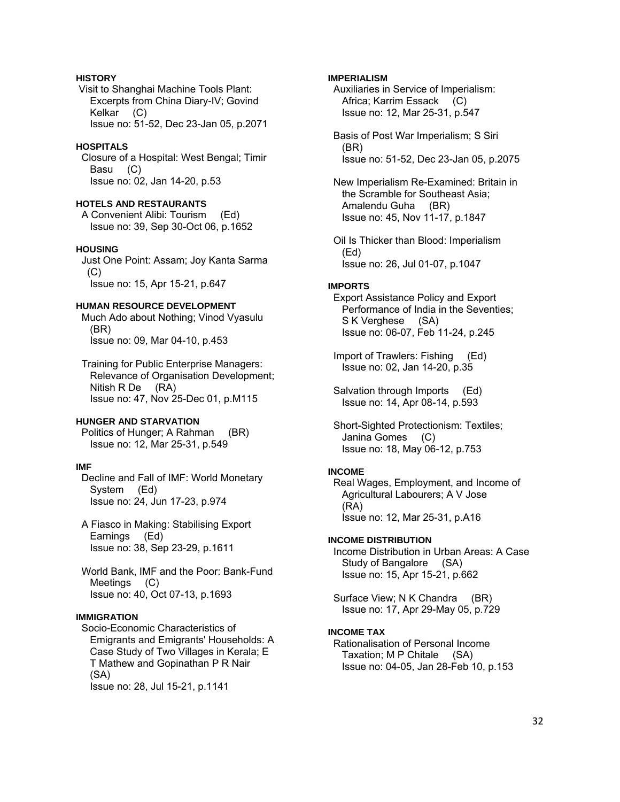## **HISTORY**

 Visit to Shanghai Machine Tools Plant: Excerpts from China Diary-IV; Govind Kelkar (C) Issue no: 51-52, Dec 23-Jan 05, p.2071

### **HOSPITALS**

 Closure of a Hospital: West Bengal; Timir Basu (C) Issue no: 02, Jan 14-20, p.53

#### **HOTELS AND RESTAURANTS**

 A Convenient Alibi: Tourism (Ed) Issue no: 39, Sep 30-Oct 06, p.1652

### **HOUSING**

 Just One Point: Assam; Joy Kanta Sarma (C) Issue no: 15, Apr 15-21, p.647

### **HUMAN RESOURCE DEVELOPMENT**

 Much Ado about Nothing; Vinod Vyasulu (BR) Issue no: 09, Mar 04-10, p.453

 Training for Public Enterprise Managers: Relevance of Organisation Development; Nitish R De (RA) Issue no: 47, Nov 25-Dec 01, p.M115

#### **HUNGER AND STARVATION**

 Politics of Hunger; A Rahman (BR) Issue no: 12, Mar 25-31, p.549

## **IMF**

 Decline and Fall of IMF: World Monetary System (Ed) Issue no: 24, Jun 17-23, p.974

 A Fiasco in Making: Stabilising Export Earnings (Ed) Issue no: 38, Sep 23-29, p.1611

 World Bank, IMF and the Poor: Bank-Fund Meetings (C) Issue no: 40, Oct 07-13, p.1693

### **IMMIGRATION**

 Socio-Economic Characteristics of Emigrants and Emigrants' Households: A Case Study of Two Villages in Kerala; E T Mathew and Gopinathan P R Nair (SA) Issue no: 28, Jul 15-21, p.1141

#### **IMPERIALISM**

 Auxiliaries in Service of Imperialism: Africa; Karrim Essack (C) Issue no: 12, Mar 25-31, p.547

 Basis of Post War Imperialism; S Siri (BR) Issue no: 51-52, Dec 23-Jan 05, p.2075

 New Imperialism Re-Examined: Britain in the Scramble for Southeast Asia; Amalendu Guha (BR) Issue no: 45, Nov 11-17, p.1847

 Oil Is Thicker than Blood: Imperialism (Ed) Issue no: 26, Jul 01-07, p.1047

#### **IMPORTS**

 Export Assistance Policy and Export Performance of India in the Seventies; S K Verghese (SA) Issue no: 06-07, Feb 11-24, p.245

 Import of Trawlers: Fishing (Ed) Issue no: 02, Jan 14-20, p.35

 Salvation through Imports (Ed) Issue no: 14, Apr 08-14, p.593

 Short-Sighted Protectionism: Textiles; Janina Gomes (C) Issue no: 18, May 06-12, p.753

#### **INCOME**

 Real Wages, Employment, and Income of Agricultural Labourers; A V Jose (RA) Issue no: 12, Mar 25-31, p.A16

### **INCOME DISTRIBUTION**

 Income Distribution in Urban Areas: A Case Study of Bangalore (SA) Issue no: 15, Apr 15-21, p.662

 Surface View; N K Chandra (BR) Issue no: 17, Apr 29-May 05, p.729

### **INCOME TAX**

 Rationalisation of Personal Income Taxation; M P Chitale (SA) Issue no: 04-05, Jan 28-Feb 10, p.153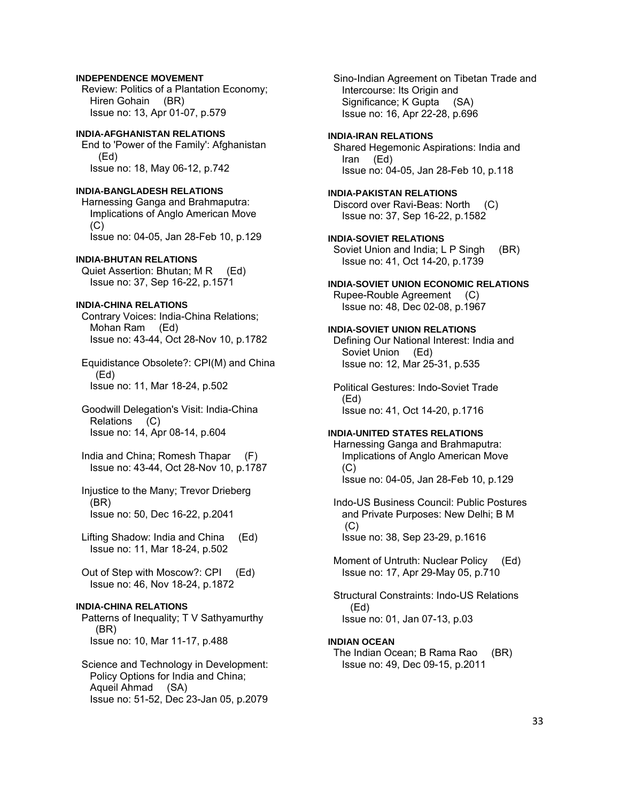## **INDEPENDENCE MOVEMENT**

 Review: Politics of a Plantation Economy; Hiren Gohain (BR) Issue no: 13, Apr 01-07, p.579

## **INDIA-AFGHANISTAN RELATIONS**

 End to 'Power of the Family': Afghanistan (Ed) Issue no: 18, May 06-12, p.742

## **INDIA-BANGLADESH RELATIONS**

 Harnessing Ganga and Brahmaputra: Implications of Anglo American Move (C) Issue no: 04-05, Jan 28-Feb 10, p.129

#### **INDIA-BHUTAN RELATIONS**

Quiet Assertion: Bhutan; M R (Ed) Issue no: 37, Sep 16-22, p.1571

#### **INDIA-CHINA RELATIONS**

 Contrary Voices: India-China Relations; Mohan Ram (Ed) Issue no: 43-44, Oct 28-Nov 10, p.1782

 Equidistance Obsolete?: CPI(M) and China (Ed) Issue no: 11, Mar 18-24, p.502

 Goodwill Delegation's Visit: India-China Relations (C) Issue no: 14, Apr 08-14, p.604

 India and China; Romesh Thapar (F) Issue no: 43-44, Oct 28-Nov 10, p.1787

 Injustice to the Many; Trevor Drieberg (BR) Issue no: 50, Dec 16-22, p.2041

 Lifting Shadow: India and China (Ed) Issue no: 11, Mar 18-24, p.502

 Out of Step with Moscow?: CPI (Ed) Issue no: 46, Nov 18-24, p.1872

## **INDIA-CHINA RELATIONS**

 Patterns of Inequality; T V Sathyamurthy (BR) Issue no: 10, Mar 11-17, p.488

 Science and Technology in Development: Policy Options for India and China; Aqueil Ahmad (SA) Issue no: 51-52, Dec 23-Jan 05, p.2079

 Sino-Indian Agreement on Tibetan Trade and Intercourse: Its Origin and Significance; K Gupta (SA) Issue no: 16, Apr 22-28, p.696

#### **INDIA-IRAN RELATIONS**

 Shared Hegemonic Aspirations: India and Iran (Ed) Issue no: 04-05, Jan 28-Feb 10, p.118

### **INDIA-PAKISTAN RELATIONS**

 Discord over Ravi-Beas: North (C) Issue no: 37, Sep 16-22, p.1582

**INDIA-SOVIET RELATIONS**  Soviet Union and India; L P Singh (BR) Issue no: 41, Oct 14-20, p.1739

### **INDIA-SOVIET UNION ECONOMIC RELATIONS**

 Rupee-Rouble Agreement (C) Issue no: 48, Dec 02-08, p.1967

## **INDIA-SOVIET UNION RELATIONS**

 Defining Our National Interest: India and Soviet Union (Ed) Issue no: 12, Mar 25-31, p.535

 Political Gestures: Indo-Soviet Trade (Ed) Issue no: 41, Oct 14-20, p.1716

### **INDIA-UNITED STATES RELATIONS**

 Harnessing Ganga and Brahmaputra: Implications of Anglo American Move  $(C)$ Issue no: 04-05, Jan 28-Feb 10, p.129

 Indo-US Business Council: Public Postures and Private Purposes: New Delhi; B M  $(C)$ Issue no: 38, Sep 23-29, p.1616

 Moment of Untruth: Nuclear Policy (Ed) Issue no: 17, Apr 29-May 05, p.710

 Structural Constraints: Indo-US Relations (Ed) Issue no: 01, Jan 07-13, p.03

## **INDIAN OCEAN**

 The Indian Ocean; B Rama Rao (BR) Issue no: 49, Dec 09-15, p.2011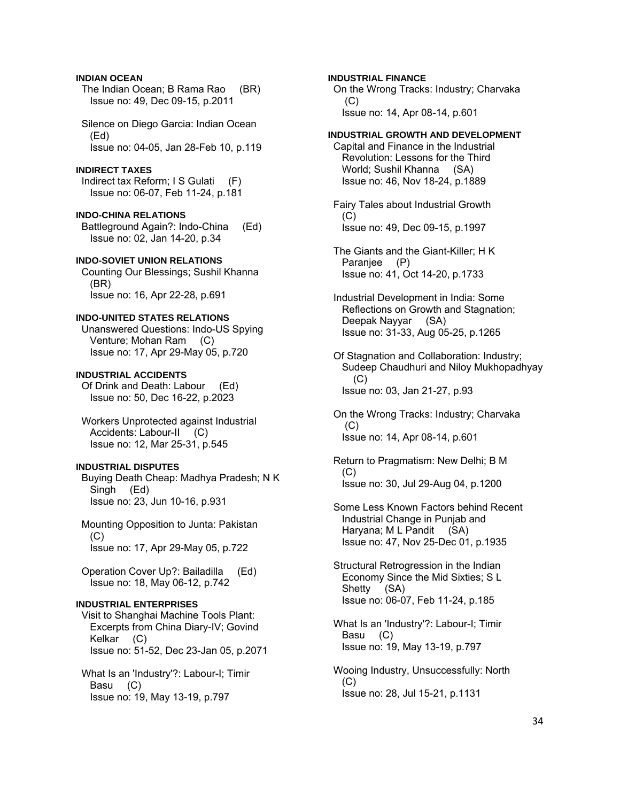## **INDIAN OCEAN**

 The Indian Ocean; B Rama Rao (BR) Issue no: 49, Dec 09-15, p.2011

 Silence on Diego Garcia: Indian Ocean (Ed) Issue no: 04-05, Jan 28-Feb 10, p.119

## **INDIRECT TAXES**

 Indirect tax Reform; I S Gulati (F) Issue no: 06-07, Feb 11-24, p.181

**INDO-CHINA RELATIONS**  Battleground Again?: Indo-China (Ed) Issue no: 02, Jan 14-20, p.34

## **INDO-SOVIET UNION RELATIONS**

 Counting Our Blessings; Sushil Khanna (BR) Issue no: 16, Apr 22-28, p.691

# **INDO-UNITED STATES RELATIONS**

 Unanswered Questions: Indo-US Spying Venture; Mohan Ram (C) Issue no: 17, Apr 29-May 05, p.720

# **INDUSTRIAL ACCIDENTS**

 Of Drink and Death: Labour (Ed) Issue no: 50, Dec 16-22, p.2023

 Workers Unprotected against Industrial Accidents: Labour-II (C) Issue no: 12, Mar 25-31, p.545

# **INDUSTRIAL DISPUTES**

 Buying Death Cheap: Madhya Pradesh; N K Singh (Ed) Issue no: 23, Jun 10-16, p.931

 Mounting Opposition to Junta: Pakistan  $(C)$ Issue no: 17, Apr 29-May 05, p.722

 Operation Cover Up?: Bailadilla (Ed) Issue no: 18, May 06-12, p.742

# **INDUSTRIAL ENTERPRISES**

 Visit to Shanghai Machine Tools Plant: Excerpts from China Diary-IV; Govind Kelkar (C) Issue no: 51-52, Dec 23-Jan 05, p.2071

 What Is an 'Industry'?: Labour-I; Timir Basu (C) Issue no: 19, May 13-19, p.797

## **INDUSTRIAL FINANCE**

 On the Wrong Tracks: Industry; Charvaka (C) Issue no: 14, Apr 08-14, p.601

## **INDUSTRIAL GROWTH AND DEVELOPMENT**

 Capital and Finance in the Industrial Revolution: Lessons for the Third World; Sushil Khanna (SA) Issue no: 46, Nov 18-24, p.1889

 Fairy Tales about Industrial Growth  $(C)$ Issue no: 49, Dec 09-15, p.1997

 The Giants and the Giant-Killer; H K Paranjee (P) Issue no: 41, Oct 14-20, p.1733

- Industrial Development in India: Some Reflections on Growth and Stagnation; Deepak Nayyar (SA) Issue no: 31-33, Aug 05-25, p.1265
- Of Stagnation and Collaboration: Industry; Sudeep Chaudhuri and Niloy Mukhopadhyay (C) Issue no: 03, Jan 21-27, p.93
- On the Wrong Tracks: Industry; Charvaka (C) Issue no: 14, Apr 08-14, p.601
- Return to Pragmatism: New Delhi; B M (C) Issue no: 30, Jul 29-Aug 04, p.1200
- Some Less Known Factors behind Recent Industrial Change in Punjab and Haryana; M L Pandit (SA) Issue no: 47, Nov 25-Dec 01, p.1935
- Structural Retrogression in the Indian Economy Since the Mid Sixties; S L Shetty (SA) Issue no: 06-07, Feb 11-24, p.185
- What Is an 'Industry'?: Labour-I; Timir Basu (C) Issue no: 19, May 13-19, p.797
- Wooing Industry, Unsuccessfully: North  $(C)$ Issue no: 28, Jul 15-21, p.1131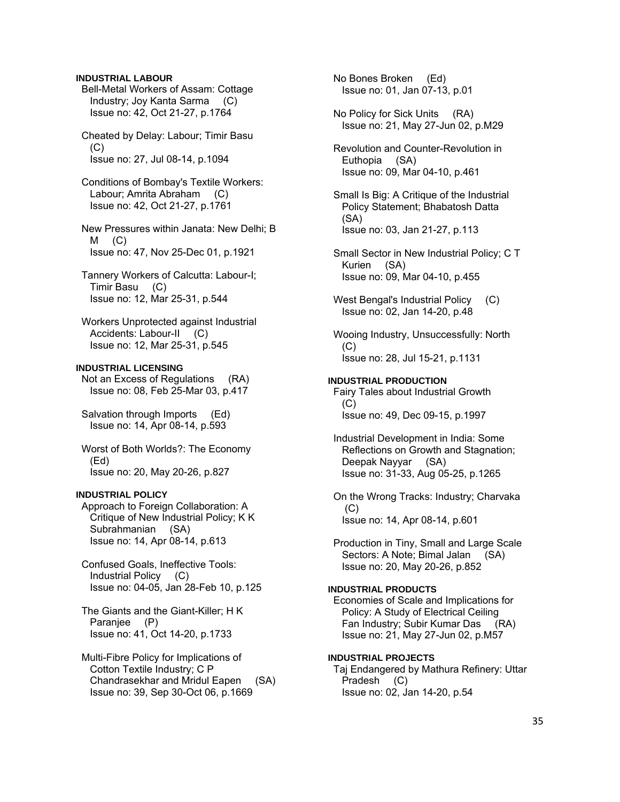## **INDUSTRIAL LABOUR**

 Bell-Metal Workers of Assam: Cottage Industry; Joy Kanta Sarma (C) Issue no: 42, Oct 21-27, p.1764

 Cheated by Delay: Labour; Timir Basu (C) Issue no: 27, Jul 08-14, p.1094

 Conditions of Bombay's Textile Workers: Labour; Amrita Abraham (C) Issue no: 42, Oct 21-27, p.1761

 New Pressures within Janata: New Delhi; B  $M$  (C) Issue no: 47, Nov 25-Dec 01, p.1921

 Tannery Workers of Calcutta: Labour-I; Timir Basu (C) Issue no: 12, Mar 25-31, p.544

 Workers Unprotected against Industrial Accidents: Labour-II (C) Issue no: 12, Mar 25-31, p.545

## **INDUSTRIAL LICENSING**

 Not an Excess of Regulations (RA) Issue no: 08, Feb 25-Mar 03, p.417

Salvation through Imports (Ed) Issue no: 14, Apr 08-14, p.593

 Worst of Both Worlds?: The Economy (Ed) Issue no: 20, May 20-26, p.827

### **INDUSTRIAL POLICY**

 Approach to Foreign Collaboration: A Critique of New Industrial Policy; K K Subrahmanian (SA) Issue no: 14, Apr 08-14, p.613

 Confused Goals, Ineffective Tools: Industrial Policy (C) Issue no: 04-05, Jan 28-Feb 10, p.125

 The Giants and the Giant-Killer; H K Paranjee (P) Issue no: 41, Oct 14-20, p.1733

 Multi-Fibre Policy for Implications of Cotton Textile Industry; C P Chandrasekhar and Mridul Eapen (SA) Issue no: 39, Sep 30-Oct 06, p.1669

 No Bones Broken (Ed) Issue no: 01, Jan 07-13, p.01

 No Policy for Sick Units (RA) Issue no: 21, May 27-Jun 02, p.M29

 Revolution and Counter-Revolution in Euthopia (SA) Issue no: 09, Mar 04-10, p.461

 Small Is Big: A Critique of the Industrial Policy Statement; Bhabatosh Datta (SA) Issue no: 03, Jan 21-27, p.113

 Small Sector in New Industrial Policy; C T Kurien (SA) Issue no: 09, Mar 04-10, p.455

West Bengal's Industrial Policy (C) Issue no: 02, Jan 14-20, p.48

 Wooing Industry, Unsuccessfully: North (C) Issue no: 28, Jul 15-21, p.1131

### **INDUSTRIAL PRODUCTION**

 Fairy Tales about Industrial Growth  $(C)$ Issue no: 49, Dec 09-15, p.1997

 Industrial Development in India: Some Reflections on Growth and Stagnation; Deepak Nayyar (SA) Issue no: 31-33, Aug 05-25, p.1265

 On the Wrong Tracks: Industry; Charvaka  $(C)$ Issue no: 14, Apr 08-14, p.601

 Production in Tiny, Small and Large Scale Sectors: A Note; Bimal Jalan (SA) Issue no: 20, May 20-26, p.852

## **INDUSTRIAL PRODUCTS**

 Economies of Scale and Implications for Policy: A Study of Electrical Ceiling Fan Industry; Subir Kumar Das (RA) Issue no: 21, May 27-Jun 02, p.M57

## **INDUSTRIAL PROJECTS**

 Taj Endangered by Mathura Refinery: Uttar Pradesh (C) Issue no: 02, Jan 14-20, p.54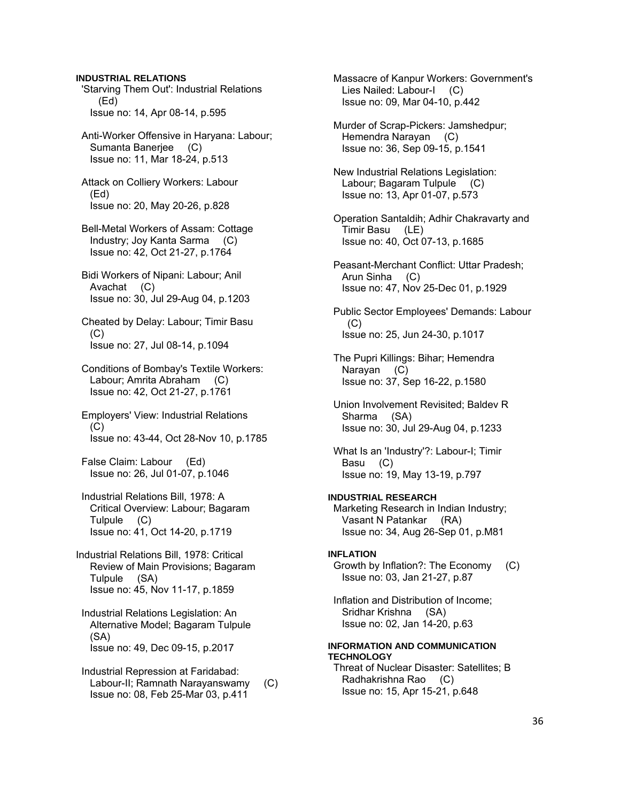**INDUSTRIAL RELATIONS** 

 'Starving Them Out': Industrial Relations (Ed) Issue no: 14, Apr 08-14, p.595

 Anti-Worker Offensive in Haryana: Labour; Sumanta Baneriee (C) Issue no: 11, Mar 18-24, p.513

 Attack on Colliery Workers: Labour (Ed) Issue no: 20, May 20-26, p.828

 Bell-Metal Workers of Assam: Cottage Industry; Joy Kanta Sarma (C) Issue no: 42, Oct 21-27, p.1764

 Bidi Workers of Nipani: Labour; Anil Avachat (C) Issue no: 30, Jul 29-Aug 04, p.1203

 Cheated by Delay: Labour; Timir Basu (C) Issue no: 27, Jul 08-14, p.1094

 Conditions of Bombay's Textile Workers: Labour; Amrita Abraham (C) Issue no: 42, Oct 21-27, p.1761

 Employers' View: Industrial Relations (C) Issue no: 43-44, Oct 28-Nov 10, p.1785

 False Claim: Labour (Ed) Issue no: 26, Jul 01-07, p.1046

 Industrial Relations Bill, 1978: A Critical Overview: Labour; Bagaram Tulpule (C) Issue no: 41, Oct 14-20, p.1719

Industrial Relations Bill, 1978: Critical Review of Main Provisions; Bagaram Tulpule (SA) Issue no: 45, Nov 11-17, p.1859

 Industrial Relations Legislation: An Alternative Model; Bagaram Tulpule (SA) Issue no: 49, Dec 09-15, p.2017

 Industrial Repression at Faridabad: Labour-II; Ramnath Narayanswamy (C) Issue no: 08, Feb 25-Mar 03, p.411

 Massacre of Kanpur Workers: Government's Lies Nailed: Labour-I (C) Issue no: 09, Mar 04-10, p.442

 Murder of Scrap-Pickers: Jamshedpur; Hemendra Narayan (C) Issue no: 36, Sep 09-15, p.1541

 New Industrial Relations Legislation: Labour; Bagaram Tulpule (C) Issue no: 13, Apr 01-07, p.573

 Operation Santaldih; Adhir Chakravarty and Timir Basu (LE) Issue no: 40, Oct 07-13, p.1685

 Peasant-Merchant Conflict: Uttar Pradesh; Arun Sinha (C) Issue no: 47, Nov 25-Dec 01, p.1929

 Public Sector Employees' Demands: Labour  $(C)$ Issue no: 25, Jun 24-30, p.1017

 The Pupri Killings: Bihar; Hemendra Narayan (C) Issue no: 37, Sep 16-22, p.1580

 Union Involvement Revisited; Baldev R Sharma (SA) Issue no: 30, Jul 29-Aug 04, p.1233

 What Is an 'Industry'?: Labour-I; Timir Basu (C) Issue no: 19, May 13-19, p.797

**INDUSTRIAL RESEARCH**  Marketing Research in Indian Industry;

 Vasant N Patankar (RA) Issue no: 34, Aug 26-Sep 01, p.M81

## **INFLATION**

 Growth by Inflation?: The Economy (C) Issue no: 03, Jan 21-27, p.87

 Inflation and Distribution of Income; Sridhar Krishna (SA) Issue no: 02, Jan 14-20, p.63

## **INFORMATION AND COMMUNICATION TECHNOLOGY**

 Threat of Nuclear Disaster: Satellites; B Radhakrishna Rao (C) Issue no: 15, Apr 15-21, p.648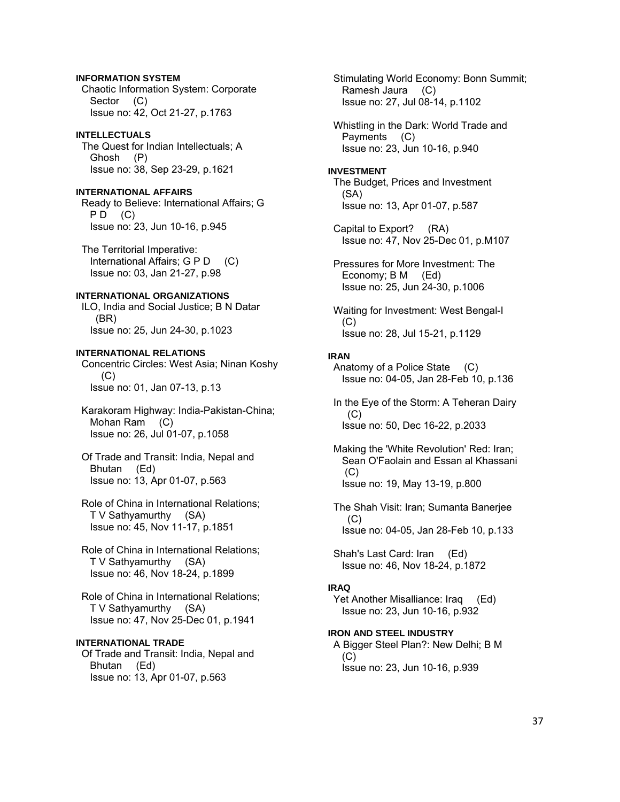## **INFORMATION SYSTEM**

 Chaotic Information System: Corporate Sector (C) Issue no: 42, Oct 21-27, p.1763

## **INTELLECTUALS**

 The Quest for Indian Intellectuals; A Ghosh (P) Issue no: 38, Sep 23-29, p.1621

## **INTERNATIONAL AFFAIRS**

 Ready to Believe: International Affairs; G  $PD$  (C) Issue no: 23, Jun 10-16, p.945

 The Territorial Imperative: International Affairs; G P D (C) Issue no: 03, Jan 21-27, p.98

## **INTERNATIONAL ORGANIZATIONS**

 ILO, India and Social Justice; B N Datar (BR) Issue no: 25, Jun 24-30, p.1023

## **INTERNATIONAL RELATIONS**

 Concentric Circles: West Asia; Ninan Koshy (C) Issue no: 01, Jan 07-13, p.13

- Karakoram Highway: India-Pakistan-China; Mohan Ram (C) Issue no: 26, Jul 01-07, p.1058
- Of Trade and Transit: India, Nepal and Bhutan (Ed) Issue no: 13, Apr 01-07, p.563
- Role of China in International Relations; T V Sathyamurthy (SA) Issue no: 45, Nov 11-17, p.1851
- Role of China in International Relations; T V Sathyamurthy (SA) Issue no: 46, Nov 18-24, p.1899
- Role of China in International Relations; T V Sathyamurthy (SA) Issue no: 47, Nov 25-Dec 01, p.1941

## **INTERNATIONAL TRADE**

 Of Trade and Transit: India, Nepal and Bhutan (Ed) Issue no: 13, Apr 01-07, p.563

 Stimulating World Economy: Bonn Summit; Ramesh Jaura (C) Issue no: 27, Jul 08-14, p.1102

 Whistling in the Dark: World Trade and Payments (C) Issue no: 23, Jun 10-16, p.940

### **INVESTMENT**  The Budget, Prices and Investment (SA)

Issue no: 13, Apr 01-07, p.587

 Capital to Export? (RA) Issue no: 47, Nov 25-Dec 01, p.M107

 Pressures for More Investment: The Economy; B M (Ed) Issue no: 25, Jun 24-30, p.1006

 Waiting for Investment: West Bengal-I (C) Issue no: 28, Jul 15-21, p.1129

## **IRAN**

 Anatomy of a Police State (C) Issue no: 04-05, Jan 28-Feb 10, p.136

- In the Eye of the Storm: A Teheran Dairy  $(C)$ Issue no: 50, Dec 16-22, p.2033
- Making the 'White Revolution' Red: Iran; Sean O'Faolain and Essan al Khassani (C) Issue no: 19, May 13-19, p.800

 The Shah Visit: Iran; Sumanta Banerjee  $(C)$ Issue no: 04-05, Jan 28-Feb 10, p.133

 Shah's Last Card: Iran (Ed) Issue no: 46, Nov 18-24, p.1872

### **IRAQ**

Yet Another Misalliance: Iraq (Ed) Issue no: 23, Jun 10-16, p.932

#### **IRON AND STEEL INDUSTRY**  A Bigger Steel Plan?: New Delhi; B M

 (C) Issue no: 23, Jun 10-16, p.939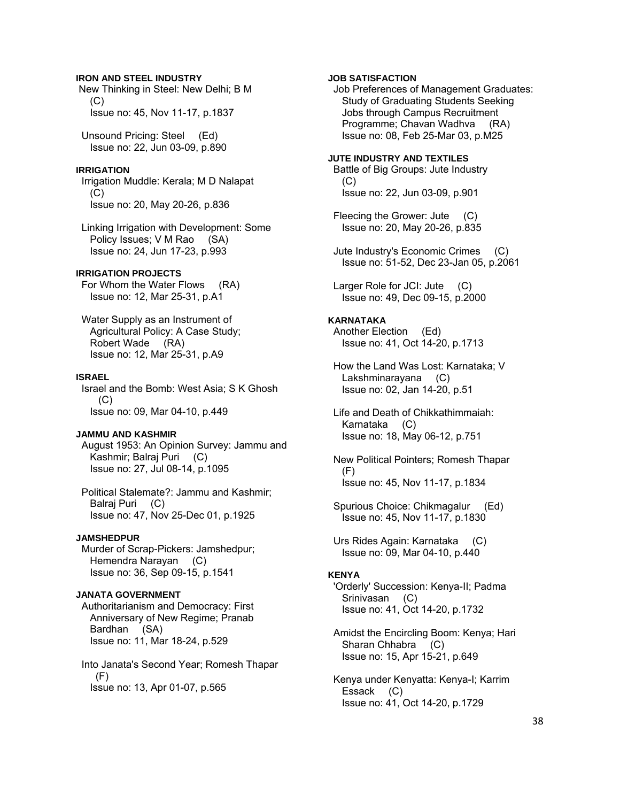### **IRON AND STEEL INDUSTRY**

 New Thinking in Steel: New Delhi; B M  $(C)$ Issue no: 45, Nov 11-17, p.1837

 Unsound Pricing: Steel (Ed) Issue no: 22, Jun 03-09, p.890

## **IRRIGATION**

 Irrigation Muddle: Kerala; M D Nalapat (C) Issue no: 20, May 20-26, p.836

 Linking Irrigation with Development: Some Policy Issues; V M Rao (SA) Issue no: 24, Jun 17-23, p.993

## **IRRIGATION PROJECTS**

 For Whom the Water Flows (RA) Issue no: 12, Mar 25-31, p.A1

 Water Supply as an Instrument of Agricultural Policy: A Case Study; Robert Wade (RA) Issue no: 12, Mar 25-31, p.A9

#### **ISRAEL**

 Israel and the Bomb: West Asia; S K Ghosh (C) Issue no: 09, Mar 04-10, p.449

### **JAMMU AND KASHMIR**

 August 1953: An Opinion Survey: Jammu and Kashmir; Balraj Puri (C) Issue no: 27, Jul 08-14, p.1095

 Political Stalemate?: Jammu and Kashmir; Balraj Puri (C) Issue no: 47, Nov 25-Dec 01, p.1925

#### **JAMSHEDPUR**

 Murder of Scrap-Pickers: Jamshedpur; Hemendra Narayan (C) Issue no: 36, Sep 09-15, p.1541

## **JANATA GOVERNMENT**

 Authoritarianism and Democracy: First Anniversary of New Regime; Pranab Bardhan (SA) Issue no: 11, Mar 18-24, p.529

 Into Janata's Second Year; Romesh Thapar (F) Issue no: 13, Apr 01-07, p.565

## **JOB SATISFACTION**

 Job Preferences of Management Graduates: Study of Graduating Students Seeking Jobs through Campus Recruitment Programme; Chavan Wadhva (RA) Issue no: 08, Feb 25-Mar 03, p.M25

### **JUTE INDUSTRY AND TEXTILES**

 Battle of Big Groups: Jute Industry  $(C)$ Issue no: 22, Jun 03-09, p.901

 Fleecing the Grower: Jute (C) Issue no: 20, May 20-26, p.835

 Jute Industry's Economic Crimes (C) Issue no: 51-52, Dec 23-Jan 05, p.2061

 Larger Role for JCI: Jute (C) Issue no: 49, Dec 09-15, p.2000

## **KARNATAKA**

 Another Election (Ed) Issue no: 41, Oct 14-20, p.1713

 How the Land Was Lost: Karnataka; V Lakshminarayana (C) Issue no: 02, Jan 14-20, p.51

 Life and Death of Chikkathimmaiah: Karnataka (C) Issue no: 18, May 06-12, p.751

 New Political Pointers; Romesh Thapar (F) Issue no: 45, Nov 11-17, p.1834

 Spurious Choice: Chikmagalur (Ed) Issue no: 45, Nov 11-17, p.1830

 Urs Rides Again: Karnataka (C) Issue no: 09, Mar 04-10, p.440

#### **KENYA**

 'Orderly' Succession: Kenya-II; Padma Srinivasan (C) Issue no: 41, Oct 14-20, p.1732

 Amidst the Encircling Boom: Kenya; Hari Sharan Chhabra (C) Issue no: 15, Apr 15-21, p.649

 Kenya under Kenyatta: Kenya-I; Karrim Essack (C) Issue no: 41, Oct 14-20, p.1729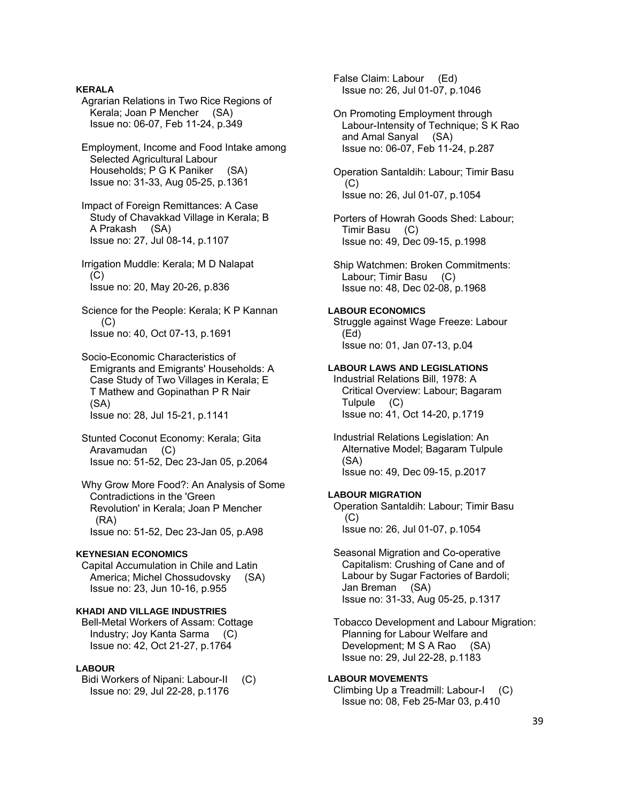Agrarian Relations in Two Rice Regions of Kerala; Joan P Mencher (SA) Issue no: 06-07, Feb 11-24, p.349 Employment, Income and Food Intake among Selected Agricultural Labour Households; P G K Paniker (SA) Issue no: 31-33, Aug 05-25, p.1361 Impact of Foreign Remittances: A Case Study of Chavakkad Village in Kerala; B A Prakash (SA) Issue no: 27, Jul 08-14, p.1107 Irrigation Muddle: Kerala; M D Nalapat  $(C)$  Issue no: 20, May 20-26, p.836 Science for the People: Kerala; K P Kannan (C) Issue no: 40, Oct 07-13, p.1691 Socio-Economic Characteristics of Emigrants and Emigrants' Households: A Case Study of Two Villages in Kerala; E T Mathew and Gopinathan P R Nair (SA) Issue no: 28, Jul 15-21, p.1141 Stunted Coconut Economy: Kerala; Gita Aravamudan (C) Issue no: 51-52, Dec 23-Jan 05, p.2064 Why Grow More Food?: An Analysis of Some Contradictions in the 'Green Revolution' in Kerala; Joan P Mencher (RA) Issue no: 51-52, Dec 23-Jan 05, p.A98 **KEYNESIAN ECONOMICS**  Capital Accumulation in Chile and Latin America; Michel Chossudovsky (SA) Issue no: 23, Jun 10-16, p.955 **KHADI AND VILLAGE INDUSTRIES**  Bell-Metal Workers of Assam: Cottage Industry; Joy Kanta Sarma (C) Issue no: 42, Oct 21-27, p.1764 **LABOUR**  Bidi Workers of Nipani: Labour-II (C) Issue no: 29, Jul 22-28, p.1176

**KERALA** 

 False Claim: Labour (Ed) Issue no: 26, Jul 01-07, p.1046

 On Promoting Employment through Labour-Intensity of Technique; S K Rao and Amal Sanyal (SA) Issue no: 06-07, Feb 11-24, p.287

 Operation Santaldih: Labour; Timir Basu  $(C)$ Issue no: 26, Jul 01-07, p.1054

 Porters of Howrah Goods Shed: Labour; Timir Basu (C) Issue no: 49, Dec 09-15, p.1998

 Ship Watchmen: Broken Commitments: Labour; Timir Basu (C) Issue no: 48, Dec 02-08, p.1968

## **LABOUR ECONOMICS**

 Struggle against Wage Freeze: Labour (Ed) Issue no: 01, Jan 07-13, p.04

**LABOUR LAWS AND LEGISLATIONS** 

 Industrial Relations Bill, 1978: A Critical Overview: Labour; Bagaram Tulpule (C) Issue no: 41, Oct 14-20, p.1719

 Industrial Relations Legislation: An Alternative Model; Bagaram Tulpule (SA) Issue no: 49, Dec 09-15, p.2017

### **LABOUR MIGRATION**

 Operation Santaldih: Labour; Timir Basu (C) Issue no: 26, Jul 01-07, p.1054

 Seasonal Migration and Co-operative Capitalism: Crushing of Cane and of Labour by Sugar Factories of Bardoli; Jan Breman (SA) Issue no: 31-33, Aug 05-25, p.1317

 Tobacco Development and Labour Migration: Planning for Labour Welfare and Development; M S A Rao (SA) Issue no: 29, Jul 22-28, p.1183

## **LABOUR MOVEMENTS**

 Climbing Up a Treadmill: Labour-I (C) Issue no: 08, Feb 25-Mar 03, p.410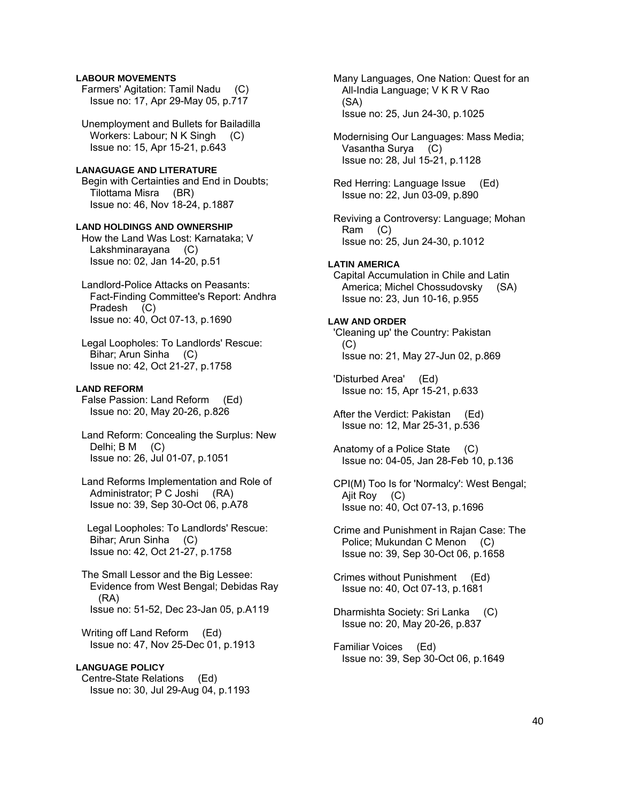## **LABOUR MOVEMENTS**

 Farmers' Agitation: Tamil Nadu (C) Issue no: 17, Apr 29-May 05, p.717

 Unemployment and Bullets for Bailadilla Workers: Labour; N K Singh (C) Issue no: 15, Apr 15-21, p.643

### **LANAGUAGE AND LITERATURE**  Begin with Certainties and End in Doubts; Tilottama Misra (BR)

Issue no: 46, Nov 18-24, p.1887

## **LAND HOLDINGS AND OWNERSHIP**

 How the Land Was Lost: Karnataka; V Lakshminarayana (C) Issue no: 02, Jan 14-20, p.51

 Landlord-Police Attacks on Peasants: Fact-Finding Committee's Report: Andhra Pradesh (C) Issue no: 40, Oct 07-13, p.1690

 Legal Loopholes: To Landlords' Rescue: Bihar; Arun Sinha (C) Issue no: 42, Oct 21-27, p.1758

## **LAND REFORM**

 False Passion: Land Reform (Ed) Issue no: 20, May 20-26, p.826

- Land Reform: Concealing the Surplus: New Delhi; B M (C) Issue no: 26, Jul 01-07, p.1051
- Land Reforms Implementation and Role of Administrator; P C Joshi (RA) Issue no: 39, Sep 30-Oct 06, p.A78

 Legal Loopholes: To Landlords' Rescue: Bihar; Arun Sinha (C) Issue no: 42, Oct 21-27, p.1758

 The Small Lessor and the Big Lessee: Evidence from West Bengal; Debidas Ray (RA) Issue no: 51-52, Dec 23-Jan 05, p.A119

 Writing off Land Reform (Ed) Issue no: 47, Nov 25-Dec 01, p.1913

## **LANGUAGE POLICY**  Centre-State Relations (Ed) Issue no: 30, Jul 29-Aug 04, p.1193

 Many Languages, One Nation: Quest for an All-India Language; V K R V Rao (SA) Issue no: 25, Jun 24-30, p.1025

 Modernising Our Languages: Mass Media; Vasantha Surya (C) Issue no: 28, Jul 15-21, p.1128

 Red Herring: Language Issue (Ed) Issue no: 22, Jun 03-09, p.890

 Reviving a Controversy: Language; Mohan Ram (C) Issue no: 25, Jun 24-30, p.1012

## **LATIN AMERICA**

 Capital Accumulation in Chile and Latin America; Michel Chossudovsky (SA) Issue no: 23, Jun 10-16, p.955

## **LAW AND ORDER**

 'Cleaning up' the Country: Pakistan (C) Issue no: 21, May 27-Jun 02, p.869

 'Disturbed Area' (Ed) Issue no: 15, Apr 15-21, p.633

 After the Verdict: Pakistan (Ed) Issue no: 12, Mar 25-31, p.536

 Anatomy of a Police State (C) Issue no: 04-05, Jan 28-Feb 10, p.136

 CPI(M) Too Is for 'Normalcy': West Bengal; Ajit Roy (C) Issue no: 40, Oct 07-13, p.1696

 Crime and Punishment in Rajan Case: The Police; Mukundan C Menon (C) Issue no: 39, Sep 30-Oct 06, p.1658

 Crimes without Punishment (Ed) Issue no: 40, Oct 07-13, p.1681

 Dharmishta Society: Sri Lanka (C) Issue no: 20, May 20-26, p.837

 Familiar Voices (Ed) Issue no: 39, Sep 30-Oct 06, p.1649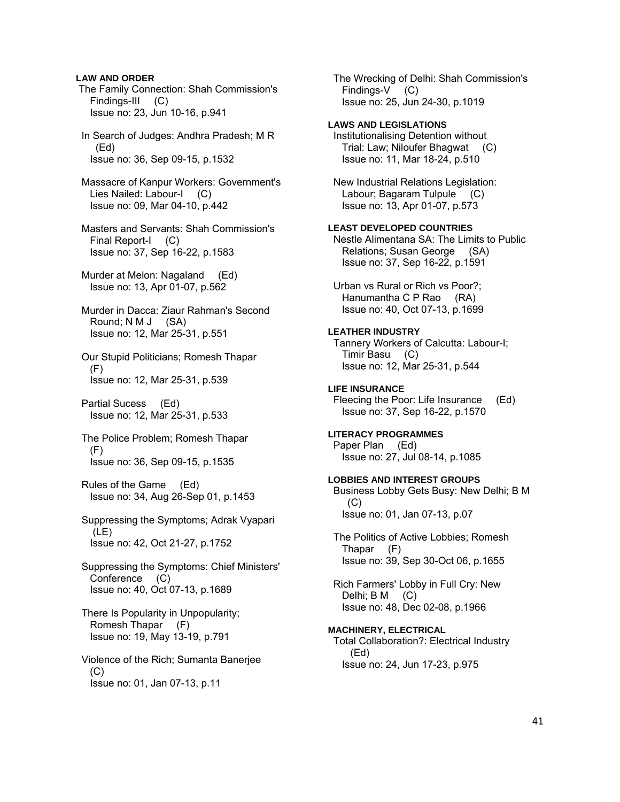### **LAW AND ORDER**

 The Family Connection: Shah Commission's Findings-III (C) Issue no: 23, Jun 10-16, p.941

 In Search of Judges: Andhra Pradesh; M R (Ed) Issue no: 36, Sep 09-15, p.1532

 Massacre of Kanpur Workers: Government's Lies Nailed: Labour-I (C) Issue no: 09, Mar 04-10, p.442

 Masters and Servants: Shah Commission's Final Report-I (C) Issue no: 37, Sep 16-22, p.1583

 Murder at Melon: Nagaland (Ed) Issue no: 13, Apr 01-07, p.562

 Murder in Dacca: Ziaur Rahman's Second Round; N M J (SA) Issue no: 12, Mar 25-31, p.551

 Our Stupid Politicians; Romesh Thapar  $(F)$ Issue no: 12, Mar 25-31, p.539

 Partial Sucess (Ed) Issue no: 12, Mar 25-31, p.533

 The Police Problem; Romesh Thapar (F) Issue no: 36, Sep 09-15, p.1535

 Rules of the Game (Ed) Issue no: 34, Aug 26-Sep 01, p.1453

 Suppressing the Symptoms; Adrak Vyapari (LE) Issue no: 42, Oct 21-27, p.1752

 Suppressing the Symptoms: Chief Ministers' Conference (C) Issue no: 40, Oct 07-13, p.1689

 There Is Popularity in Unpopularity; Romesh Thapar (F) Issue no: 19, May 13-19, p.791

 Violence of the Rich; Sumanta Banerjee (C) Issue no: 01, Jan 07-13, p.11

 The Wrecking of Delhi: Shah Commission's Findings-V (C) Issue no: 25, Jun 24-30, p.1019 **LAWS AND LEGISLATIONS**  Institutionalising Detention without Trial: Law; Niloufer Bhagwat (C) Issue no: 11, Mar 18-24, p.510 New Industrial Relations Legislation: Labour; Bagaram Tulpule (C) Issue no: 13, Apr 01-07, p.573 **LEAST DEVELOPED COUNTRIES**  Nestle Alimentana SA: The Limits to Public Relations; Susan George (SA) Issue no: 37, Sep 16-22, p.1591 Urban vs Rural or Rich vs Poor?; Hanumantha C P Rao (RA) Issue no: 40, Oct 07-13, p.1699

**LEATHER INDUSTRY** 

 Tannery Workers of Calcutta: Labour-I; Timir Basu (C) Issue no: 12, Mar 25-31, p.544

**LIFE INSURANCE**  Fleecing the Poor: Life Insurance (Ed) Issue no: 37, Sep 16-22, p.1570

**LITERACY PROGRAMMES**  Paper Plan (Ed) Issue no: 27, Jul 08-14, p.1085

**LOBBIES AND INTEREST GROUPS**  Business Lobby Gets Busy: New Delhi; B M  $(C)$ Issue no: 01, Jan 07-13, p.07

 The Politics of Active Lobbies; Romesh Thapar (F) Issue no: 39, Sep 30-Oct 06, p.1655

 Rich Farmers' Lobby in Full Cry: New Delhi; B M (C) Issue no: 48, Dec 02-08, p.1966

**MACHINERY, ELECTRICAL**  Total Collaboration?: Electrical Industry (Ed)

Issue no: 24, Jun 17-23, p.975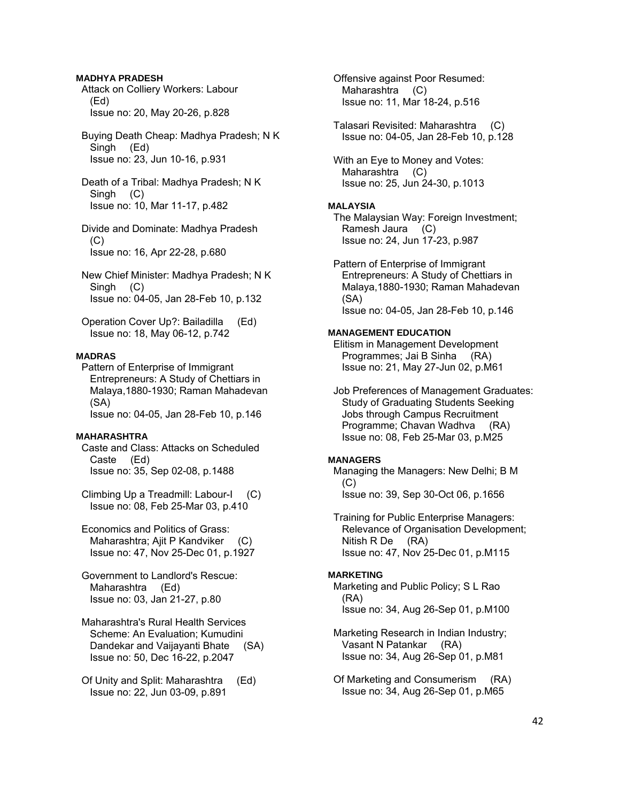## **MADHYA PRADESH**

 Attack on Colliery Workers: Labour (Ed) Issue no: 20, May 20-26, p.828

## Buying Death Cheap: Madhya Pradesh; N K Singh (Ed) Issue no: 23, Jun 10-16, p.931

 Death of a Tribal: Madhya Pradesh; N K Singh (C) Issue no: 10, Mar 11-17, p.482

 Divide and Dominate: Madhya Pradesh  $(C)$ Issue no: 16, Apr 22-28, p.680

 New Chief Minister: Madhya Pradesh; N K Singh (C) Issue no: 04-05, Jan 28-Feb 10, p.132

 Operation Cover Up?: Bailadilla (Ed) Issue no: 18, May 06-12, p.742

## **MADRAS**

 Pattern of Enterprise of Immigrant Entrepreneurs: A Study of Chettiars in Malaya,1880-1930; Raman Mahadevan (SA) Issue no: 04-05, Jan 28-Feb 10, p.146

## **MAHARASHTRA**

 Caste and Class: Attacks on Scheduled Caste (Ed) Issue no: 35, Sep 02-08, p.1488

 Climbing Up a Treadmill: Labour-I (C) Issue no: 08, Feb 25-Mar 03, p.410

 Economics and Politics of Grass: Maharashtra; Ajit P Kandviker (C) Issue no: 47, Nov 25-Dec 01, p.1927

 Government to Landlord's Rescue: Maharashtra (Ed) Issue no: 03, Jan 21-27, p.80

 Maharashtra's Rural Health Services Scheme: An Evaluation; Kumudini Dandekar and Vaijayanti Bhate (SA) Issue no: 50, Dec 16-22, p.2047

 Of Unity and Split: Maharashtra (Ed) Issue no: 22, Jun 03-09, p.891

 Offensive against Poor Resumed: Maharashtra (C) Issue no: 11, Mar 18-24, p.516

 Talasari Revisited: Maharashtra (C) Issue no: 04-05, Jan 28-Feb 10, p.128

 With an Eye to Money and Votes: Maharashtra (C) Issue no: 25, Jun 24-30, p.1013

## **MALAYSIA**

 The Malaysian Way: Foreign Investment; Ramesh Jaura (C) Issue no: 24, Jun 17-23, p.987

 Pattern of Enterprise of Immigrant Entrepreneurs: A Study of Chettiars in Malaya,1880-1930; Raman Mahadevan (SA) Issue no: 04-05, Jan 28-Feb 10, p.146

## **MANAGEMENT EDUCATION**

 Elitism in Management Development Programmes; Jai B Sinha (RA) Issue no: 21, May 27-Jun 02, p.M61

 Job Preferences of Management Graduates: Study of Graduating Students Seeking Jobs through Campus Recruitment Programme; Chavan Wadhva (RA) Issue no: 08, Feb 25-Mar 03, p.M25

#### **MANAGERS**

 Managing the Managers: New Delhi; B M  $(C)$ Issue no: 39, Sep 30-Oct 06, p.1656

 Training for Public Enterprise Managers: Relevance of Organisation Development; Nitish R De (RA) Issue no: 47, Nov 25-Dec 01, p.M115

### **MARKETING**

 Marketing and Public Policy; S L Rao (RA) Issue no: 34, Aug 26-Sep 01, p.M100

 Marketing Research in Indian Industry; Vasant N Patankar (RA) Issue no: 34, Aug 26-Sep 01, p.M81

 Of Marketing and Consumerism (RA) Issue no: 34, Aug 26-Sep 01, p.M65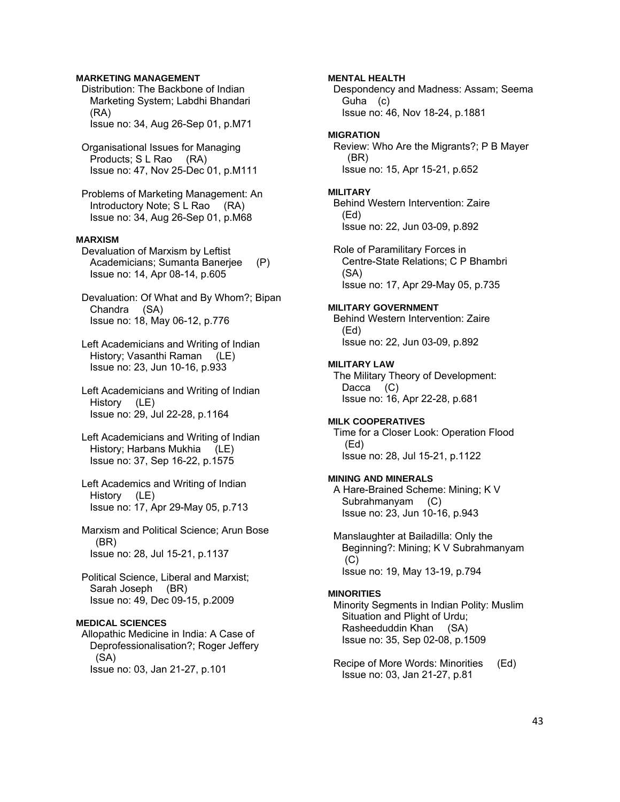## **MARKETING MANAGEMENT**

- Distribution: The Backbone of Indian Marketing System; Labdhi Bhandari (RA) Issue no: 34, Aug 26-Sep 01, p.M71
- Organisational Issues for Managing Products; S L Rao (RA) Issue no: 47, Nov 25-Dec 01, p.M111
- Problems of Marketing Management: An Introductory Note; S L Rao (RA) Issue no: 34, Aug 26-Sep 01, p.M68

## **MARXISM**

- Devaluation of Marxism by Leftist Academicians; Sumanta Banerjee (P) Issue no: 14, Apr 08-14, p.605
- Devaluation: Of What and By Whom?; Bipan Chandra (SA) Issue no: 18, May 06-12, p.776
- Left Academicians and Writing of Indian History; Vasanthi Raman (LE) Issue no: 23, Jun 10-16, p.933
- Left Academicians and Writing of Indian History (LE) Issue no: 29, Jul 22-28, p.1164
- Left Academicians and Writing of Indian History; Harbans Mukhia (LE) Issue no: 37, Sep 16-22, p.1575
- Left Academics and Writing of Indian History (LE) Issue no: 17, Apr 29-May 05, p.713
- Marxism and Political Science; Arun Bose (BR) Issue no: 28, Jul 15-21, p.1137
- Political Science, Liberal and Marxist; Sarah Joseph (BR) Issue no: 49, Dec 09-15, p.2009

## **MEDICAL SCIENCES**

 Allopathic Medicine in India: A Case of Deprofessionalisation?; Roger Jeffery (SA) Issue no: 03, Jan 21-27, p.101

## **MENTAL HEALTH**

 Despondency and Madness: Assam; Seema Guha (c) Issue no: 46, Nov 18-24, p.1881

### **MIGRATION**

 Review: Who Are the Migrants?; P B Mayer (BR) Issue no: 15, Apr 15-21, p.652

#### **MILITARY**

 Behind Western Intervention: Zaire (Ed) Issue no: 22, Jun 03-09, p.892

 Role of Paramilitary Forces in Centre-State Relations; C P Bhambri (SA) Issue no: 17, Apr 29-May 05, p.735

### **MILITARY GOVERNMENT**

 Behind Western Intervention: Zaire (Ed) Issue no: 22, Jun 03-09, p.892

#### **MILITARY LAW**

 The Military Theory of Development: Dacca (C) Issue no: 16, Apr 22-28, p.681

## **MILK COOPERATIVES**

 Time for a Closer Look: Operation Flood (Ed) Issue no: 28, Jul 15-21, p.1122

### **MINING AND MINERALS**

 A Hare-Brained Scheme: Mining; K V Subrahmanyam (C) Issue no: 23, Jun 10-16, p.943

 Manslaughter at Bailadilla: Only the Beginning?: Mining; K V Subrahmanyam (C) Issue no: 19, May 13-19, p.794

#### **MINORITIES**

 Minority Segments in Indian Polity: Muslim Situation and Plight of Urdu; Rasheeduddin Khan (SA) Issue no: 35, Sep 02-08, p.1509

 Recipe of More Words: Minorities (Ed) Issue no: 03, Jan 21-27, p.81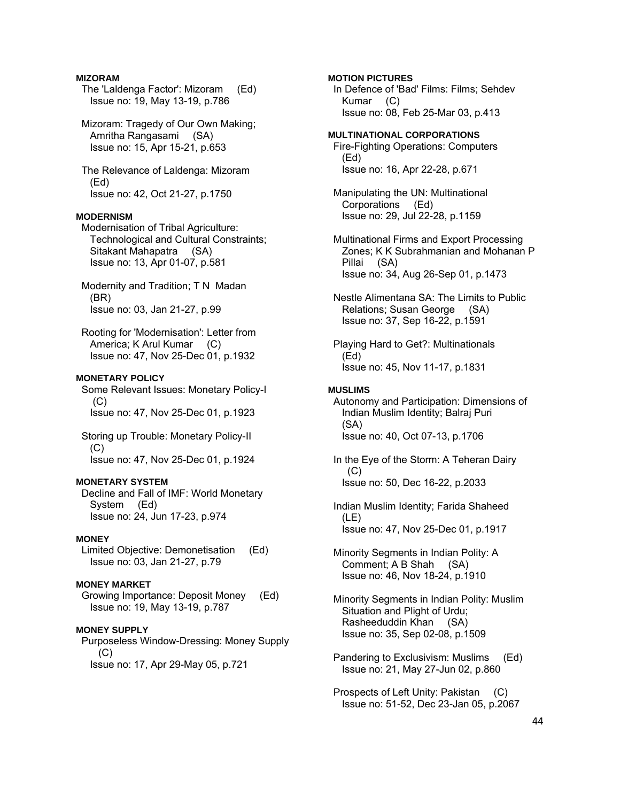### **MIZORAM**

- The 'Laldenga Factor': Mizoram (Ed) Issue no: 19, May 13-19, p.786
- Mizoram: Tragedy of Our Own Making; Amritha Rangasami (SA) Issue no: 15, Apr 15-21, p.653
- The Relevance of Laldenga: Mizoram (Ed) Issue no: 42, Oct 21-27, p.1750

## **MODERNISM**

- Modernisation of Tribal Agriculture: Technological and Cultural Constraints; Sitakant Mahapatra (SA) Issue no: 13, Apr 01-07, p.581
- Modernity and Tradition; T N Madan (BR) Issue no: 03, Jan 21-27, p.99
- Rooting for 'Modernisation': Letter from America; K Arul Kumar (C) Issue no: 47, Nov 25-Dec 01, p.1932

## **MONETARY POLICY**

 Some Relevant Issues: Monetary Policy-I (C) Issue no: 47, Nov 25-Dec 01, p.1923

 Storing up Trouble: Monetary Policy-II (C) Issue no: 47, Nov 25-Dec 01, p.1924

## **MONETARY SYSTEM**

 Decline and Fall of IMF: World Monetary System (Ed) Issue no: 24, Jun 17-23, p.974

## **MONEY**

 Limited Objective: Demonetisation (Ed) Issue no: 03, Jan 21-27, p.79

### **MONEY MARKET**

 Growing Importance: Deposit Money (Ed) Issue no: 19, May 13-19, p.787

## **MONEY SUPPLY**

 Purposeless Window-Dressing: Money Supply (C) Issue no: 17, Apr 29-May 05, p.721

## **MOTION PICTURES**

 In Defence of 'Bad' Films: Films; Sehdev Kumar (C) Issue no: 08, Feb 25-Mar 03, p.413

- **MULTINATIONAL CORPORATIONS**  Fire-Fighting Operations: Computers (Ed) Issue no: 16, Apr 22-28, p.671
- Manipulating the UN: Multinational Corporations (Ed) Issue no: 29, Jul 22-28, p.1159
- Multinational Firms and Export Processing Zones; K K Subrahmanian and Mohanan P Pillai (SA) Issue no: 34, Aug 26-Sep 01, p.1473
- Nestle Alimentana SA: The Limits to Public Relations; Susan George (SA) Issue no: 37, Sep 16-22, p.1591
- Playing Hard to Get?: Multinationals (Ed) Issue no: 45, Nov 11-17, p.1831

#### **MUSLIMS**

 Autonomy and Participation: Dimensions of Indian Muslim Identity; Balraj Puri (SA) Issue no: 40, Oct 07-13, p.1706

 In the Eye of the Storm: A Teheran Dairy (C) Issue no: 50, Dec 16-22, p.2033

 Indian Muslim Identity; Farida Shaheed (LE) Issue no: 47, Nov 25-Dec 01, p.1917

- Minority Segments in Indian Polity: A Comment; A B Shah (SA) Issue no: 46, Nov 18-24, p.1910
- Minority Segments in Indian Polity: Muslim Situation and Plight of Urdu; Rasheeduddin Khan (SA) Issue no: 35, Sep 02-08, p.1509
- Pandering to Exclusivism: Muslims (Ed) Issue no: 21, May 27-Jun 02, p.860
- Prospects of Left Unity: Pakistan (C) Issue no: 51-52, Dec 23-Jan 05, p.2067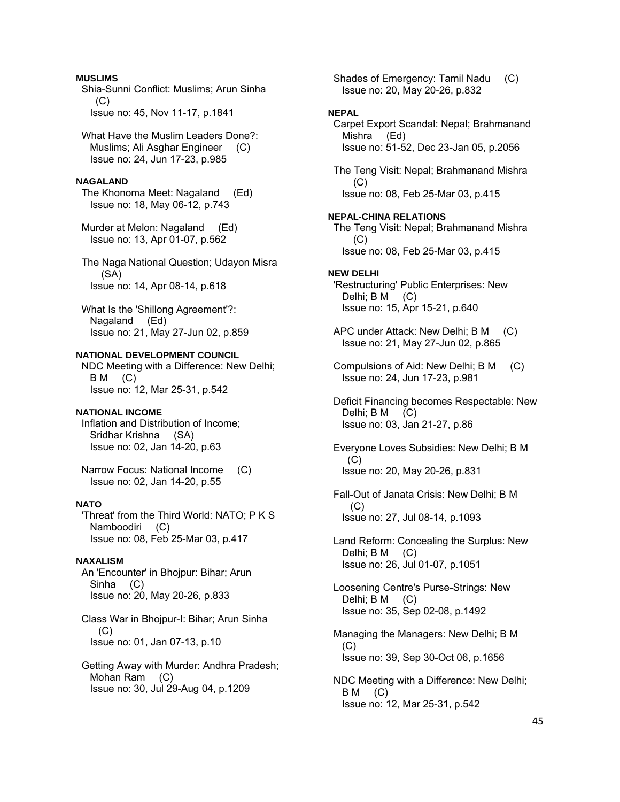## **MUSLIMS**

 Shia-Sunni Conflict: Muslims; Arun Sinha  $(C)$ Issue no: 45, Nov 11-17, p.1841

 What Have the Muslim Leaders Done?: Muslims; Ali Asghar Engineer (C) Issue no: 24, Jun 17-23, p.985

## **NAGALAND**

 The Khonoma Meet: Nagaland (Ed) Issue no: 18, May 06-12, p.743

 Murder at Melon: Nagaland (Ed) Issue no: 13, Apr 01-07, p.562

 The Naga National Question; Udayon Misra (SA) Issue no: 14, Apr 08-14, p.618

 What Is the 'Shillong Agreement'?: Nagaland (Ed) Issue no: 21, May 27-Jun 02, p.859

## **NATIONAL DEVELOPMENT COUNCIL**

 NDC Meeting with a Difference: New Delhi; B M (C) Issue no: 12, Mar 25-31, p.542

## **NATIONAL INCOME**

 Inflation and Distribution of Income; Sridhar Krishna (SA) Issue no: 02, Jan 14-20, p.63

 Narrow Focus: National Income (C) Issue no: 02, Jan 14-20, p.55

## **NATO**

 'Threat' from the Third World: NATO; P K S Namboodiri (C) Issue no: 08, Feb 25-Mar 03, p.417

## **NAXALISM**

 An 'Encounter' in Bhojpur: Bihar; Arun Sinha (C) Issue no: 20, May 20-26, p.833

 Class War in Bhojpur-I: Bihar; Arun Sinha (C) Issue no: 01, Jan 07-13, p.10

 Getting Away with Murder: Andhra Pradesh; Mohan Ram (C) Issue no: 30, Jul 29-Aug 04, p.1209

 Shades of Emergency: Tamil Nadu (C) Issue no: 20, May 20-26, p.832

## **NEPAL**

 Carpet Export Scandal: Nepal; Brahmanand Mishra (Ed) Issue no: 51-52, Dec 23-Jan 05, p.2056

 The Teng Visit: Nepal; Brahmanand Mishra (C) Issue no: 08, Feb 25-Mar 03, p.415

### **NEPAL-CHINA RELATIONS**

 The Teng Visit: Nepal; Brahmanand Mishra (C) Issue no: 08, Feb 25-Mar 03, p.415

**NEW DELHI**  'Restructuring' Public Enterprises: New Delhi; B M (C) Issue no: 15, Apr 15-21, p.640

 APC under Attack: New Delhi; B M (C) Issue no: 21, May 27-Jun 02, p.865

 Compulsions of Aid: New Delhi; B M (C) Issue no: 24, Jun 17-23, p.981

 Deficit Financing becomes Respectable: New Delhi; B M (C) Issue no: 03, Jan 21-27, p.86

 Everyone Loves Subsidies: New Delhi; B M  $(C)$ Issue no: 20, May 20-26, p.831

 Fall-Out of Janata Crisis: New Delhi; B M  $(C)$ Issue no: 27, Jul 08-14, p.1093

 Land Reform: Concealing the Surplus: New Delhi; B M (C) Issue no: 26, Jul 01-07, p.1051

 Loosening Centre's Purse-Strings: New Delhi; B M (C) Issue no: 35, Sep 02-08, p.1492

 Managing the Managers: New Delhi; B M  $(C)$ Issue no: 39, Sep 30-Oct 06, p.1656

 NDC Meeting with a Difference: New Delhi;  $BM$  (C) Issue no: 12, Mar 25-31, p.542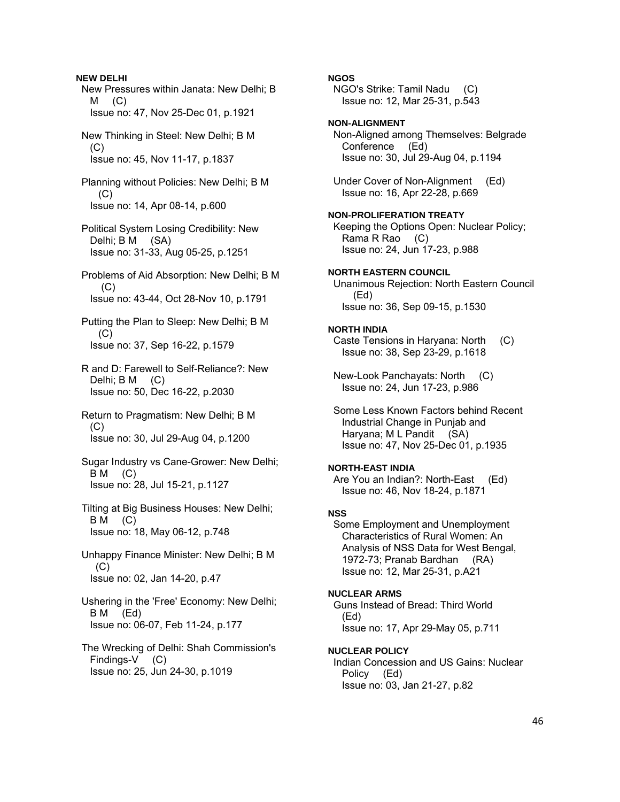**NEW DELHI**  New Pressures within Janata: New Delhi; B  $M$   $(C)$  Issue no: 47, Nov 25-Dec 01, p.1921 New Thinking in Steel: New Delhi; B M  $(C)$  Issue no: 45, Nov 11-17, p.1837 Planning without Policies: New Delhi; B M (C) Issue no: 14, Apr 08-14, p.600 Political System Losing Credibility: New Delhi; B M (SA) Issue no: 31-33, Aug 05-25, p.1251 Problems of Aid Absorption: New Delhi; B M  $(C)$  Issue no: 43-44, Oct 28-Nov 10, p.1791 Putting the Plan to Sleep: New Delhi; B M  $(C)$  Issue no: 37, Sep 16-22, p.1579 R and D: Farewell to Self-Reliance?: New Delhi; B M (C) Issue no: 50, Dec 16-22, p.2030 Return to Pragmatism: New Delhi; B M (C) Issue no: 30, Jul 29-Aug 04, p.1200 Sugar Industry vs Cane-Grower: New Delhi;  $BM$  (C) Issue no: 28, Jul 15-21, p.1127 Tilting at Big Business Houses: New Delhi;  $BM$  (C) Issue no: 18, May 06-12, p.748 Unhappy Finance Minister: New Delhi; B M  $(C)$  Issue no: 02, Jan 14-20, p.47 Ushering in the 'Free' Economy: New Delhi; B M (Ed) Issue no: 06-07, Feb 11-24, p.177 The Wrecking of Delhi: Shah Commission's Findings-V (C) Issue no: 25, Jun 24-30, p.1019

## **NGOS**

 NGO's Strike: Tamil Nadu (C) Issue no: 12, Mar 25-31, p.543

## **NON-ALIGNMENT**

 Non-Aligned among Themselves: Belgrade Conference (Ed) Issue no: 30, Jul 29-Aug 04, p.1194

 Under Cover of Non-Alignment (Ed) Issue no: 16, Apr 22-28, p.669

#### **NON-PROLIFERATION TREATY**

 Keeping the Options Open: Nuclear Policy; Rama R Rao (C) Issue no: 24, Jun 17-23, p.988

## **NORTH EASTERN COUNCIL**

 Unanimous Rejection: North Eastern Council (Ed) Issue no: 36, Sep 09-15, p.1530

## **NORTH INDIA**

 Caste Tensions in Haryana: North (C) Issue no: 38, Sep 23-29, p.1618

 New-Look Panchayats: North (C) Issue no: 24, Jun 17-23, p.986

 Some Less Known Factors behind Recent Industrial Change in Punjab and Haryana; M L Pandit (SA) Issue no: 47, Nov 25-Dec 01, p.1935

### **NORTH-EAST INDIA**

Are You an Indian?: North-East (Ed) Issue no: 46, Nov 18-24, p.1871

## **NSS**

 Some Employment and Unemployment Characteristics of Rural Women: An Analysis of NSS Data for West Bengal, 1972-73; Pranab Bardhan (RA) Issue no: 12, Mar 25-31, p.A21

#### **NUCLEAR ARMS**

 Guns Instead of Bread: Third World (Ed) Issue no: 17, Apr 29-May 05, p.711

### **NUCLEAR POLICY**

 Indian Concession and US Gains: Nuclear Policy (Ed) Issue no: 03, Jan 21-27, p.82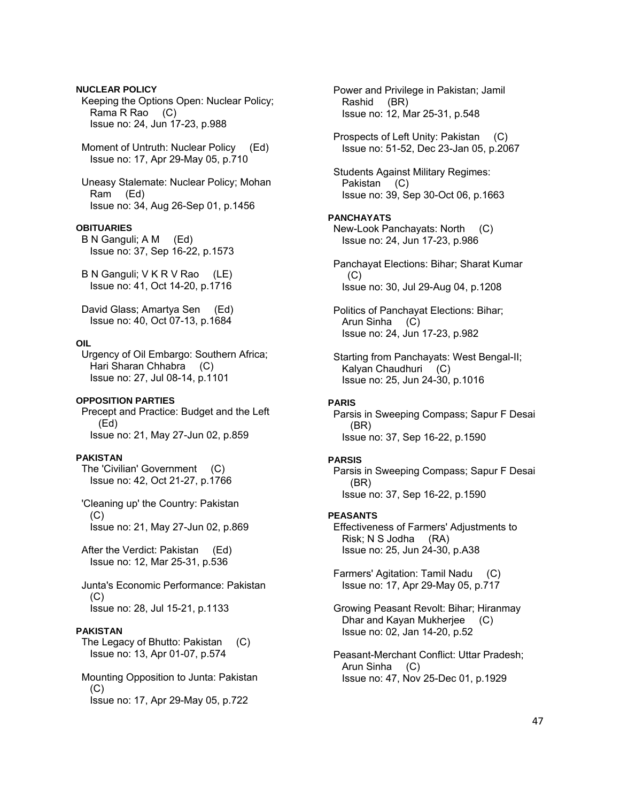**NUCLEAR POLICY**  Keeping the Options Open: Nuclear Policy; Rama R Rao (C) Issue no: 24, Jun 17-23, p.988 Moment of Untruth: Nuclear Policy (Ed) Issue no: 17, Apr 29-May 05, p.710 Uneasy Stalemate: Nuclear Policy; Mohan Ram (Ed) Issue no: 34, Aug 26-Sep 01, p.1456 **OBITUARIES**  B N Ganguli; A M (Ed) Issue no: 37, Sep 16-22, p.1573 B N Ganguli; V K R V Rao (LE) Issue no: 41, Oct 14-20, p.1716 David Glass; Amartya Sen (Ed) Issue no: 40, Oct 07-13, p.1684 **OIL**  Urgency of Oil Embargo: Southern Africa; Hari Sharan Chhabra (C) Issue no: 27, Jul 08-14, p.1101 **OPPOSITION PARTIES**  Precept and Practice: Budget and the Left (Ed) Issue no: 21, May 27-Jun 02, p.859 **PAKISTAN**  The 'Civilian' Government (C) Issue no: 42, Oct 21-27, p.1766 'Cleaning up' the Country: Pakistan  $(C)$  Issue no: 21, May 27-Jun 02, p.869 After the Verdict: Pakistan (Ed) Issue no: 12, Mar 25-31, p.536 Junta's Economic Performance: Pakistan (C) Issue no: 28, Jul 15-21, p.1133 **PAKISTAN**  The Legacy of Bhutto: Pakistan (C) Issue no: 13, Apr 01-07, p.574 Mounting Opposition to Junta: Pakistan  $(C)$ Issue no: 17, Apr 29-May 05, p.722

 Power and Privilege in Pakistan; Jamil Rashid (BR) Issue no: 12, Mar 25-31, p.548 Prospects of Left Unity: Pakistan (C) Issue no: 51-52, Dec 23-Jan 05, p.2067 Students Against Military Regimes: Pakistan (C) Issue no: 39, Sep 30-Oct 06, p.1663 **PANCHAYATS**  New-Look Panchayats: North (C) Issue no: 24, Jun 17-23, p.986 Panchayat Elections: Bihar; Sharat Kumar  $(C)$  Issue no: 30, Jul 29-Aug 04, p.1208 Politics of Panchayat Elections: Bihar; Arun Sinha (C) Issue no: 24, Jun 17-23, p.982 Starting from Panchayats: West Bengal-II; Kalyan Chaudhuri (C) Issue no: 25, Jun 24-30, p.1016 **PARIS**  Parsis in Sweeping Compass; Sapur F Desai (BR) Issue no: 37, Sep 16-22, p.1590 **PARSIS**  Parsis in Sweeping Compass; Sapur F Desai (BR) Issue no: 37, Sep 16-22, p.1590 **PEASANTS**  Effectiveness of Farmers' Adjustments to Risk; N S Jodha (RA) Issue no: 25, Jun 24-30, p.A38 Farmers' Agitation: Tamil Nadu (C) Issue no: 17, Apr 29-May 05, p.717 Growing Peasant Revolt: Bihar; Hiranmay Dhar and Kayan Mukherjee (C) Issue no: 02, Jan 14-20, p.52 Peasant-Merchant Conflict: Uttar Pradesh; Arun Sinha (C) Issue no: 47, Nov 25-Dec 01, p.1929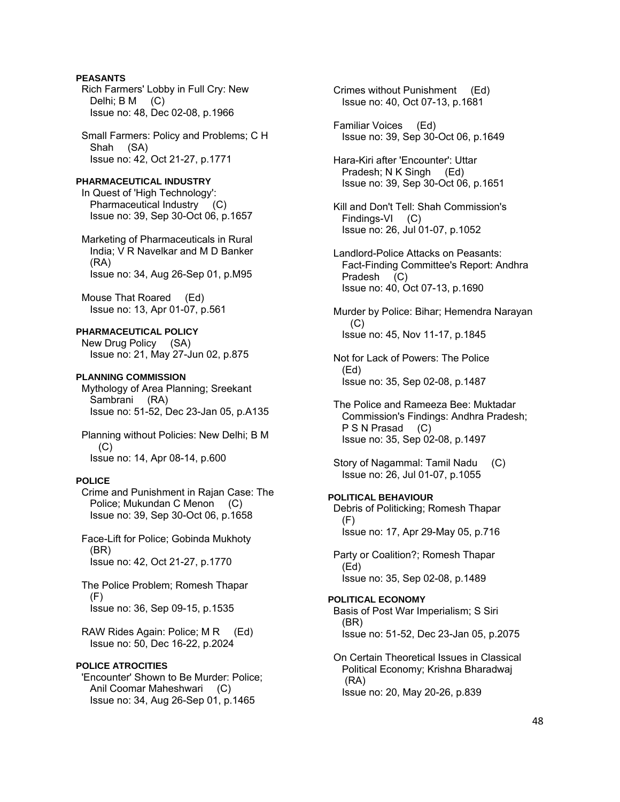## **PEASANTS**

 Rich Farmers' Lobby in Full Cry: New Delhi; B M (C) Issue no: 48, Dec 02-08, p.1966

 Small Farmers: Policy and Problems; C H Shah (SA) Issue no: 42, Oct 21-27, p.1771

**PHARMACEUTICAL INDUSTRY**  In Quest of 'High Technology': Pharmaceutical Industry (C) Issue no: 39, Sep 30-Oct 06, p.1657

 Marketing of Pharmaceuticals in Rural India; V R Navelkar and M D Banker (RA) Issue no: 34, Aug 26-Sep 01, p.M95

 Mouse That Roared (Ed) Issue no: 13, Apr 01-07, p.561

## **PHARMACEUTICAL POLICY**

 New Drug Policy (SA) Issue no: 21, May 27-Jun 02, p.875

## **PLANNING COMMISSION**

 Mythology of Area Planning; Sreekant Sambrani (RA) Issue no: 51-52, Dec 23-Jan 05, p.A135

 Planning without Policies: New Delhi; B M (C) Issue no: 14, Apr 08-14, p.600

## **POLICE**

 Crime and Punishment in Rajan Case: The Police; Mukundan C Menon (C) Issue no: 39, Sep 30-Oct 06, p.1658

 Face-Lift for Police; Gobinda Mukhoty (BR) Issue no: 42, Oct 21-27, p.1770

 The Police Problem; Romesh Thapar (F) Issue no: 36, Sep 09-15, p.1535

RAW Rides Again: Police; M R (Ed) Issue no: 50, Dec 16-22, p.2024

### **POLICE ATROCITIES**

 'Encounter' Shown to Be Murder: Police; Anil Coomar Maheshwari (C) Issue no: 34, Aug 26-Sep 01, p.1465

 Crimes without Punishment (Ed) Issue no: 40, Oct 07-13, p.1681

 Familiar Voices (Ed) Issue no: 39, Sep 30-Oct 06, p.1649

 Hara-Kiri after 'Encounter': Uttar Pradesh; N K Singh (Ed) Issue no: 39, Sep 30-Oct 06, p.1651

 Kill and Don't Tell: Shah Commission's Findings-VI (C) Issue no: 26, Jul 01-07, p.1052

 Landlord-Police Attacks on Peasants: Fact-Finding Committee's Report: Andhra Pradesh (C) Issue no: 40, Oct 07-13, p.1690

 Murder by Police: Bihar; Hemendra Narayan  $(C)$ Issue no: 45, Nov 11-17, p.1845

 Not for Lack of Powers: The Police (Ed) Issue no: 35, Sep 02-08, p.1487

 The Police and Rameeza Bee: Muktadar Commission's Findings: Andhra Pradesh; P S N Prasad (C) Issue no: 35, Sep 02-08, p.1497

 Story of Nagammal: Tamil Nadu (C) Issue no: 26, Jul 01-07, p.1055

## **POLITICAL BEHAVIOUR**

 Debris of Politicking; Romesh Thapar  $(F)$ Issue no: 17, Apr 29-May 05, p.716

 Party or Coalition?; Romesh Thapar (Ed) Issue no: 35, Sep 02-08, p.1489

# **POLITICAL ECONOMY**

 Basis of Post War Imperialism; S Siri (BR) Issue no: 51-52, Dec 23-Jan 05, p.2075

 On Certain Theoretical Issues in Classical Political Economy; Krishna Bharadwaj (RA) Issue no: 20, May 20-26, p.839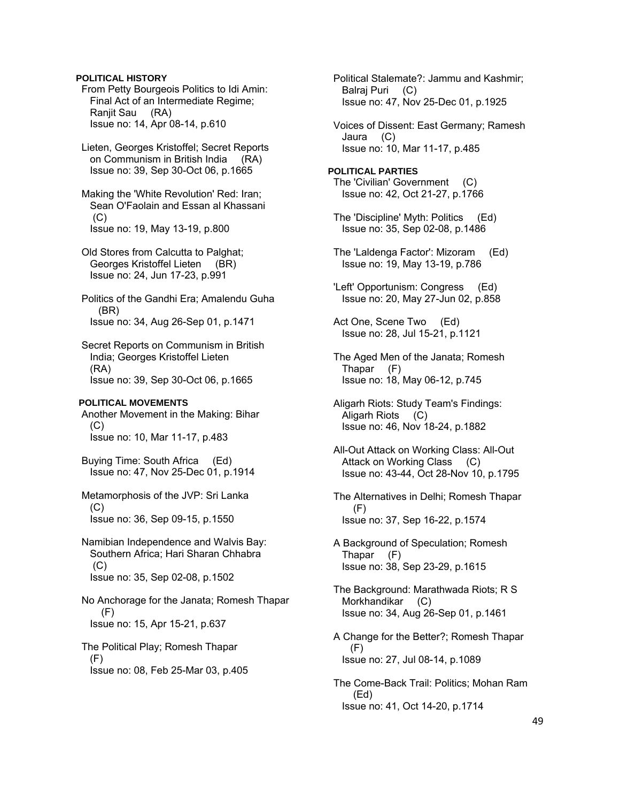## **POLITICAL HISTORY**

 From Petty Bourgeois Politics to Idi Amin: Final Act of an Intermediate Regime; Ranjit Sau (RA) Issue no: 14, Apr 08-14, p.610

 Lieten, Georges Kristoffel; Secret Reports on Communism in British India (RA) Issue no: 39, Sep 30-Oct 06, p.1665

 Making the 'White Revolution' Red: Iran; Sean O'Faolain and Essan al Khassani (C) Issue no: 19, May 13-19, p.800

 Old Stores from Calcutta to Palghat; Georges Kristoffel Lieten (BR) Issue no: 24, Jun 17-23, p.991

 Politics of the Gandhi Era; Amalendu Guha (BR) Issue no: 34, Aug 26-Sep 01, p.1471

 Secret Reports on Communism in British India; Georges Kristoffel Lieten (RA) Issue no: 39, Sep 30-Oct 06, p.1665

#### **POLITICAL MOVEMENTS**

 Another Movement in the Making: Bihar  $(C)$ Issue no: 10, Mar 11-17, p.483

 Buying Time: South Africa (Ed) Issue no: 47, Nov 25-Dec 01, p.1914

 Metamorphosis of the JVP: Sri Lanka (C) Issue no: 36, Sep 09-15, p.1550

 Namibian Independence and Walvis Bay: Southern Africa; Hari Sharan Chhabra (C) Issue no: 35, Sep 02-08, p.1502

 No Anchorage for the Janata; Romesh Thapar (F) Issue no: 15, Apr 15-21, p.637

 The Political Play; Romesh Thapar (F) Issue no: 08, Feb 25-Mar 03, p.405  Political Stalemate?: Jammu and Kashmir; Balraj Puri (C) Issue no: 47, Nov 25-Dec 01, p.1925

 Voices of Dissent: East Germany; Ramesh Jaura (C) Issue no: 10, Mar 11-17, p.485

**POLITICAL PARTIES**  The 'Civilian' Government (C) Issue no: 42, Oct 21-27, p.1766

- The 'Discipline' Myth: Politics (Ed) Issue no: 35, Sep 02-08, p.1486
- The 'Laldenga Factor': Mizoram (Ed) Issue no: 19, May 13-19, p.786
- 'Left' Opportunism: Congress (Ed) Issue no: 20, May 27-Jun 02, p.858
- Act One, Scene Two (Ed) Issue no: 28, Jul 15-21, p.1121
- The Aged Men of the Janata; Romesh Thapar (F) Issue no: 18, May 06-12, p.745
- Aligarh Riots: Study Team's Findings: Aligarh Riots (C) Issue no: 46, Nov 18-24, p.1882
- All-Out Attack on Working Class: All-Out Attack on Working Class (C) Issue no: 43-44, Oct 28-Nov 10, p.1795
- The Alternatives in Delhi; Romesh Thapar (F) Issue no: 37, Sep 16-22, p.1574
- A Background of Speculation; Romesh Thapar (F) Issue no: 38, Sep 23-29, p.1615

 The Background: Marathwada Riots; R S Morkhandikar (C) Issue no: 34, Aug 26-Sep 01, p.1461

- A Change for the Better?; Romesh Thapar (F) Issue no: 27, Jul 08-14, p.1089
- The Come-Back Trail: Politics; Mohan Ram (Ed) Issue no: 41, Oct 14-20, p.1714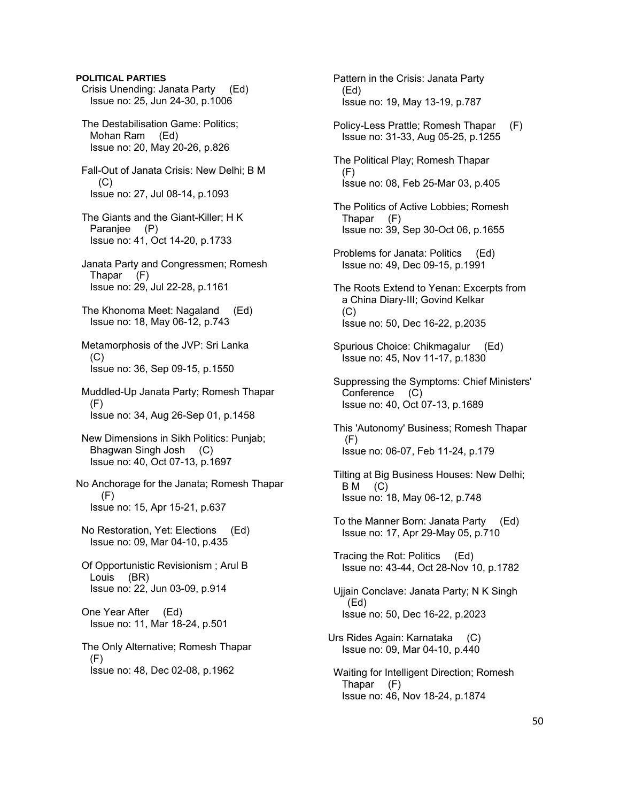**POLITICAL PARTIES**  Crisis Unending: Janata Party (Ed) Issue no: 25, Jun 24-30, p.1006 The Destabilisation Game: Politics; Mohan Ram (Ed) Issue no: 20, May 20-26, p.826 Fall-Out of Janata Crisis: New Delhi; B M  $(C)$  Issue no: 27, Jul 08-14, p.1093 The Giants and the Giant-Killer; H K Paranjee (P) Issue no: 41, Oct 14-20, p.1733 Janata Party and Congressmen; Romesh Thapar (F) Issue no: 29, Jul 22-28, p.1161 The Khonoma Meet: Nagaland (Ed) Issue no: 18, May 06-12, p.743 Metamorphosis of the JVP: Sri Lanka (C) Issue no: 36, Sep 09-15, p.1550 Muddled-Up Janata Party; Romesh Thapar (F) Issue no: 34, Aug 26-Sep 01, p.1458 New Dimensions in Sikh Politics: Punjab; Bhagwan Singh Josh (C) Issue no: 40, Oct 07-13, p.1697 No Anchorage for the Janata; Romesh Thapar (F) Issue no: 15, Apr 15-21, p.637 No Restoration, Yet: Elections (Ed) Issue no: 09, Mar 04-10, p.435 Of Opportunistic Revisionism ; Arul B Louis (BR) Issue no: 22, Jun 03-09, p.914 One Year After (Ed) Issue no: 11, Mar 18-24, p.501 The Only Alternative; Romesh Thapar (F) Issue no: 48, Dec 02-08, p.1962

 Pattern in the Crisis: Janata Party (Ed) Issue no: 19, May 13-19, p.787

- Policy-Less Prattle; Romesh Thapar (F) Issue no: 31-33, Aug 05-25, p.1255
- The Political Play; Romesh Thapar (F) Issue no: 08, Feb 25-Mar 03, p.405
- The Politics of Active Lobbies; Romesh Thapar (F) Issue no: 39, Sep 30-Oct 06, p.1655
- Problems for Janata: Politics (Ed) Issue no: 49, Dec 09-15, p.1991
- The Roots Extend to Yenan: Excerpts from a China Diary-III; Govind Kelkar  $(C)$ Issue no: 50, Dec 16-22, p.2035
- Spurious Choice: Chikmagalur (Ed) Issue no: 45, Nov 11-17, p.1830
- Suppressing the Symptoms: Chief Ministers' Conference (C) Issue no: 40, Oct 07-13, p.1689
- This 'Autonomy' Business; Romesh Thapar (F) Issue no: 06-07, Feb 11-24, p.179
- Tilting at Big Business Houses: New Delhi;  $BM$  (C) Issue no: 18, May 06-12, p.748
- To the Manner Born: Janata Party (Ed) Issue no: 17, Apr 29-May 05, p.710
- Tracing the Rot: Politics (Ed) Issue no: 43-44, Oct 28-Nov 10, p.1782
- Ujjain Conclave: Janata Party; N K Singh (Ed) Issue no: 50, Dec 16-22, p.2023
- Urs Rides Again: Karnataka (C) Issue no: 09, Mar 04-10, p.440
- Waiting for Intelligent Direction; Romesh Thapar (F) Issue no: 46, Nov 18-24, p.1874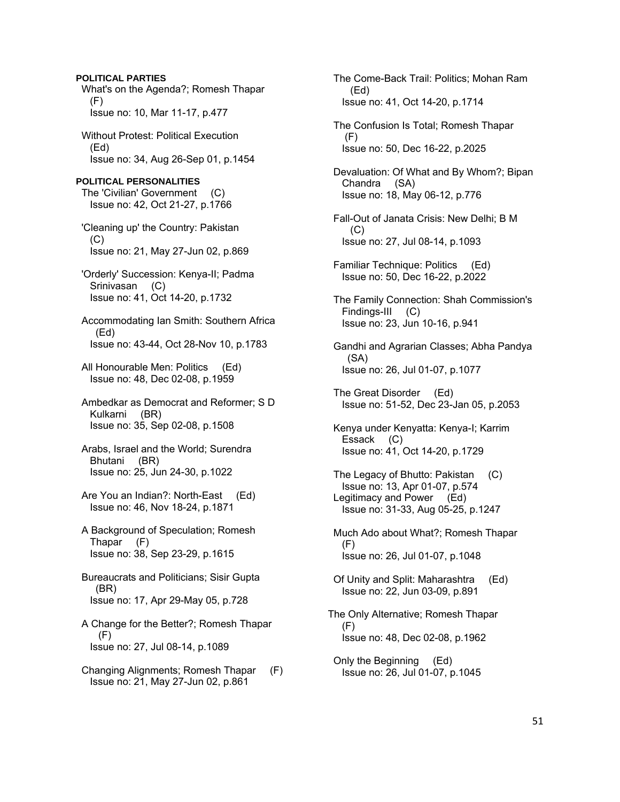**POLITICAL PARTIES**  What's on the Agenda?; Romesh Thapar (F) Issue no: 10, Mar 11-17, p.477 Without Protest: Political Execution (Ed) Issue no: 34, Aug 26-Sep 01, p.1454 **POLITICAL PERSONALITIES**  The 'Civilian' Government (C) Issue no: 42, Oct 21-27, p.1766 'Cleaning up' the Country: Pakistan (C) Issue no: 21, May 27-Jun 02, p.869 'Orderly' Succession: Kenya-II; Padma Srinivasan (C) Issue no: 41, Oct 14-20, p.1732 Accommodating Ian Smith: Southern Africa (Ed) Issue no: 43-44, Oct 28-Nov 10, p.1783 All Honourable Men: Politics (Ed) Issue no: 48, Dec 02-08, p.1959 Ambedkar as Democrat and Reformer; S D Kulkarni (BR) Issue no: 35, Sep 02-08, p.1508 Arabs, Israel and the World; Surendra Bhutani (BR) Issue no: 25, Jun 24-30, p.1022 Are You an Indian?: North-East (Ed) Issue no: 46, Nov 18-24, p.1871 A Background of Speculation; Romesh Thapar (F) Issue no: 38, Sep 23-29, p.1615 Bureaucrats and Politicians; Sisir Gupta (BR) Issue no: 17, Apr 29-May 05, p.728 A Change for the Better?; Romesh Thapar (F) Issue no: 27, Jul 08-14, p.1089 Changing Alignments; Romesh Thapar (F) Issue no: 21, May 27-Jun 02, p.861

 The Come-Back Trail: Politics; Mohan Ram (Ed) Issue no: 41, Oct 14-20, p.1714 The Confusion Is Total; Romesh Thapar (F) Issue no: 50, Dec 16-22, p.2025 Devaluation: Of What and By Whom?; Bipan Chandra (SA) Issue no: 18, May 06-12, p.776 Fall-Out of Janata Crisis: New Delhi; B M (C) Issue no: 27, Jul 08-14, p.1093 Familiar Technique: Politics (Ed) Issue no: 50, Dec 16-22, p.2022 The Family Connection: Shah Commission's Findings-III (C) Issue no: 23, Jun 10-16, p.941 Gandhi and Agrarian Classes; Abha Pandya (SA) Issue no: 26, Jul 01-07, p.1077 The Great Disorder (Ed) Issue no: 51-52, Dec 23-Jan 05, p.2053 Kenya under Kenyatta: Kenya-I; Karrim Essack (C) Issue no: 41, Oct 14-20, p.1729 The Legacy of Bhutto: Pakistan (C) Issue no: 13, Apr 01-07, p.574 Legitimacy and Power (Ed) Issue no: 31-33, Aug 05-25, p.1247 Much Ado about What?; Romesh Thapar (F) Issue no: 26, Jul 01-07, p.1048 Of Unity and Split: Maharashtra (Ed) Issue no: 22, Jun 03-09, p.891 The Only Alternative; Romesh Thapar (F) Issue no: 48, Dec 02-08, p.1962 Only the Beginning (Ed) Issue no: 26, Jul 01-07, p.1045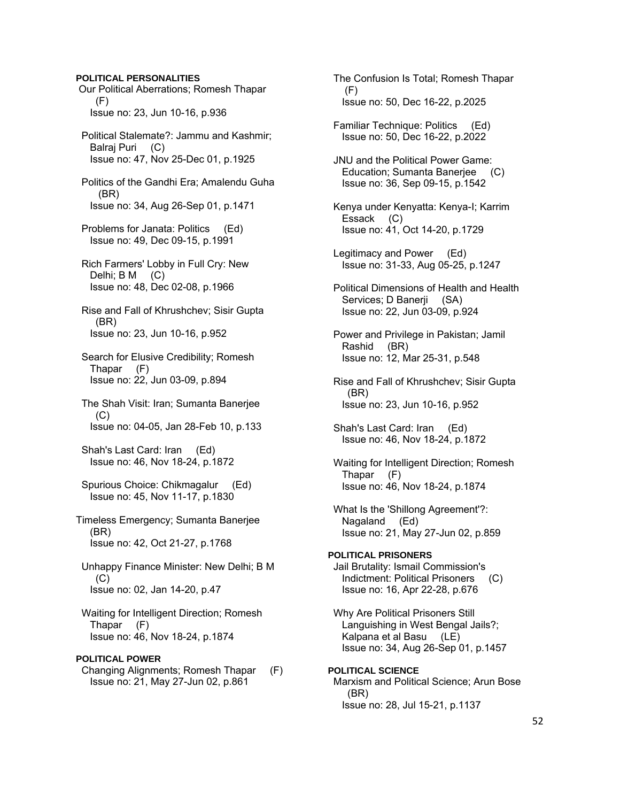### **POLITICAL PERSONALITIES**

- Our Political Aberrations; Romesh Thapar (F) Issue no: 23, Jun 10-16, p.936
- Political Stalemate?: Jammu and Kashmir; Balraj Puri (C) Issue no: 47, Nov 25-Dec 01, p.1925
- Politics of the Gandhi Era; Amalendu Guha (BR) Issue no: 34, Aug 26-Sep 01, p.1471
- Problems for Janata: Politics (Ed) Issue no: 49, Dec 09-15, p.1991
- Rich Farmers' Lobby in Full Cry: New Delhi; B M (C) Issue no: 48, Dec 02-08, p.1966
- Rise and Fall of Khrushchev; Sisir Gupta (BR) Issue no: 23, Jun 10-16, p.952
- Search for Elusive Credibility; Romesh Thapar (F) Issue no: 22, Jun 03-09, p.894
- The Shah Visit: Iran; Sumanta Banerjee  $(C)$ Issue no: 04-05, Jan 28-Feb 10, p.133
- Shah's Last Card: Iran (Ed) Issue no: 46, Nov 18-24, p.1872
- Spurious Choice: Chikmagalur (Ed) Issue no: 45, Nov 11-17, p.1830
- Timeless Emergency; Sumanta Banerjee (BR) Issue no: 42, Oct 21-27, p.1768
- Unhappy Finance Minister: New Delhi; B M  $(C)$ Issue no: 02, Jan 14-20, p.47
- Waiting for Intelligent Direction; Romesh Thapar (F) Issue no: 46, Nov 18-24, p.1874

## **POLITICAL POWER**

 Changing Alignments; Romesh Thapar (F) Issue no: 21, May 27-Jun 02, p.861

- The Confusion Is Total; Romesh Thapar (F) Issue no: 50, Dec 16-22, p.2025
- Familiar Technique: Politics (Ed) Issue no: 50, Dec 16-22, p.2022
- JNU and the Political Power Game: Education; Sumanta Banerjee (C) Issue no: 36, Sep 09-15, p.1542
- Kenya under Kenyatta: Kenya-I; Karrim Essack (C) Issue no: 41, Oct 14-20, p.1729
- Legitimacy and Power (Ed) Issue no: 31-33, Aug 05-25, p.1247
- Political Dimensions of Health and Health Services; D Banerji (SA) Issue no: 22, Jun 03-09, p.924
- Power and Privilege in Pakistan; Jamil Rashid (BR) Issue no: 12, Mar 25-31, p.548
- Rise and Fall of Khrushchev; Sisir Gupta (BR) Issue no: 23, Jun 10-16, p.952
- Shah's Last Card: Iran (Ed) Issue no: 46, Nov 18-24, p.1872
- Waiting for Intelligent Direction; Romesh Thapar (F) Issue no: 46, Nov 18-24, p.1874
- What Is the 'Shillong Agreement'?: Nagaland (Ed) Issue no: 21, May 27-Jun 02, p.859

## **POLITICAL PRISONERS**  Jail Brutality: Ismail Commission's Indictment: Political Prisoners (C) Issue no: 16, Apr 22-28, p.676

- Why Are Political Prisoners Still Languishing in West Bengal Jails?; Kalpana et al Basu (LE) Issue no: 34, Aug 26-Sep 01, p.1457
- **POLITICAL SCIENCE**  Marxism and Political Science; Arun Bose (BR) Issue no: 28, Jul 15-21, p.1137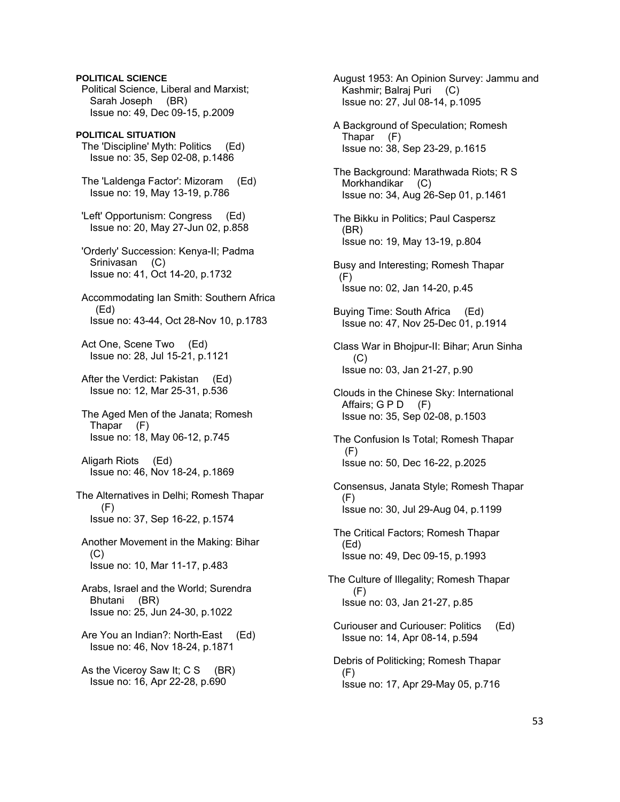Political Science, Liberal and Marxist; Sarah Joseph (BR) Issue no: 49, Dec 09-15, p.2009 **POLITICAL SITUATION**  The 'Discipline' Myth: Politics (Ed) Issue no: 35, Sep 02-08, p.1486 The 'Laldenga Factor': Mizoram (Ed) Issue no: 19, May 13-19, p.786 'Left' Opportunism: Congress (Ed) Issue no: 20, May 27-Jun 02, p.858 'Orderly' Succession: Kenya-II; Padma Srinivasan (C) Issue no: 41, Oct 14-20, p.1732 Accommodating Ian Smith: Southern Africa (Ed) Issue no: 43-44, Oct 28-Nov 10, p.1783 Act One, Scene Two (Ed) Issue no: 28, Jul 15-21, p.1121 After the Verdict: Pakistan (Ed) Issue no: 12, Mar 25-31, p.536 The Aged Men of the Janata; Romesh Thapar (F) Issue no: 18, May 06-12, p.745 Aligarh Riots (Ed) Issue no: 46, Nov 18-24, p.1869 The Alternatives in Delhi; Romesh Thapar (F) Issue no: 37, Sep 16-22, p.1574 Another Movement in the Making: Bihar (C) Issue no: 10, Mar 11-17, p.483 Arabs, Israel and the World; Surendra Bhutani (BR) Issue no: 25, Jun 24-30, p.1022 Are You an Indian?: North-East (Ed) Issue no: 46, Nov 18-24, p.1871 As the Viceroy Saw It;  $CS$  (BR)

Issue no: 16, Apr 22-28, p.690

**POLITICAL SCIENCE** 

 August 1953: An Opinion Survey: Jammu and Kashmir; Balraj Puri (C) Issue no: 27, Jul 08-14, p.1095 A Background of Speculation; Romesh Thapar (F) Issue no: 38, Sep 23-29, p.1615 The Background: Marathwada Riots; R S Morkhandikar (C) Issue no: 34, Aug 26-Sep 01, p.1461 The Bikku in Politics; Paul Caspersz (BR) Issue no: 19, May 13-19, p.804 Busy and Interesting; Romesh Thapar  $(F)$  Issue no: 02, Jan 14-20, p.45 Buying Time: South Africa (Ed) Issue no: 47, Nov 25-Dec 01, p.1914 Class War in Bhojpur-II: Bihar; Arun Sinha  $(C)$  Issue no: 03, Jan 21-27, p.90 Clouds in the Chinese Sky: International Affairs;  $G \, P \, D \quad (F)$  Issue no: 35, Sep 02-08, p.1503 The Confusion Is Total; Romesh Thapar (F) Issue no: 50, Dec 16-22, p.2025 Consensus, Janata Style; Romesh Thapar (F) Issue no: 30, Jul 29-Aug 04, p.1199 The Critical Factors; Romesh Thapar (Ed) Issue no: 49, Dec 09-15, p.1993 The Culture of Illegality; Romesh Thapar (F) Issue no: 03, Jan 21-27, p.85 Curiouser and Curiouser: Politics (Ed) Issue no: 14, Apr 08-14, p.594 Debris of Politicking; Romesh Thapar (F) Issue no: 17, Apr 29-May 05, p.716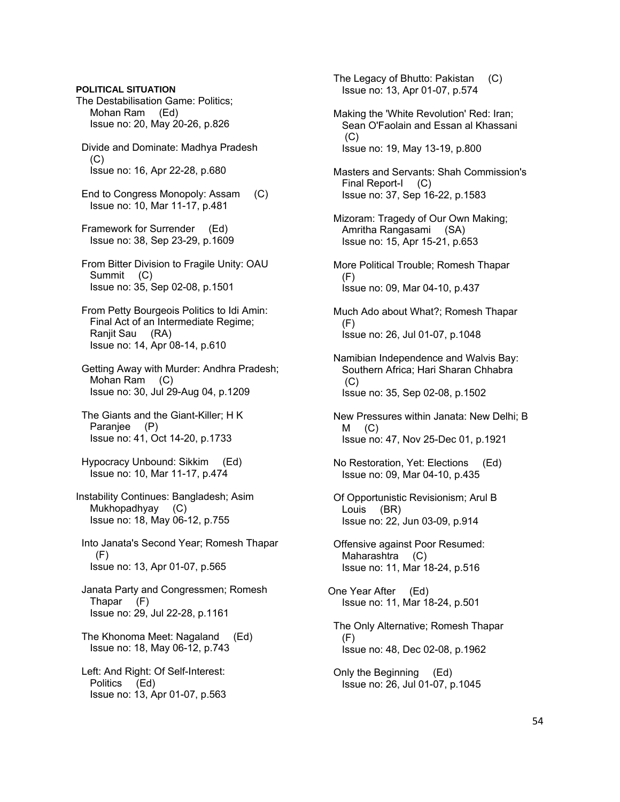### **POLITICAL SITUATION**

- The Destabilisation Game: Politics; Mohan Ram (Ed) Issue no: 20, May 20-26, p.826
- Divide and Dominate: Madhya Pradesh  $(C)$ Issue no: 16, Apr 22-28, p.680
- End to Congress Monopoly: Assam (C) Issue no: 10, Mar 11-17, p.481
- Framework for Surrender (Ed) Issue no: 38, Sep 23-29, p.1609
- From Bitter Division to Fragile Unity: OAU Summit (C) Issue no: 35, Sep 02-08, p.1501
- From Petty Bourgeois Politics to Idi Amin: Final Act of an Intermediate Regime; Ranjit Sau (RA) Issue no: 14, Apr 08-14, p.610
- Getting Away with Murder: Andhra Pradesh; Mohan Ram (C) Issue no: 30, Jul 29-Aug 04, p.1209
- The Giants and the Giant-Killer; H K Paranjee (P) Issue no: 41, Oct 14-20, p.1733
- Hypocracy Unbound: Sikkim (Ed) Issue no: 10, Mar 11-17, p.474
- Instability Continues: Bangladesh; Asim Mukhopadhyay (C) Issue no: 18, May 06-12, p.755
- Into Janata's Second Year; Romesh Thapar  $(F)$ Issue no: 13, Apr 01-07, p.565
- Janata Party and Congressmen; Romesh Thapar (F) Issue no: 29, Jul 22-28, p.1161
- The Khonoma Meet: Nagaland (Ed) Issue no: 18, May 06-12, p.743
- Left: And Right: Of Self-Interest: Politics (Ed) Issue no: 13, Apr 01-07, p.563
- The Legacy of Bhutto: Pakistan (C) Issue no: 13, Apr 01-07, p.574
- Making the 'White Revolution' Red: Iran; Sean O'Faolain and Essan al Khassani  $(C)$ Issue no: 19, May 13-19, p.800
- Masters and Servants: Shah Commission's Final Report-I (C) Issue no: 37, Sep 16-22, p.1583
- Mizoram: Tragedy of Our Own Making; Amritha Rangasami (SA) Issue no: 15, Apr 15-21, p.653
- More Political Trouble; Romesh Thapar (F) Issue no: 09, Mar 04-10, p.437
- Much Ado about What?; Romesh Thapar  $(F)$ Issue no: 26, Jul 01-07, p.1048
- Namibian Independence and Walvis Bay: Southern Africa; Hari Sharan Chhabra  $(C)$ Issue no: 35, Sep 02-08, p.1502
- New Pressures within Janata: New Delhi; B  $M$   $(C)$ Issue no: 47, Nov 25-Dec 01, p.1921
- No Restoration, Yet: Elections (Ed) Issue no: 09, Mar 04-10, p.435
- Of Opportunistic Revisionism; Arul B Louis (BR) Issue no: 22, Jun 03-09, p.914
- Offensive against Poor Resumed: Maharashtra (C) Issue no: 11, Mar 18-24, p.516
- One Year After (Ed) Issue no: 11, Mar 18-24, p.501
- The Only Alternative; Romesh Thapar (F) Issue no: 48, Dec 02-08, p.1962
- Only the Beginning (Ed) Issue no: 26, Jul 01-07, p.1045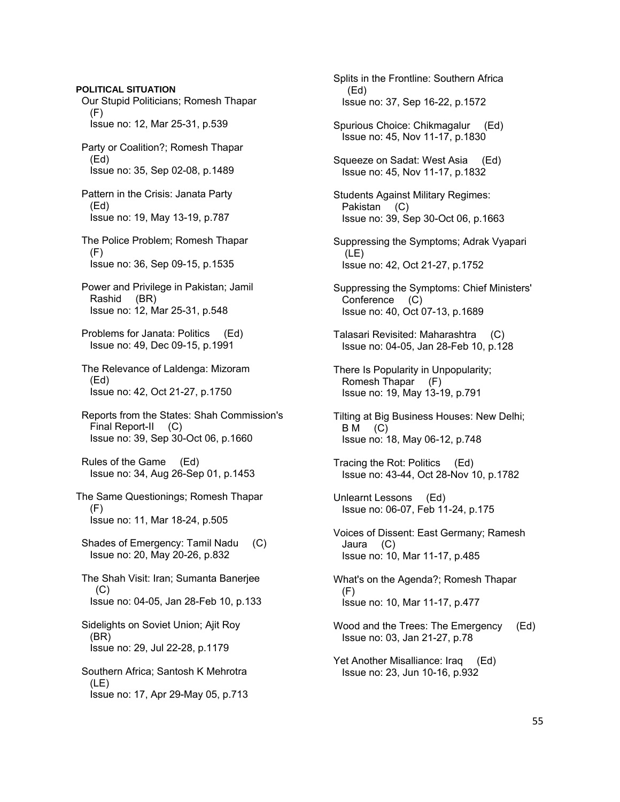**POLITICAL SITUATION**  Our Stupid Politicians; Romesh Thapar (F) Issue no: 12, Mar 25-31, p.539 Party or Coalition?; Romesh Thapar (Ed) Issue no: 35, Sep 02-08, p.1489 Pattern in the Crisis: Janata Party (Ed) Issue no: 19, May 13-19, p.787 The Police Problem; Romesh Thapar (F) Issue no: 36, Sep 09-15, p.1535 Power and Privilege in Pakistan; Jamil Rashid (BR) Issue no: 12, Mar 25-31, p.548 Problems for Janata: Politics (Ed) Issue no: 49, Dec 09-15, p.1991 The Relevance of Laldenga: Mizoram (Ed) Issue no: 42, Oct 21-27, p.1750 Reports from the States: Shah Commission's Final Report-II (C) Issue no: 39, Sep 30-Oct 06, p.1660 Rules of the Game (Ed) Issue no: 34, Aug 26-Sep 01, p.1453 The Same Questionings; Romesh Thapar (F) Issue no: 11, Mar 18-24, p.505 Shades of Emergency: Tamil Nadu (C) Issue no: 20, May 20-26, p.832 The Shah Visit: Iran; Sumanta Banerjee  $(C)$  Issue no: 04-05, Jan 28-Feb 10, p.133 Sidelights on Soviet Union; Ajit Roy (BR) Issue no: 29, Jul 22-28, p.1179 Southern Africa; Santosh K Mehrotra (LE) Issue no: 17, Apr 29-May 05, p.713

 Splits in the Frontline: Southern Africa (Ed) Issue no: 37, Sep 16-22, p.1572

 Spurious Choice: Chikmagalur (Ed) Issue no: 45, Nov 11-17, p.1830

 Squeeze on Sadat: West Asia (Ed) Issue no: 45, Nov 11-17, p.1832

 Students Against Military Regimes: Pakistan (C) Issue no: 39, Sep 30-Oct 06, p.1663

 Suppressing the Symptoms; Adrak Vyapari (LE) Issue no: 42, Oct 21-27, p.1752

 Suppressing the Symptoms: Chief Ministers' Conference (C) Issue no: 40, Oct 07-13, p.1689

 Talasari Revisited: Maharashtra (C) Issue no: 04-05, Jan 28-Feb 10, p.128

 There Is Popularity in Unpopularity; Romesh Thapar (F) Issue no: 19, May 13-19, p.791

 Tilting at Big Business Houses: New Delhi; B M (C) Issue no: 18, May 06-12, p.748

 Tracing the Rot: Politics (Ed) Issue no: 43-44, Oct 28-Nov 10, p.1782

 Unlearnt Lessons (Ed) Issue no: 06-07, Feb 11-24, p.175

 Voices of Dissent: East Germany; Ramesh Jaura (C) Issue no: 10, Mar 11-17, p.485

 What's on the Agenda?; Romesh Thapar (F) Issue no: 10, Mar 11-17, p.477

 Wood and the Trees: The Emergency (Ed) Issue no: 03, Jan 21-27, p.78

 Yet Another Misalliance: Iraq (Ed) Issue no: 23, Jun 10-16, p.932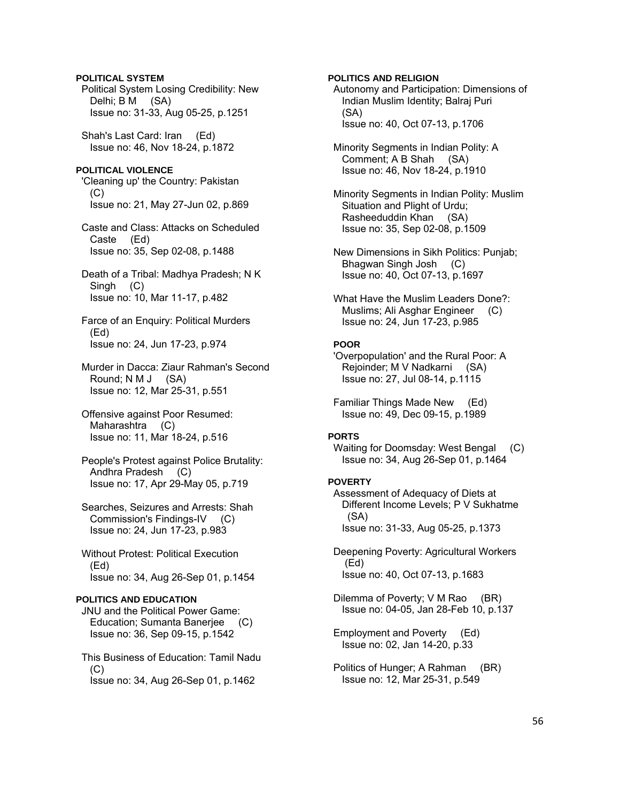## **POLITICAL SYSTEM**

 Political System Losing Credibility: New Delhi; B M (SA) Issue no: 31-33, Aug 05-25, p.1251

 Shah's Last Card: Iran (Ed) Issue no: 46, Nov 18-24, p.1872

## **POLITICAL VIOLENCE**

 'Cleaning up' the Country: Pakistan (C) Issue no: 21, May 27-Jun 02, p.869

 Caste and Class: Attacks on Scheduled Caste (Ed) Issue no: 35, Sep 02-08, p.1488

 Death of a Tribal: Madhya Pradesh; N K Singh (C) Issue no: 10, Mar 11-17, p.482

 Farce of an Enquiry: Political Murders (Ed) Issue no: 24, Jun 17-23, p.974

 Murder in Dacca: Ziaur Rahman's Second Round; N M J (SA) Issue no: 12, Mar 25-31, p.551

 Offensive against Poor Resumed: Maharashtra (C) Issue no: 11, Mar 18-24, p.516

 People's Protest against Police Brutality: Andhra Pradesh (C) Issue no: 17, Apr 29-May 05, p.719

 Searches, Seizures and Arrests: Shah Commission's Findings-IV (C) Issue no: 24, Jun 17-23, p.983

 Without Protest: Political Execution (Ed) Issue no: 34, Aug 26-Sep 01, p.1454

### **POLITICS AND EDUCATION**

 JNU and the Political Power Game: Education; Sumanta Banerjee (C) Issue no: 36, Sep 09-15, p.1542

 This Business of Education: Tamil Nadu (C) Issue no: 34, Aug 26-Sep 01, p.1462

## **POLITICS AND RELIGION**

 Autonomy and Participation: Dimensions of Indian Muslim Identity; Balraj Puri (SA) Issue no: 40, Oct 07-13, p.1706

 Minority Segments in Indian Polity: A Comment; A B Shah (SA) Issue no: 46, Nov 18-24, p.1910

 Minority Segments in Indian Polity: Muslim Situation and Plight of Urdu; Rasheeduddin Khan (SA) Issue no: 35, Sep 02-08, p.1509

 New Dimensions in Sikh Politics: Punjab; Bhagwan Singh Josh (C) Issue no: 40, Oct 07-13, p.1697

 What Have the Muslim Leaders Done?: Muslims; Ali Asghar Engineer (C) Issue no: 24, Jun 17-23, p.985

## **POOR**

 'Overpopulation' and the Rural Poor: A Rejoinder; M V Nadkarni (SA) Issue no: 27, Jul 08-14, p.1115

 Familiar Things Made New (Ed) Issue no: 49, Dec 09-15, p.1989

### **PORTS**

 Waiting for Doomsday: West Bengal (C) Issue no: 34, Aug 26-Sep 01, p.1464

### **POVERTY**

 Assessment of Adequacy of Diets at Different Income Levels; P V Sukhatme (SA) Issue no: 31-33, Aug 05-25, p.1373

 Deepening Poverty: Agricultural Workers (Ed) Issue no: 40, Oct 07-13, p.1683

Dilemma of Poverty; V M Rao (BR) Issue no: 04-05, Jan 28-Feb 10, p.137

 Employment and Poverty (Ed) Issue no: 02, Jan 14-20, p.33

 Politics of Hunger; A Rahman (BR) Issue no: 12, Mar 25-31, p.549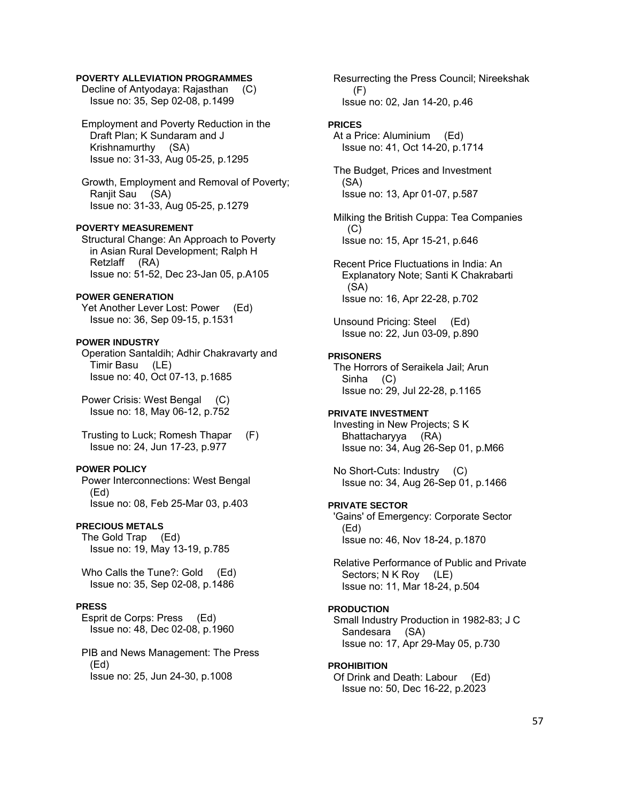## **POVERTY ALLEVIATION PROGRAMMES**

 Decline of Antyodaya: Rajasthan (C) Issue no: 35, Sep 02-08, p.1499

 Employment and Poverty Reduction in the Draft Plan; K Sundaram and J Krishnamurthy (SA) Issue no: 31-33, Aug 05-25, p.1295

 Growth, Employment and Removal of Poverty; Ranjit Sau (SA) Issue no: 31-33, Aug 05-25, p.1279

## **POVERTY MEASUREMENT**

 Structural Change: An Approach to Poverty in Asian Rural Development; Ralph H Retzlaff (RA) Issue no: 51-52, Dec 23-Jan 05, p.A105

#### **POWER GENERATION**

Yet Another Lever Lost: Power (Ed) Issue no: 36, Sep 09-15, p.1531

### **POWER INDUSTRY**

 Operation Santaldih; Adhir Chakravarty and Timir Basu (LE) Issue no: 40, Oct 07-13, p.1685

 Power Crisis: West Bengal (C) Issue no: 18, May 06-12, p.752

 Trusting to Luck; Romesh Thapar (F) Issue no: 24, Jun 17-23, p.977

## **POWER POLICY**

 Power Interconnections: West Bengal (Ed) Issue no: 08, Feb 25-Mar 03, p.403

## **PRECIOUS METALS**

 The Gold Trap (Ed) Issue no: 19, May 13-19, p.785

Who Calls the Tune?: Gold (Ed) Issue no: 35, Sep 02-08, p.1486

## **PRESS**

 Esprit de Corps: Press (Ed) Issue no: 48, Dec 02-08, p.1960

 PIB and News Management: The Press (Ed) Issue no: 25, Jun 24-30, p.1008

 Resurrecting the Press Council; Nireekshak (F) Issue no: 02, Jan 14-20, p.46

#### **PRICES**

 At a Price: Aluminium (Ed) Issue no: 41, Oct 14-20, p.1714

 The Budget, Prices and Investment (SA) Issue no: 13, Apr 01-07, p.587

 Milking the British Cuppa: Tea Companies (C) Issue no: 15, Apr 15-21, p.646

 Recent Price Fluctuations in India: An Explanatory Note; Santi K Chakrabarti (SA) Issue no: 16, Apr 22-28, p.702

 Unsound Pricing: Steel (Ed) Issue no: 22, Jun 03-09, p.890

### **PRISONERS**

 The Horrors of Seraikela Jail; Arun Sinha (C) Issue no: 29, Jul 22-28, p.1165

## **PRIVATE INVESTMENT**

 Investing in New Projects; S K Bhattacharyya (RA) Issue no: 34, Aug 26-Sep 01, p.M66

 No Short-Cuts: Industry (C) Issue no: 34, Aug 26-Sep 01, p.1466

#### **PRIVATE SECTOR**

 'Gains' of Emergency: Corporate Sector (Ed) Issue no: 46, Nov 18-24, p.1870

 Relative Performance of Public and Private Sectors; N K Roy (LE) Issue no: 11, Mar 18-24, p.504

## **PRODUCTION**

 Small Industry Production in 1982-83; J C Sandesara (SA) Issue no: 17, Apr 29-May 05, p.730

#### **PROHIBITION**

 Of Drink and Death: Labour (Ed) Issue no: 50, Dec 16-22, p.2023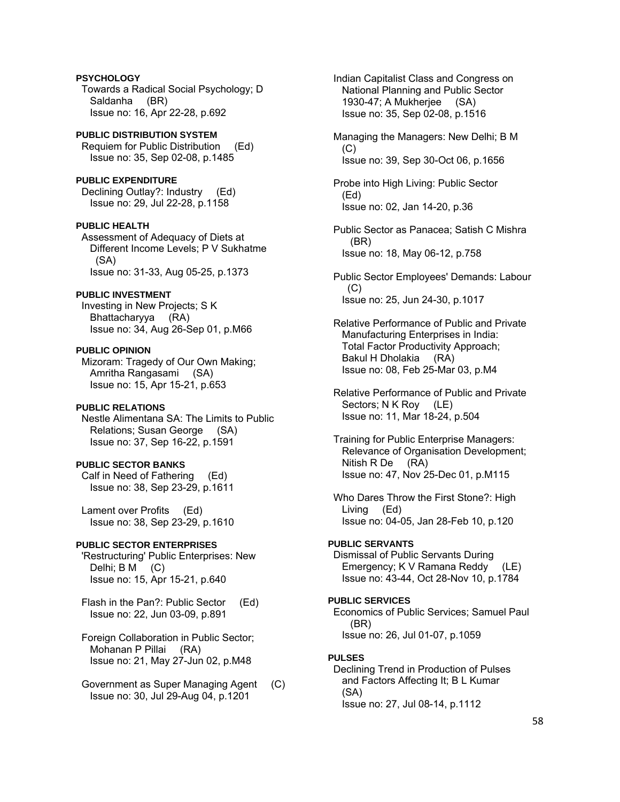## **PSYCHOLOGY**  Towards a Radical Social Psychology; D Saldanha (BR) Issue no: 16, Apr 22-28, p.692

**PUBLIC DISTRIBUTION SYSTEM**  Requiem for Public Distribution (Ed) Issue no: 35, Sep 02-08, p.1485

**PUBLIC EXPENDITURE**  Declining Outlay?: Industry (Ed) Issue no: 29, Jul 22-28, p.1158

**PUBLIC HEALTH** 

 Assessment of Adequacy of Diets at Different Income Levels; P V Sukhatme (SA) Issue no: 31-33, Aug 05-25, p.1373

## **PUBLIC INVESTMENT**

 Investing in New Projects; S K Bhattacharyya (RA) Issue no: 34, Aug 26-Sep 01, p.M66

## **PUBLIC OPINION**

 Mizoram: Tragedy of Our Own Making; Amritha Rangasami (SA) Issue no: 15, Apr 15-21, p.653

## **PUBLIC RELATIONS**

 Nestle Alimentana SA: The Limits to Public Relations; Susan George (SA) Issue no: 37, Sep 16-22, p.1591

## **PUBLIC SECTOR BANKS**

 Calf in Need of Fathering (Ed) Issue no: 38, Sep 23-29, p.1611

 Lament over Profits (Ed) Issue no: 38, Sep 23-29, p.1610

## **PUBLIC SECTOR ENTERPRISES**

 'Restructuring' Public Enterprises: New Delhi; B M (C) Issue no: 15, Apr 15-21, p.640

 Flash in the Pan?: Public Sector (Ed) Issue no: 22, Jun 03-09, p.891

 Foreign Collaboration in Public Sector; Mohanan P Pillai (RA) Issue no: 21, May 27-Jun 02, p.M48

 Government as Super Managing Agent (C) Issue no: 30, Jul 29-Aug 04, p.1201

 Indian Capitalist Class and Congress on National Planning and Public Sector 1930-47; A Mukherjee (SA) Issue no: 35, Sep 02-08, p.1516

 Managing the Managers: New Delhi; B M  $(C)$ Issue no: 39, Sep 30-Oct 06, p.1656

 Probe into High Living: Public Sector (Ed) Issue no: 02, Jan 14-20, p.36

 Public Sector as Panacea; Satish C Mishra (BR) Issue no: 18, May 06-12, p.758

 Public Sector Employees' Demands: Labour  $(C)$ Issue no: 25, Jun 24-30, p.1017

 Relative Performance of Public and Private Manufacturing Enterprises in India: Total Factor Productivity Approach; Bakul H Dholakia (RA) Issue no: 08, Feb 25-Mar 03, p.M4

 Relative Performance of Public and Private Sectors; N K Roy (LE) Issue no: 11, Mar 18-24, p.504

 Training for Public Enterprise Managers: Relevance of Organisation Development; Nitish R De (RA) Issue no: 47, Nov 25-Dec 01, p.M115

 Who Dares Throw the First Stone?: High Living (Ed) Issue no: 04-05, Jan 28-Feb 10, p.120

## **PUBLIC SERVANTS**

 Dismissal of Public Servants During Emergency; K V Ramana Reddy (LE) Issue no: 43-44, Oct 28-Nov 10, p.1784

## **PUBLIC SERVICES**

 Economics of Public Services; Samuel Paul (BR) Issue no: 26, Jul 01-07, p.1059

## **PULSES**

 Declining Trend in Production of Pulses and Factors Affecting It; B L Kumar (SA) Issue no: 27, Jul 08-14, p.1112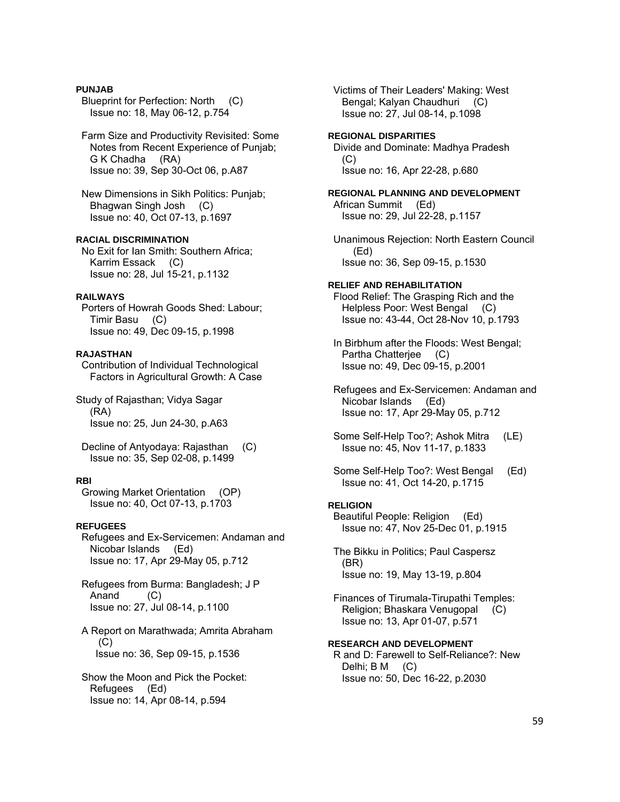## **PUNJAB**

- Blueprint for Perfection: North (C) Issue no: 18, May 06-12, p.754
- Farm Size and Productivity Revisited: Some Notes from Recent Experience of Punjab; G K Chadha (RA) Issue no: 39, Sep 30-Oct 06, p.A87
- New Dimensions in Sikh Politics: Punjab; Bhagwan Singh Josh (C) Issue no: 40, Oct 07-13, p.1697

## **RACIAL DISCRIMINATION**

 No Exit for Ian Smith: Southern Africa; Karrim Essack (C) Issue no: 28, Jul 15-21, p.1132

### **RAILWAYS**

 Porters of Howrah Goods Shed: Labour; Timir Basu (C) Issue no: 49, Dec 09-15, p.1998

### **RAJASTHAN**

 Contribution of Individual Technological Factors in Agricultural Growth: A Case

Study of Rajasthan; Vidya Sagar (RA) Issue no: 25, Jun 24-30, p.A63

 Decline of Antyodaya: Rajasthan (C) Issue no: 35, Sep 02-08, p.1499

### **RBI**

 Growing Market Orientation (OP) Issue no: 40, Oct 07-13, p.1703

## **REFUGEES**

 Refugees and Ex-Servicemen: Andaman and Nicobar Islands (Ed) Issue no: 17, Apr 29-May 05, p.712

 Refugees from Burma: Bangladesh; J P Anand (C) Issue no: 27, Jul 08-14, p.1100

 A Report on Marathwada; Amrita Abraham  $(C)$ Issue no: 36, Sep 09-15, p.1536

 Show the Moon and Pick the Pocket: Refugees (Ed) Issue no: 14, Apr 08-14, p.594

 Victims of Their Leaders' Making: West Bengal; Kalyan Chaudhuri (C) Issue no: 27, Jul 08-14, p.1098

#### **REGIONAL DISPARITIES**

 Divide and Dominate: Madhya Pradesh (C) Issue no: 16, Apr 22-28, p.680

**REGIONAL PLANNING AND DEVELOPMENT**  African Summit (Ed) Issue no: 29, Jul 22-28, p.1157

 Unanimous Rejection: North Eastern Council (Ed) Issue no: 36, Sep 09-15, p.1530

# **RELIEF AND REHABILITATION**

 Flood Relief: The Grasping Rich and the Helpless Poor: West Bengal (C) Issue no: 43-44, Oct 28-Nov 10, p.1793

 In Birbhum after the Floods: West Bengal; Partha Chatterjee (C) Issue no: 49, Dec 09-15, p.2001

 Refugees and Ex-Servicemen: Andaman and Nicobar Islands (Ed) Issue no: 17, Apr 29-May 05, p.712

 Some Self-Help Too?; Ashok Mitra (LE) Issue no: 45, Nov 11-17, p.1833

 Some Self-Help Too?: West Bengal (Ed) Issue no: 41, Oct 14-20, p.1715

## **RELIGION**

 Beautiful People: Religion (Ed) Issue no: 47, Nov 25-Dec 01, p.1915

 The Bikku in Politics; Paul Caspersz (BR) Issue no: 19, May 13-19, p.804

 Finances of Tirumala-Tirupathi Temples: Religion; Bhaskara Venugopal (C) Issue no: 13, Apr 01-07, p.571

## **RESEARCH AND DEVELOPMENT**

 R and D: Farewell to Self-Reliance?: New Delhi; B M (C) Issue no: 50, Dec 16-22, p.2030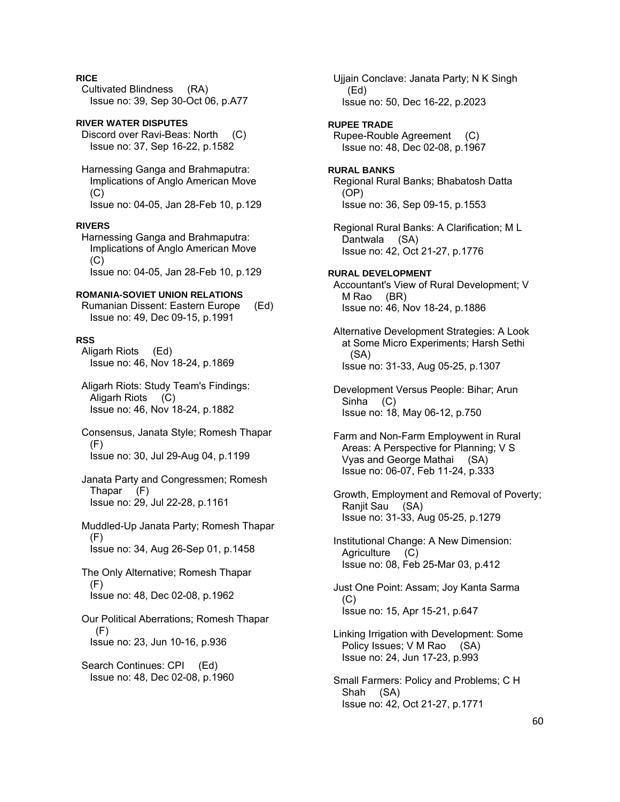## **RICE**

 Cultivated Blindness (RA) Issue no: 39, Sep 30-Oct 06, p.A77

**RIVER WATER DISPUTES**  Discord over Ravi-Beas: North (C) Issue no: 37, Sep 16-22, p.1582

 Harnessing Ganga and Brahmaputra: Implications of Anglo American Move  $(C)$ Issue no: 04-05, Jan 28-Feb 10, p.129

### **RIVERS**

 Harnessing Ganga and Brahmaputra: Implications of Anglo American Move (C) Issue no: 04-05, Jan 28-Feb 10, p.129

#### **ROMANIA-SOVIET UNION RELATIONS**

 Rumanian Dissent: Eastern Europe (Ed) Issue no: 49, Dec 09-15, p.1991

#### **RSS**

 Aligarh Riots (Ed) Issue no: 46, Nov 18-24, p.1869

 Aligarh Riots: Study Team's Findings: Aligarh Riots (C) Issue no: 46, Nov 18-24, p.1882

 Consensus, Janata Style; Romesh Thapar (F) Issue no: 30, Jul 29-Aug 04, p.1199

 Janata Party and Congressmen; Romesh Thapar (F) Issue no: 29, Jul 22-28, p.1161

 Muddled-Up Janata Party; Romesh Thapar  $(F)$ Issue no: 34, Aug 26-Sep 01, p.1458

 The Only Alternative; Romesh Thapar (F) Issue no: 48, Dec 02-08, p.1962

 Our Political Aberrations; Romesh Thapar (F) Issue no: 23, Jun 10-16, p.936

 Search Continues: CPI (Ed) Issue no: 48, Dec 02-08, p.1960  Ujjain Conclave: Janata Party; N K Singh (Ed) Issue no: 50, Dec 16-22, p.2023

#### **RUPEE TRADE**

 Rupee-Rouble Agreement (C) Issue no: 48, Dec 02-08, p.1967

#### **RURAL BANKS**  Regional Rural Banks; Bhabatosh Datta (OP)

Issue no: 36, Sep 09-15, p.1553

 Regional Rural Banks: A Clarification; M L Dantwala (SA) Issue no: 42, Oct 21-27, p.1776

**RURAL DEVELOPMENT**  Accountant's View of Rural Development; V M Rao (BR) Issue no: 46, Nov 18-24, p.1886

 Alternative Development Strategies: A Look at Some Micro Experiments; Harsh Sethi (SA) Issue no: 31-33, Aug 05-25, p.1307

 Development Versus People: Bihar; Arun Sinha (C) Issue no: 18, May 06-12, p.750

 Farm and Non-Farm Employwent in Rural Areas: A Perspective for Planning; V S Vyas and George Mathai (SA) Issue no: 06-07, Feb 11-24, p.333

 Growth, Employment and Removal of Poverty; Ranjit Sau (SA) Issue no: 31-33, Aug 05-25, p.1279

 Institutional Change: A New Dimension: Agriculture (C) Issue no: 08, Feb 25-Mar 03, p.412

 Just One Point: Assam; Joy Kanta Sarma (C) Issue no: 15, Apr 15-21, p.647

 Linking Irrigation with Development: Some Policy Issues; V M Rao (SA) Issue no: 24, Jun 17-23, p.993

 Small Farmers: Policy and Problems; C H Shah (SA) Issue no: 42, Oct 21-27, p.1771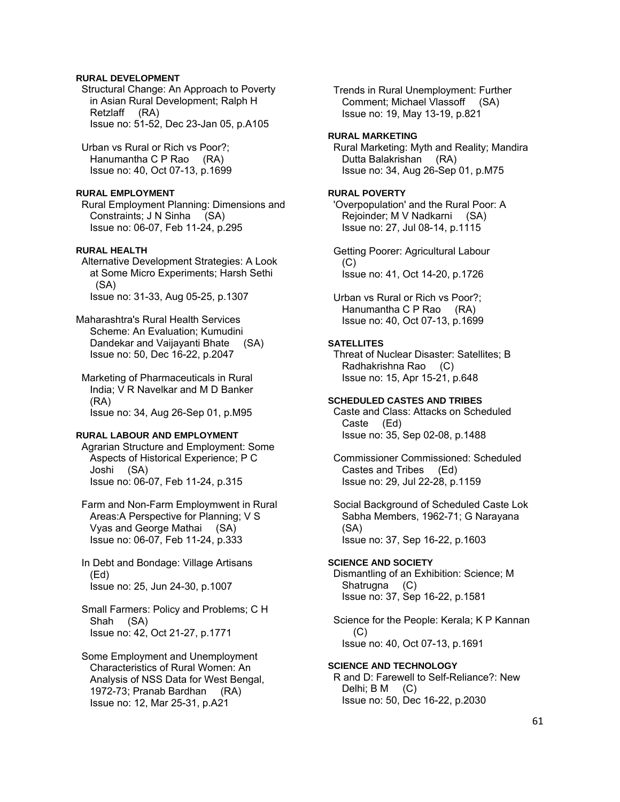## **RURAL DEVELOPMENT**

 Structural Change: An Approach to Poverty in Asian Rural Development; Ralph H Retzlaff (RA) Issue no: 51-52, Dec 23-Jan 05, p.A105

 Urban vs Rural or Rich vs Poor?; Hanumantha C P Rao (RA) Issue no: 40, Oct 07-13, p.1699

### **RURAL EMPLOYMENT**

 Rural Employment Planning: Dimensions and Constraints; J N Sinha (SA) Issue no: 06-07, Feb 11-24, p.295

## **RURAL HEALTH**

 Alternative Development Strategies: A Look at Some Micro Experiments; Harsh Sethi (SA) Issue no: 31-33, Aug 05-25, p.1307

Maharashtra's Rural Health Services Scheme: An Evaluation; Kumudini Dandekar and Vaijayanti Bhate (SA) Issue no: 50, Dec 16-22, p.2047

 Marketing of Pharmaceuticals in Rural India; V R Navelkar and M D Banker (RA) Issue no: 34, Aug 26-Sep 01, p.M95

## **RURAL LABOUR AND EMPLOYMENT**

 Agrarian Structure and Employment: Some Aspects of Historical Experience; P C Joshi (SA) Issue no: 06-07, Feb 11-24, p.315

 Farm and Non-Farm Employmwent in Rural Areas:A Perspective for Planning; V S Vyas and George Mathai (SA) Issue no: 06-07, Feb 11-24, p.333

 In Debt and Bondage: Village Artisans (Ed) Issue no: 25, Jun 24-30, p.1007

 Small Farmers: Policy and Problems; C H Shah (SA) Issue no: 42, Oct 21-27, p.1771

 Some Employment and Unemployment Characteristics of Rural Women: An Analysis of NSS Data for West Bengal, 1972-73; Pranab Bardhan (RA) Issue no: 12, Mar 25-31, p.A21

 Trends in Rural Unemployment: Further Comment; Michael Vlassoff (SA) Issue no: 19, May 13-19, p.821

#### **RURAL MARKETING**

 Rural Marketing: Myth and Reality; Mandira Dutta Balakrishan (RA) Issue no: 34, Aug 26-Sep 01, p.M75

#### **RURAL POVERTY**

 'Overpopulation' and the Rural Poor: A Rejoinder; M V Nadkarni (SA) Issue no: 27, Jul 08-14, p.1115

 Getting Poorer: Agricultural Labour (C) Issue no: 41, Oct 14-20, p.1726

 Urban vs Rural or Rich vs Poor?; Hanumantha C P Rao (RA) Issue no: 40, Oct 07-13, p.1699

#### **SATELLITES**

 Threat of Nuclear Disaster: Satellites; B Radhakrishna Rao (C) Issue no: 15, Apr 15-21, p.648

## **SCHEDULED CASTES AND TRIBES**

 Caste and Class: Attacks on Scheduled Caste (Ed) Issue no: 35, Sep 02-08, p.1488

 Commissioner Commissioned: Scheduled Castes and Tribes (Ed) Issue no: 29, Jul 22-28, p.1159

 Social Background of Scheduled Caste Lok Sabha Members, 1962-71; G Narayana (SA) Issue no: 37, Sep 16-22, p.1603

#### **SCIENCE AND SOCIETY**

 Dismantling of an Exhibition: Science; M Shatrugna (C) Issue no: 37, Sep 16-22, p.1581

 Science for the People: Kerala; K P Kannan (C) Issue no: 40, Oct 07-13, p.1691

**SCIENCE AND TECHNOLOGY**  R and D: Farewell to Self-Reliance?: New Delhi; B M (C) Issue no: 50, Dec 16-22, p.2030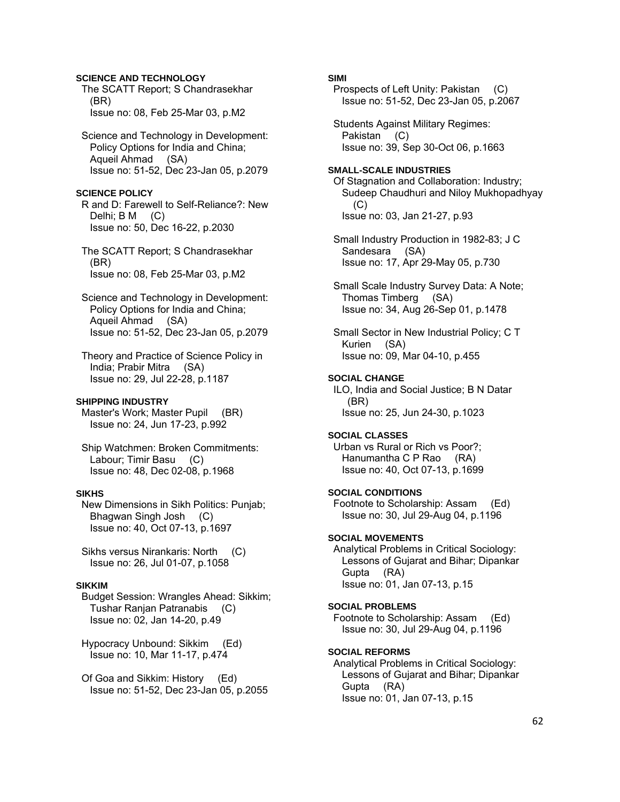## **SCIENCE AND TECHNOLOGY**

 The SCATT Report; S Chandrasekhar (BR) Issue no: 08, Feb 25-Mar 03, p.M2

 Science and Technology in Development: Policy Options for India and China; Aqueil Ahmad (SA) Issue no: 51-52, Dec 23-Jan 05, p.2079

### **SCIENCE POLICY**

 R and D: Farewell to Self-Reliance?: New Delhi; B M (C) Issue no: 50, Dec 16-22, p.2030

 The SCATT Report; S Chandrasekhar (BR) Issue no: 08, Feb 25-Mar 03, p.M2

 Science and Technology in Development: Policy Options for India and China; Aqueil Ahmad (SA) Issue no: 51-52, Dec 23-Jan 05, p.2079

 Theory and Practice of Science Policy in India; Prabir Mitra (SA) Issue no: 29, Jul 22-28, p.1187

### **SHIPPING INDUSTRY**

Master's Work; Master Pupil (BR) Issue no: 24, Jun 17-23, p.992

 Ship Watchmen: Broken Commitments: Labour; Timir Basu (C) Issue no: 48, Dec 02-08, p.1968

### **SIKHS**

 New Dimensions in Sikh Politics: Punjab; Bhagwan Singh Josh (C) Issue no: 40, Oct 07-13, p.1697

 Sikhs versus Nirankaris: North (C) Issue no: 26, Jul 01-07, p.1058

## **SIKKIM**

 Budget Session: Wrangles Ahead: Sikkim; Tushar Ranjan Patranabis (C) Issue no: 02, Jan 14-20, p.49

 Hypocracy Unbound: Sikkim (Ed) Issue no: 10, Mar 11-17, p.474

 Of Goa and Sikkim: History (Ed) Issue no: 51-52, Dec 23-Jan 05, p.2055

## **SIMI**

 Prospects of Left Unity: Pakistan (C) Issue no: 51-52, Dec 23-Jan 05, p.2067

 Students Against Military Regimes: Pakistan (C) Issue no: 39, Sep 30-Oct 06, p.1663

## **SMALL-SCALE INDUSTRIES**  Of Stagnation and Collaboration: Industry; Sudeep Chaudhuri and Niloy Mukhopadhyay (C) Issue no: 03, Jan 21-27, p.93

 Small Industry Production in 1982-83; J C Sandesara (SA) Issue no: 17, Apr 29-May 05, p.730

 Small Scale Industry Survey Data: A Note; Thomas Timberg (SA) Issue no: 34, Aug 26-Sep 01, p.1478

 Small Sector in New Industrial Policy; C T Kurien (SA) Issue no: 09, Mar 04-10, p.455

#### **SOCIAL CHANGE**

 ILO, India and Social Justice; B N Datar (BR) Issue no: 25, Jun 24-30, p.1023

#### **SOCIAL CLASSES**

 Urban vs Rural or Rich vs Poor?; Hanumantha C P Rao (RA) Issue no: 40, Oct 07-13, p.1699

## **SOCIAL CONDITIONS**

 Footnote to Scholarship: Assam (Ed) Issue no: 30, Jul 29-Aug 04, p.1196

#### **SOCIAL MOVEMENTS**

 Analytical Problems in Critical Sociology: Lessons of Gujarat and Bihar; Dipankar Gupta (RA) Issue no: 01, Jan 07-13, p.15

#### **SOCIAL PROBLEMS**

 Footnote to Scholarship: Assam (Ed) Issue no: 30, Jul 29-Aug 04, p.1196

#### **SOCIAL REFORMS**

 Analytical Problems in Critical Sociology: Lessons of Gujarat and Bihar; Dipankar Gupta (RA) Issue no: 01, Jan 07-13, p.15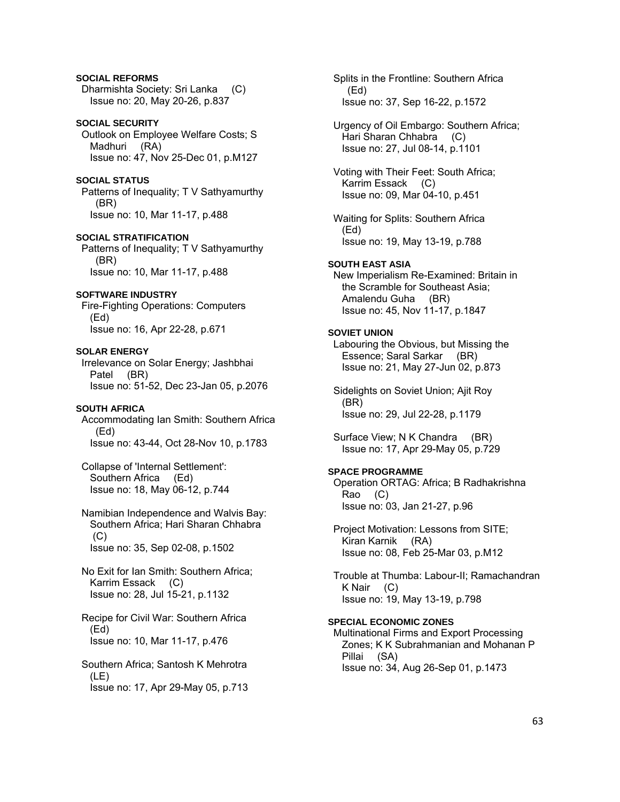## **SOCIAL REFORMS**  Dharmishta Society: Sri Lanka (C) Issue no: 20, May 20-26, p.837

### **SOCIAL SECURITY**

 Outlook on Employee Welfare Costs; S Madhuri (RA) Issue no: 47, Nov 25-Dec 01, p.M127

## **SOCIAL STATUS**

 Patterns of Inequality; T V Sathyamurthy (BR) Issue no: 10, Mar 11-17, p.488

**SOCIAL STRATIFICATION**  Patterns of Inequality; T V Sathyamurthy (BR) Issue no: 10, Mar 11-17, p.488

## **SOFTWARE INDUSTRY**

 Fire-Fighting Operations: Computers (Ed) Issue no: 16, Apr 22-28, p.671

## **SOLAR ENERGY**

 Irrelevance on Solar Energy; Jashbhai Patel (BR) Issue no: 51-52, Dec 23-Jan 05, p.2076

### **SOUTH AFRICA**

 Accommodating Ian Smith: Southern Africa (Ed) Issue no: 43-44, Oct 28-Nov 10, p.1783

 Collapse of 'Internal Settlement': Southern Africa (Ed) Issue no: 18, May 06-12, p.744

 Namibian Independence and Walvis Bay: Southern Africa; Hari Sharan Chhabra  $(C)$ Issue no: 35, Sep 02-08, p.1502

 No Exit for Ian Smith: Southern Africa; Karrim Essack (C) Issue no: 28, Jul 15-21, p.1132

 Recipe for Civil War: Southern Africa (Ed) Issue no: 10, Mar 11-17, p.476

 Southern Africa; Santosh K Mehrotra (LE) Issue no: 17, Apr 29-May 05, p.713  Splits in the Frontline: Southern Africa (Ed) Issue no: 37, Sep 16-22, p.1572

 Urgency of Oil Embargo: Southern Africa; Hari Sharan Chhabra (C) Issue no: 27, Jul 08-14, p.1101

 Voting with Their Feet: South Africa; Karrim Essack (C) Issue no: 09, Mar 04-10, p.451

 Waiting for Splits: Southern Africa (Ed) Issue no: 19, May 13-19, p.788

## **SOUTH EAST ASIA**

 New Imperialism Re-Examined: Britain in the Scramble for Southeast Asia; Amalendu Guha (BR) Issue no: 45, Nov 11-17, p.1847

## **SOVIET UNION**

 Labouring the Obvious, but Missing the Essence; Saral Sarkar (BR) Issue no: 21, May 27-Jun 02, p.873

 Sidelights on Soviet Union; Ajit Roy (BR) Issue no: 29, Jul 22-28, p.1179

 Surface View; N K Chandra (BR) Issue no: 17, Apr 29-May 05, p.729

### **SPACE PROGRAMME**

 Operation ORTAG: Africa; B Radhakrishna Rao (C) Issue no: 03, Jan 21-27, p.96

 Project Motivation: Lessons from SITE; Kiran Karnik (RA) Issue no: 08, Feb 25-Mar 03, p.M12

 Trouble at Thumba: Labour-II; Ramachandran K Nair (C) Issue no: 19, May 13-19, p.798

## **SPECIAL ECONOMIC ZONES**

 Multinational Firms and Export Processing Zones; K K Subrahmanian and Mohanan P Pillai (SA) Issue no: 34, Aug 26-Sep 01, p.1473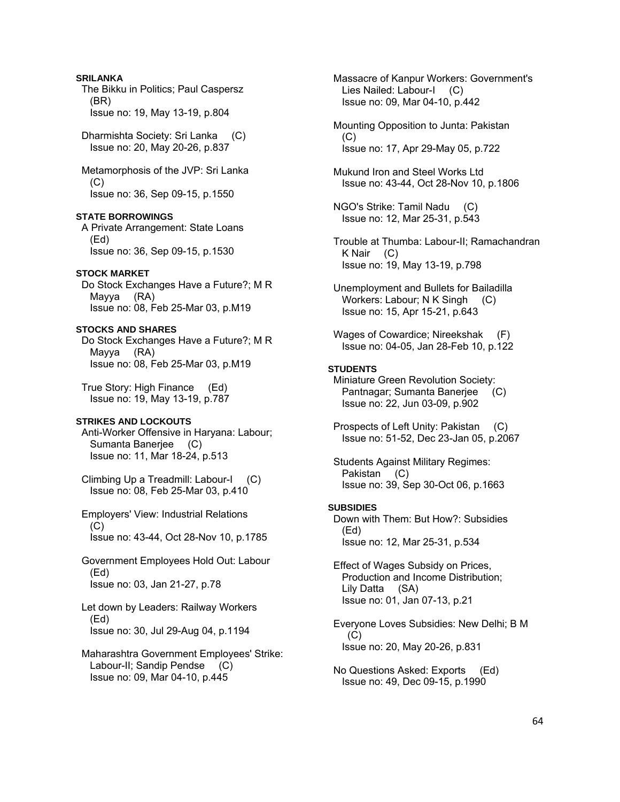## **SRILANKA**

 The Bikku in Politics; Paul Caspersz (BR) Issue no: 19, May 13-19, p.804

 Dharmishta Society: Sri Lanka (C) Issue no: 20, May 20-26, p.837

 Metamorphosis of the JVP: Sri Lanka (C) Issue no: 36, Sep 09-15, p.1550

## **STATE BORROWINGS**

 A Private Arrangement: State Loans (Ed) Issue no: 36, Sep 09-15, p.1530

#### **STOCK MARKET**

 Do Stock Exchanges Have a Future?; M R Mayya (RA) Issue no: 08, Feb 25-Mar 03, p.M19

## **STOCKS AND SHARES**

 Do Stock Exchanges Have a Future?; M R Mayya (RA) Issue no: 08, Feb 25-Mar 03, p.M19

 True Story: High Finance (Ed) Issue no: 19, May 13-19, p.787

## **STRIKES AND LOCKOUTS**

 Anti-Worker Offensive in Haryana: Labour; Sumanta Banerjee (C) Issue no: 11, Mar 18-24, p.513

 Climbing Up a Treadmill: Labour-I (C) Issue no: 08, Feb 25-Mar 03, p.410

 Employers' View: Industrial Relations  $(C)$ Issue no: 43-44, Oct 28-Nov 10, p.1785

 Government Employees Hold Out: Labour (Ed) Issue no: 03, Jan 21-27, p.78

 Let down by Leaders: Railway Workers (Ed) Issue no: 30, Jul 29-Aug 04, p.1194

 Maharashtra Government Employees' Strike: Labour-II; Sandip Pendse (C) Issue no: 09, Mar 04-10, p.445

 Massacre of Kanpur Workers: Government's Lies Nailed: Labour-I (C) Issue no: 09, Mar 04-10, p.442

 Mounting Opposition to Junta: Pakistan  $(C)$ Issue no: 17, Apr 29-May 05, p.722

 Mukund Iron and Steel Works Ltd Issue no: 43-44, Oct 28-Nov 10, p.1806

 NGO's Strike: Tamil Nadu (C) Issue no: 12, Mar 25-31, p.543

 Trouble at Thumba: Labour-II; Ramachandran K Nair (C) Issue no: 19, May 13-19, p.798

 Unemployment and Bullets for Bailadilla Workers: Labour; N K Singh (C) Issue no: 15, Apr 15-21, p.643

Wages of Cowardice; Nireekshak Issue no: 04-05, Jan 28-Feb 10, p.122

## **STUDENTS**

 Miniature Green Revolution Society: Pantnagar; Sumanta Banerjee (C) Issue no: 22, Jun 03-09, p.902

 Prospects of Left Unity: Pakistan (C) Issue no: 51-52, Dec 23-Jan 05, p.2067

 Students Against Military Regimes: Pakistan (C) Issue no: 39, Sep 30-Oct 06, p.1663

#### **SUBSIDIES**

 Down with Them: But How?: Subsidies (Ed) Issue no: 12, Mar 25-31, p.534

 Effect of Wages Subsidy on Prices, Production and Income Distribution; Lily Datta (SA) Issue no: 01, Jan 07-13, p.21

 Everyone Loves Subsidies: New Delhi; B M (C) Issue no: 20, May 20-26, p.831

 No Questions Asked: Exports (Ed) Issue no: 49, Dec 09-15, p.1990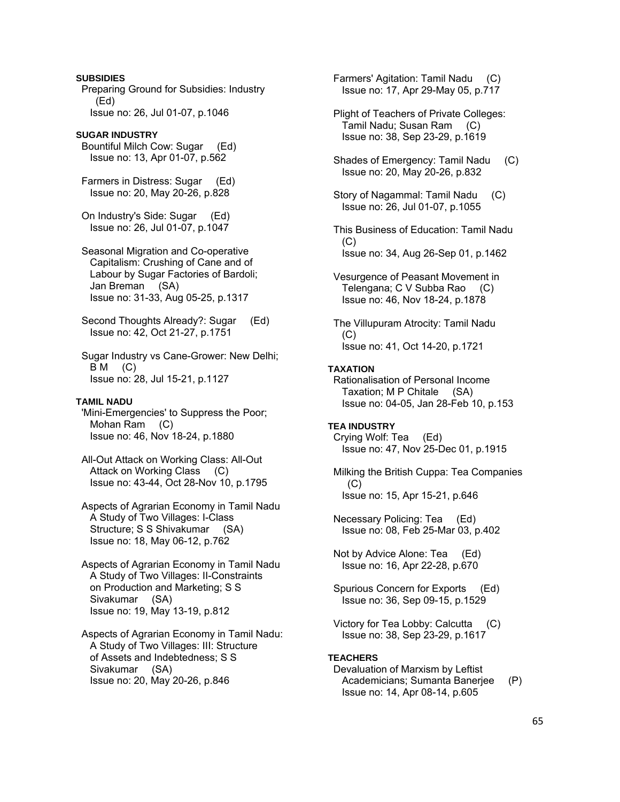**SUBSIDIES**  Preparing Ground for Subsidies: Industry (Ed) Issue no: 26, Jul 01-07, p.1046 **SUGAR INDUSTRY**  Bountiful Milch Cow: Sugar (Ed) Issue no: 13, Apr 01-07, p.562 Farmers in Distress: Sugar (Ed) Issue no: 20, May 20-26, p.828

 On Industry's Side: Sugar (Ed) Issue no: 26, Jul 01-07, p.1047

 Seasonal Migration and Co-operative Capitalism: Crushing of Cane and of Labour by Sugar Factories of Bardoli; Jan Breman (SA) Issue no: 31-33, Aug 05-25, p.1317

 Second Thoughts Already?: Sugar (Ed) Issue no: 42, Oct 21-27, p.1751

 Sugar Industry vs Cane-Grower: New Delhi;  $BM$  (C) Issue no: 28, Jul 15-21, p.1127

## **TAMIL NADU**

 'Mini-Emergencies' to Suppress the Poor; Mohan Ram (C) Issue no: 46, Nov 18-24, p.1880

 All-Out Attack on Working Class: All-Out Attack on Working Class (C) Issue no: 43-44, Oct 28-Nov 10, p.1795

 Aspects of Agrarian Economy in Tamil Nadu A Study of Two Villages: I-Class Structure; S S Shivakumar (SA) Issue no: 18, May 06-12, p.762

 Aspects of Agrarian Economy in Tamil Nadu A Study of Two Villages: II-Constraints on Production and Marketing; S S Sivakumar (SA) Issue no: 19, May 13-19, p.812

 Aspects of Agrarian Economy in Tamil Nadu: A Study of Two Villages: III: Structure of Assets and Indebtedness; S S Sivakumar (SA) Issue no: 20, May 20-26, p.846

 Farmers' Agitation: Tamil Nadu (C) Issue no: 17, Apr 29-May 05, p.717

 Plight of Teachers of Private Colleges: Tamil Nadu; Susan Ram (C) Issue no: 38, Sep 23-29, p.1619

 Shades of Emergency: Tamil Nadu (C) Issue no: 20, May 20-26, p.832

 Story of Nagammal: Tamil Nadu (C) Issue no: 26, Jul 01-07, p.1055

 This Business of Education: Tamil Nadu  $(C)$ Issue no: 34, Aug 26-Sep 01, p.1462

 Vesurgence of Peasant Movement in Telengana; C V Subba Rao (C) Issue no: 46, Nov 18-24, p.1878

 The Villupuram Atrocity: Tamil Nadu (C) Issue no: 41, Oct 14-20, p.1721

## **TAXATION**

 Rationalisation of Personal Income Taxation; M P Chitale (SA) Issue no: 04-05, Jan 28-Feb 10, p.153

## **TEA INDUSTRY**

 Crying Wolf: Tea (Ed) Issue no: 47, Nov 25-Dec 01, p.1915

 Milking the British Cuppa: Tea Companies (C) Issue no: 15, Apr 15-21, p.646

 Necessary Policing: Tea (Ed) Issue no: 08, Feb 25-Mar 03, p.402

 Not by Advice Alone: Tea (Ed) Issue no: 16, Apr 22-28, p.670

 Spurious Concern for Exports (Ed) Issue no: 36, Sep 09-15, p.1529

 Victory for Tea Lobby: Calcutta (C) Issue no: 38, Sep 23-29, p.1617

### **TEACHERS**

## Devaluation of Marxism by Leftist Academicians; Sumanta Banerjee (P) Issue no: 14, Apr 08-14, p.605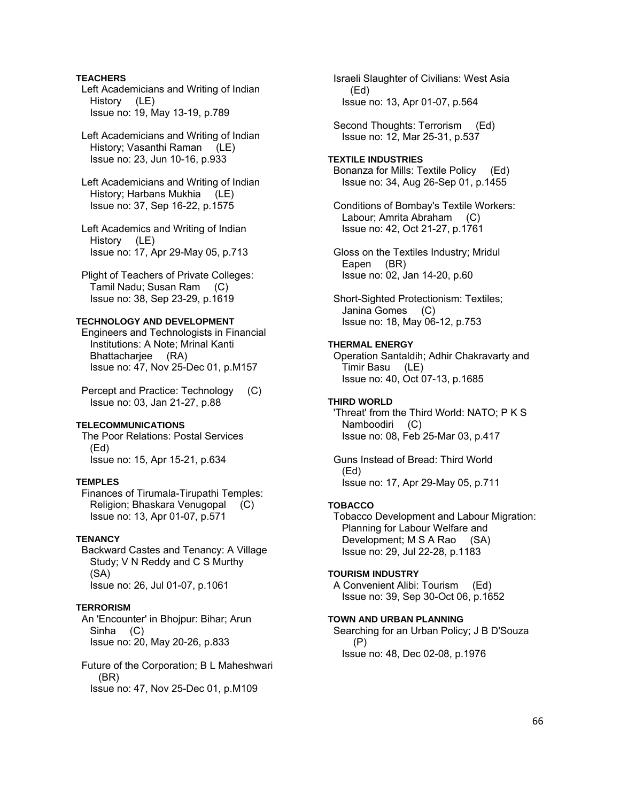## **TEACHERS**

 Left Academicians and Writing of Indian History (LE) Issue no: 19, May 13-19, p.789

 Left Academicians and Writing of Indian History; Vasanthi Raman (LE) Issue no: 23, Jun 10-16, p.933

 Left Academicians and Writing of Indian History; Harbans Mukhia (LE) Issue no: 37, Sep 16-22, p.1575

 Left Academics and Writing of Indian History (LE) Issue no: 17, Apr 29-May 05, p.713

 Plight of Teachers of Private Colleges: Tamil Nadu; Susan Ram (C) Issue no: 38, Sep 23-29, p.1619

### **TECHNOLOGY AND DEVELOPMENT**

 Engineers and Technologists in Financial Institutions: A Note; Mrinal Kanti Bhattacharjee (RA) Issue no: 47, Nov 25-Dec 01, p.M157

 Percept and Practice: Technology (C) Issue no: 03, Jan 21-27, p.88

### **TELECOMMUNICATIONS**

 The Poor Relations: Postal Services (Ed) Issue no: 15, Apr 15-21, p.634

## **TEMPLES**

 Finances of Tirumala-Tirupathi Temples: Religion; Bhaskara Venugopal (C) Issue no: 13, Apr 01-07, p.571

### **TENANCY**

 Backward Castes and Tenancy: A Village Study; V N Reddy and C S Murthy (SA) Issue no: 26, Jul 01-07, p.1061

## **TERRORISM**

 An 'Encounter' in Bhojpur: Bihar; Arun Sinha (C) Issue no: 20, May 20-26, p.833

 Future of the Corporation; B L Maheshwari (BR) Issue no: 47, Nov 25-Dec 01, p.M109

 Israeli Slaughter of Civilians: West Asia (Ed) Issue no: 13, Apr 01-07, p.564

 Second Thoughts: Terrorism (Ed) Issue no: 12, Mar 25-31, p.537

### **TEXTILE INDUSTRIES**

 Bonanza for Mills: Textile Policy (Ed) Issue no: 34, Aug 26-Sep 01, p.1455

 Conditions of Bombay's Textile Workers: Labour; Amrita Abraham (C) Issue no: 42, Oct 21-27, p.1761

 Gloss on the Textiles Industry; Mridul Eapen (BR) Issue no: 02, Jan 14-20, p.60

 Short-Sighted Protectionism: Textiles; Janina Gomes (C) Issue no: 18, May 06-12, p.753

## **THERMAL ENERGY**

 Operation Santaldih; Adhir Chakravarty and Timir Basu (LE) Issue no: 40, Oct 07-13, p.1685

## **THIRD WORLD**

 'Threat' from the Third World: NATO; P K S Namboodiri (C) Issue no: 08, Feb 25-Mar 03, p.417

 Guns Instead of Bread: Third World (Ed) Issue no: 17, Apr 29-May 05, p.711

## **TOBACCO**

 Tobacco Development and Labour Migration: Planning for Labour Welfare and Development; M S A Rao (SA) Issue no: 29, Jul 22-28, p.1183

#### **TOURISM INDUSTRY**

 A Convenient Alibi: Tourism (Ed) Issue no: 39, Sep 30-Oct 06, p.1652

#### **TOWN AND URBAN PLANNING**

 Searching for an Urban Policy; J B D'Souza (P) Issue no: 48, Dec 02-08, p.1976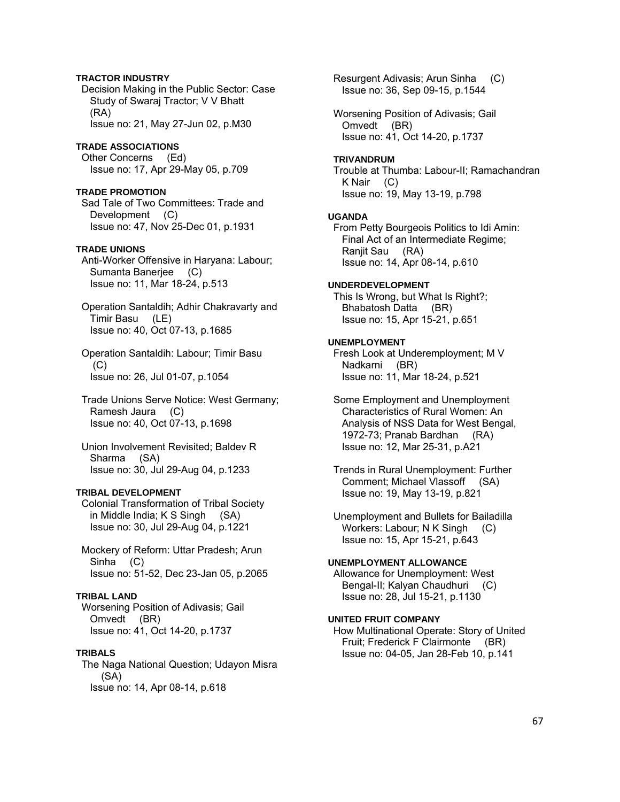## **TRACTOR INDUSTRY**

 Decision Making in the Public Sector: Case Study of Swaraj Tractor; V V Bhatt (RA) Issue no: 21, May 27-Jun 02, p.M30

### **TRADE ASSOCIATIONS**

 Other Concerns (Ed) Issue no: 17, Apr 29-May 05, p.709

#### **TRADE PROMOTION**

 Sad Tale of Two Committees: Trade and Development (C) Issue no: 47, Nov 25-Dec 01, p.1931

### **TRADE UNIONS**

 Anti-Worker Offensive in Haryana: Labour; Sumanta Banerjee (C) Issue no: 11, Mar 18-24, p.513

 Operation Santaldih; Adhir Chakravarty and Timir Basu (LE) Issue no: 40, Oct 07-13, p.1685

 Operation Santaldih: Labour; Timir Basu (C) Issue no: 26, Jul 01-07, p.1054

 Trade Unions Serve Notice: West Germany; Ramesh Jaura (C) Issue no: 40, Oct 07-13, p.1698

 Union Involvement Revisited; Baldev R Sharma (SA) Issue no: 30, Jul 29-Aug 04, p.1233

## **TRIBAL DEVELOPMENT**

 Colonial Transformation of Tribal Society in Middle India; K S Singh (SA) Issue no: 30, Jul 29-Aug 04, p.1221

 Mockery of Reform: Uttar Pradesh; Arun Sinha (C) Issue no: 51-52, Dec 23-Jan 05, p.2065

### **TRIBAL LAND**

 Worsening Position of Adivasis; Gail Omvedt (BR) Issue no: 41, Oct 14-20, p.1737

## **TRIBALS**

 The Naga National Question; Udayon Misra (SA) Issue no: 14, Apr 08-14, p.618

 Resurgent Adivasis; Arun Sinha (C) Issue no: 36, Sep 09-15, p.1544

 Worsening Position of Adivasis; Gail Omvedt (BR) Issue no: 41, Oct 14-20, p.1737

## **TRIVANDRUM**

 Trouble at Thumba: Labour-II; Ramachandran K Nair (C) Issue no: 19, May 13-19, p.798

#### **UGANDA**

 From Petty Bourgeois Politics to Idi Amin: Final Act of an Intermediate Regime; Ranjit Sau (RA) Issue no: 14, Apr 08-14, p.610

### **UNDERDEVELOPMENT**

 This Is Wrong, but What Is Right?; Bhabatosh Datta (BR) Issue no: 15, Apr 15-21, p.651

#### **UNEMPLOYMENT**

 Fresh Look at Underemployment; M V Nadkarni (BR) Issue no: 11, Mar 18-24, p.521

 Some Employment and Unemployment Characteristics of Rural Women: An Analysis of NSS Data for West Bengal, 1972-73; Pranab Bardhan (RA) Issue no: 12, Mar 25-31, p.A21

 Trends in Rural Unemployment: Further Comment; Michael Vlassoff (SA) Issue no: 19, May 13-19, p.821

 Unemployment and Bullets for Bailadilla Workers: Labour; N K Singh (C) Issue no: 15, Apr 15-21, p.643

## **UNEMPLOYMENT ALLOWANCE**

 Allowance for Unemployment: West Bengal-II; Kalyan Chaudhuri (C) Issue no: 28, Jul 15-21, p.1130

## **UNITED FRUIT COMPANY**

 How Multinational Operate: Story of United Fruit; Frederick F Clairmonte (BR) Issue no: 04-05, Jan 28-Feb 10, p.141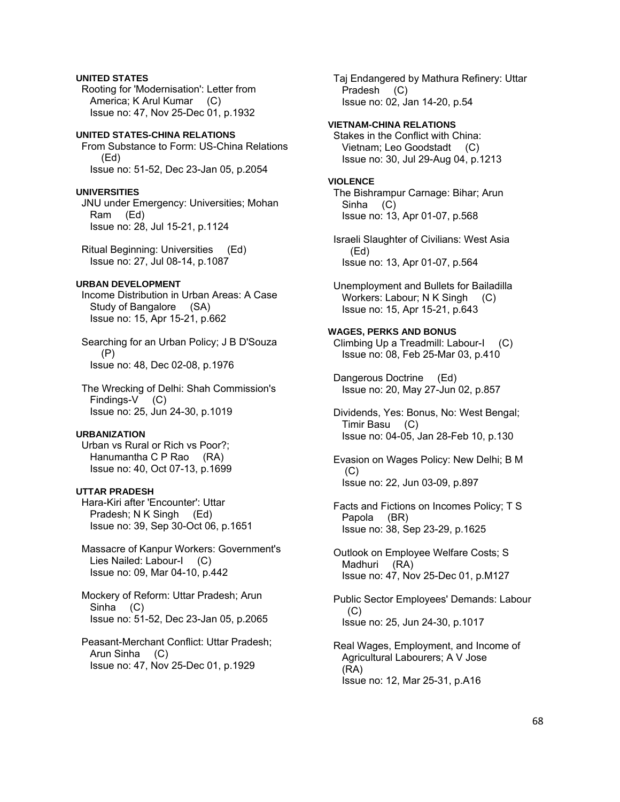## **UNITED STATES**

 Rooting for 'Modernisation': Letter from America; K Arul Kumar (C) Issue no: 47, Nov 25-Dec 01, p.1932

## **UNITED STATES-CHINA RELATIONS**

 From Substance to Form: US-China Relations (Ed) Issue no: 51-52, Dec 23-Jan 05, p.2054

### **UNIVERSITIES**

 JNU under Emergency: Universities; Mohan Ram (Ed) Issue no: 28, Jul 15-21, p.1124

 Ritual Beginning: Universities (Ed) Issue no: 27, Jul 08-14, p.1087

## **URBAN DEVELOPMENT**

 Income Distribution in Urban Areas: A Case Study of Bangalore (SA) Issue no: 15, Apr 15-21, p.662

 Searching for an Urban Policy; J B D'Souza (P) Issue no: 48, Dec 02-08, p.1976

 The Wrecking of Delhi: Shah Commission's Findings-V (C) Issue no: 25, Jun 24-30, p.1019

## **URBANIZATION**

 Urban vs Rural or Rich vs Poor?; Hanumantha C P Rao (RA) Issue no: 40, Oct 07-13, p.1699

## **UTTAR PRADESH**

 Hara-Kiri after 'Encounter': Uttar Pradesh; N K Singh (Ed) Issue no: 39, Sep 30-Oct 06, p.1651

 Massacre of Kanpur Workers: Government's Lies Nailed: Labour-I (C) Issue no: 09, Mar 04-10, p.442

 Mockery of Reform: Uttar Pradesh; Arun Sinha (C) Issue no: 51-52, Dec 23-Jan 05, p.2065

 Peasant-Merchant Conflict: Uttar Pradesh; Arun Sinha (C) Issue no: 47, Nov 25-Dec 01, p.1929

 Taj Endangered by Mathura Refinery: Uttar Pradesh (C) Issue no: 02, Jan 14-20, p.54

### **VIETNAM-CHINA RELATIONS**

 Stakes in the Conflict with China: Vietnam; Leo Goodstadt (C) Issue no: 30, Jul 29-Aug 04, p.1213

#### **VIOLENCE**

 The Bishrampur Carnage: Bihar; Arun Sinha (C) Issue no: 13, Apr 01-07, p.568

 Israeli Slaughter of Civilians: West Asia (Ed) Issue no: 13, Apr 01-07, p.564

 Unemployment and Bullets for Bailadilla Workers: Labour; N K Singh (C) Issue no: 15, Apr 15-21, p.643

## **WAGES, PERKS AND BONUS**

 Climbing Up a Treadmill: Labour-I (C) Issue no: 08, Feb 25-Mar 03, p.410

 Dangerous Doctrine (Ed) Issue no: 20, May 27-Jun 02, p.857

 Dividends, Yes: Bonus, No: West Bengal; Timir Basu (C) Issue no: 04-05, Jan 28-Feb 10, p.130

 Evasion on Wages Policy: New Delhi; B M  $(C)$ Issue no: 22, Jun 03-09, p.897

 Facts and Fictions on Incomes Policy; T S Papola (BR) Issue no: 38, Sep 23-29, p.1625

 Outlook on Employee Welfare Costs; S Madhuri (RA) Issue no: 47, Nov 25-Dec 01, p.M127

 Public Sector Employees' Demands: Labour (C) Issue no: 25, Jun 24-30, p.1017

 Real Wages, Employment, and Income of Agricultural Labourers; A V Jose (RA) Issue no: 12, Mar 25-31, p.A16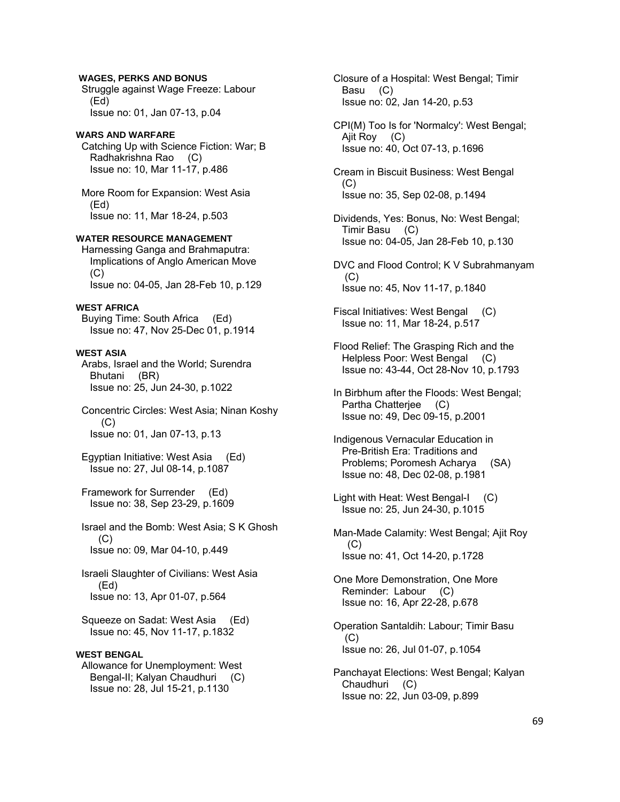## **WAGES, PERKS AND BONUS**

 Struggle against Wage Freeze: Labour (Ed) Issue no: 01, Jan 07-13, p.04

## **WARS AND WARFARE**

 Catching Up with Science Fiction: War; B Radhakrishna Rao (C) Issue no: 10, Mar 11-17, p.486

 More Room for Expansion: West Asia (Ed) Issue no: 11, Mar 18-24, p.503

## **WATER RESOURCE MANAGEMENT**

 Harnessing Ganga and Brahmaputra: Implications of Anglo American Move  $(C)$ Issue no: 04-05, Jan 28-Feb 10, p.129

#### **WEST AFRICA**

 Buying Time: South Africa (Ed) Issue no: 47, Nov 25-Dec 01, p.1914

#### **WEST ASIA**

 Arabs, Israel and the World; Surendra Bhutani (BR) Issue no: 25, Jun 24-30, p.1022

 Concentric Circles: West Asia; Ninan Koshy (C) Issue no: 01, Jan 07-13, p.13

 Egyptian Initiative: West Asia (Ed) Issue no: 27, Jul 08-14, p.1087

 Framework for Surrender (Ed) Issue no: 38, Sep 23-29, p.1609

 Israel and the Bomb: West Asia; S K Ghosh  $(C)$ Issue no: 09, Mar 04-10, p.449

 Israeli Slaughter of Civilians: West Asia (Ed) Issue no: 13, Apr 01-07, p.564

 Squeeze on Sadat: West Asia (Ed) Issue no: 45, Nov 11-17, p.1832

### **WEST BENGAL**

 Allowance for Unemployment: West Bengal-II; Kalyan Chaudhuri (C) Issue no: 28, Jul 15-21, p.1130

 Closure of a Hospital: West Bengal; Timir Basu (C) Issue no: 02, Jan 14-20, p.53

 CPI(M) Too Is for 'Normalcy': West Bengal; Ajit Roy (C) Issue no: 40, Oct 07-13, p.1696

 Cream in Biscuit Business: West Bengal  $(C)$ Issue no: 35, Sep 02-08, p.1494

 Dividends, Yes: Bonus, No: West Bengal; Timir Basu (C) Issue no: 04-05, Jan 28-Feb 10, p.130

 DVC and Flood Control; K V Subrahmanyam (C) Issue no: 45, Nov 11-17, p.1840

 Fiscal Initiatives: West Bengal (C) Issue no: 11, Mar 18-24, p.517

 Flood Relief: The Grasping Rich and the Helpless Poor: West Bengal (C) Issue no: 43-44, Oct 28-Nov 10, p.1793

 In Birbhum after the Floods: West Bengal; Partha Chatterjee (C) Issue no: 49, Dec 09-15, p.2001

- Indigenous Vernacular Education in Pre-British Era: Traditions and Problems; Poromesh Acharya (SA) Issue no: 48, Dec 02-08, p.1981
- Light with Heat: West Bengal-I (C) Issue no: 25, Jun 24-30, p.1015
- Man-Made Calamity: West Bengal; Ajit Roy (C) Issue no: 41, Oct 14-20, p.1728

 One More Demonstration, One More Reminder: Labour (C) Issue no: 16, Apr 22-28, p.678

 Operation Santaldih: Labour; Timir Basu  $(C)$ Issue no: 26, Jul 01-07, p.1054

 Panchayat Elections: West Bengal; Kalyan Chaudhuri (C) Issue no: 22, Jun 03-09, p.899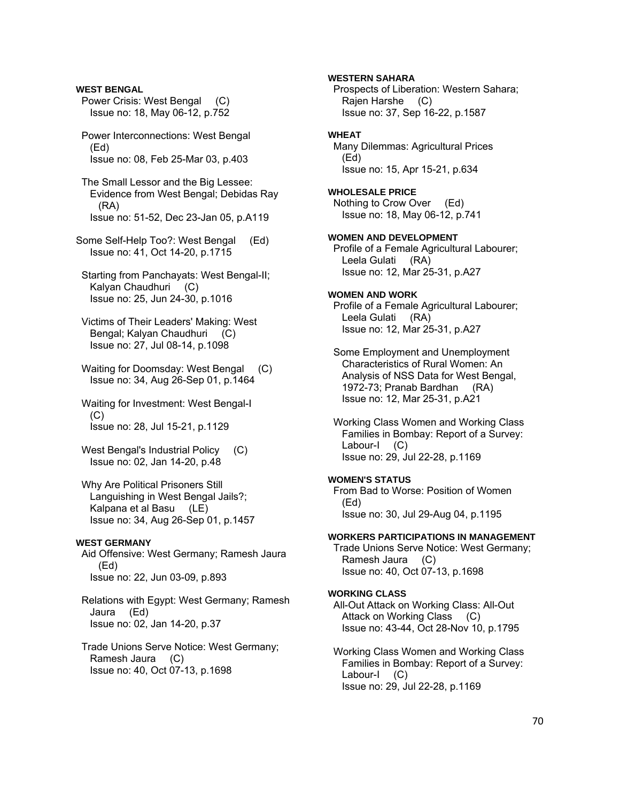**WEST BENGAL** Power Crisis: West Bengal (C) Issue no: 18, May 06-12, p.752 Power Interconnections: West Bengal (Ed) Issue no: 08, Feb 25-Mar 03, p.403 The Small Lessor and the Big Lessee: Evidence from West Bengal; Debidas Ray (RA) Issue no: 51-52, Dec 23-Jan 05, p.A119 Some Self-Help Too?: West Bengal (Ed) Issue no: 41, Oct 14-20, p.1715 Starting from Panchayats: West Bengal-II; Kalyan Chaudhuri (C) Issue no: 25, Jun 24-30, p.1016 Victims of Their Leaders' Making: West Bengal; Kalyan Chaudhuri (C) Issue no: 27, Jul 08-14, p.1098 Waiting for Doomsday: West Bengal (C) Issue no: 34, Aug 26-Sep 01, p.1464 Waiting for Investment: West Bengal-I  $(C)$  Issue no: 28, Jul 15-21, p.1129 West Bengal's Industrial Policy (C) Issue no: 02, Jan 14-20, p.48 Why Are Political Prisoners Still Languishing in West Bengal Jails?; Kalpana et al Basu (LE) Issue no: 34, Aug 26-Sep 01, p.1457

### **WEST GERMANY**

 Aid Offensive: West Germany; Ramesh Jaura (Ed) Issue no: 22, Jun 03-09, p.893

 Relations with Egypt: West Germany; Ramesh Jaura (Ed) Issue no: 02, Jan 14-20, p.37

 Trade Unions Serve Notice: West Germany; Ramesh Jaura (C) Issue no: 40, Oct 07-13, p.1698

**WESTERN SAHARA**  Prospects of Liberation: Western Sahara; Rajen Harshe (C) Issue no: 37, Sep 16-22, p.1587 **WHEAT**  Many Dilemmas: Agricultural Prices (Ed) Issue no: 15, Apr 15-21, p.634 **WHOLESALE PRICE**  Nothing to Crow Over (Ed) Issue no: 18, May 06-12, p.741 **WOMEN AND DEVELOPMENT**  Profile of a Female Agricultural Labourer; Leela Gulati (RA) Issue no: 12, Mar 25-31, p.A27 **WOMEN AND WORK**  Profile of a Female Agricultural Labourer; Leela Gulati (RA) Issue no: 12, Mar 25-31, p.A27 Some Employment and Unemployment Characteristics of Rural Women: An Analysis of NSS Data for West Bengal, 1972-73; Pranab Bardhan (RA) Issue no: 12, Mar 25-31, p.A21 Working Class Women and Working Class Families in Bombay: Report of a Survey: Labour-I (C) Issue no: 29, Jul 22-28, p.1169 **WOMEN'S STATUS**  From Bad to Worse: Position of Women (Ed) Issue no: 30, Jul 29-Aug 04, p.1195 **WORKERS PARTICIPATIONS IN MANAGEMENT**  Trade Unions Serve Notice: West Germany; Ramesh Jaura (C) Issue no: 40, Oct 07-13, p.1698 **WORKING CLASS**  All-Out Attack on Working Class: All-Out Attack on Working Class (C) Issue no: 43-44, Oct 28-Nov 10, p.1795 Working Class Women and Working Class Families in Bombay: Report of a Survey:

Labour-I (C)

Issue no: 29, Jul 22-28, p.1169